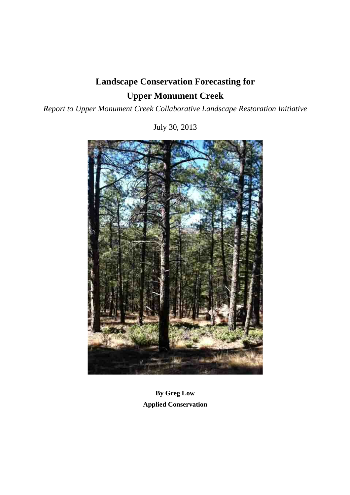# **Landscape Conservation Forecasting for Upper Monument Creek**

## *Report to Upper Monument Creek Collaborative Landscape Restoration Initiative*

July 30, 2013



**By Greg Low Applied Conservation**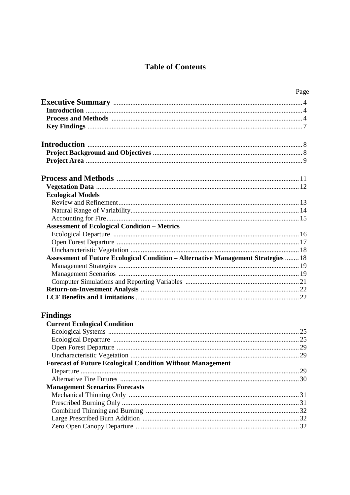## **Table of Contents**

| Page                                                                              |    |
|-----------------------------------------------------------------------------------|----|
|                                                                                   |    |
|                                                                                   |    |
|                                                                                   |    |
|                                                                                   |    |
|                                                                                   |    |
|                                                                                   |    |
|                                                                                   |    |
|                                                                                   |    |
|                                                                                   |    |
| <b>Ecological Models</b>                                                          |    |
|                                                                                   |    |
|                                                                                   |    |
|                                                                                   |    |
| <b>Assessment of Ecological Condition - Metrics</b>                               |    |
|                                                                                   |    |
|                                                                                   |    |
|                                                                                   |    |
| Assessment of Future Ecological Condition - Alternative Management Strategies  18 |    |
|                                                                                   |    |
|                                                                                   |    |
|                                                                                   |    |
|                                                                                   |    |
|                                                                                   |    |
| <b>Findings</b>                                                                   |    |
| <b>Current Ecological Condition</b>                                               |    |
|                                                                                   | 25 |

| $\cdots$                                                          |  |
|-------------------------------------------------------------------|--|
|                                                                   |  |
|                                                                   |  |
|                                                                   |  |
|                                                                   |  |
| <b>Forecast of Future Ecological Condition Without Management</b> |  |
|                                                                   |  |
|                                                                   |  |
| <b>Management Scenarios Forecasts</b>                             |  |
|                                                                   |  |
|                                                                   |  |
|                                                                   |  |
|                                                                   |  |
|                                                                   |  |
|                                                                   |  |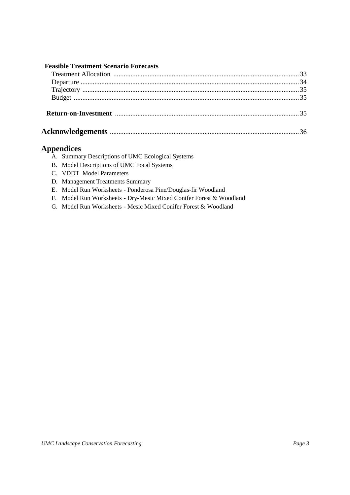## **Feasible Treatment Scenario Forecasts**

## **Appendices**

|  | A. Summary Descriptions of UMC Ecological Systems |  |  |
|--|---------------------------------------------------|--|--|
|  |                                                   |  |  |
|  |                                                   |  |  |
|  |                                                   |  |  |

- B. Model Descriptions of UMC Focal Systems
- C. VDDT Model Parameters
- D. Management Treatments Summary
- E. Model Run Worksheets Ponderosa Pine/Douglas-fir Woodland
- F. Model Run Worksheets Dry-Mesic Mixed Conifer Forest & Woodland
- G. Model Run Worksheets Mesic Mixed Conifer Forest & Woodland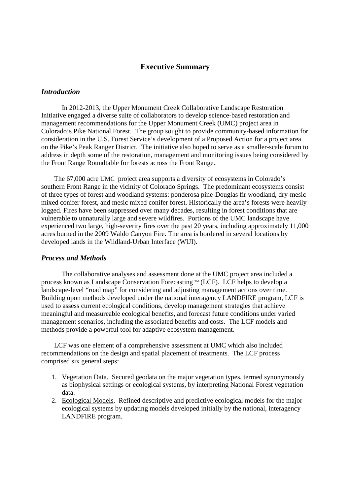## **Executive Summary**

#### *Introduction*

 In 2012-2013, the Upper Monument Creek Collaborative Landscape Restoration Initiative engaged a diverse suite of collaborators to develop science-based restoration and management recommendations for the Upper Monument Creek (UMC) project area in Colorado's Pike National Forest. The group sought to provide community-based information for consideration in the U.S. Forest Service's development of a Proposed Action for a project area on the Pike's Peak Ranger District. The initiative also hoped to serve as a smaller-scale forum to address in depth some of the restoration, management and monitoring issues being considered by the Front Range Roundtable for forests across the Front Range.

 The 67,000 acre UMC project area supports a diversity of ecosystems in Colorado's southern Front Range in the vicinity of Colorado Springs. The predominant ecosystems consist of three types of forest and woodland systems: ponderosa pine-Douglas fir woodland, dry-mesic mixed conifer forest, and mesic mixed conifer forest. Historically the area's forests were heavily logged. Fires have been suppressed over many decades, resulting in forest conditions that are vulnerable to unnaturally large and severe wildfires. Portions of the UMC landscape have experienced two large, high-severity fires over the past 20 years, including approximately 11,000 acres burned in the 2009 Waldo Canyon Fire. The area is bordered in several locations by developed lands in the Wildland-Urban Interface (WUI).

#### *Process and Methods*

The collaborative analyses and assessment done at the UMC project area included a process known as Landscape Conservation Forecasting  $M$  (LCF). LCF helps to develop a landscape-level "road map" for considering and adjusting management actions over time. Building upon methods developed under the national interagency LANDFIRE program, LCF is used to assess current ecological conditions, develop management strategies that achieve meaningful and measureable ecological benefits, and forecast future conditions under varied management scenarios, including the associated benefits and costs. The LCF models and methods provide a powerful tool for adaptive ecosystem management.

 LCF was one element of a comprehensive assessment at UMC which also included recommendations on the design and spatial placement of treatments. The LCF process comprised six general steps:

- 1. Vegetation Data. Secured geodata on the major vegetation types, termed synonymously as biophysical settings or ecological systems, by interpreting National Forest vegetation data.
- 2. Ecological Models. Refined descriptive and predictive ecological models for the major ecological systems by updating models developed initially by the national, interagency LANDFIRE program.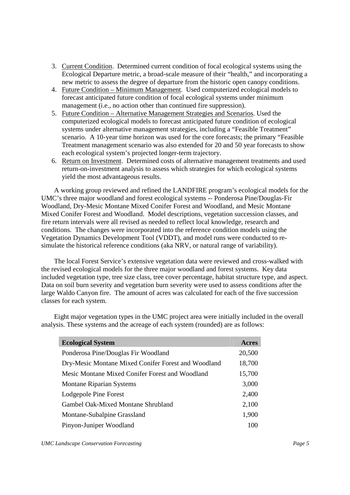- 3. Current Condition. Determined current condition of focal ecological systems using the Ecological Departure metric, a broad-scale measure of their "health," and incorporating a new metric to assess the degree of departure from the historic open canopy conditions.
- 4. Future Condition Minimum Management. Used computerized ecological models to forecast anticipated future condition of focal ecological systems under minimum management (i.e., no action other than continued fire suppression).
- 5. Future Condition Alternative Management Strategies and Scenarios. Used the computerized ecological models to forecast anticipated future condition of ecological systems under alternative management strategies, including a "Feasible Treatment" scenario. A 10-year time horizon was used for the core forecasts; the primary "Feasible Treatment management scenario was also extended for 20 and 50 year forecasts to show each ecological system's projected longer-term trajectory.
- 6. Return on Investment. Determined costs of alternative management treatments and used return-on-investment analysis to assess which strategies for which ecological systems yield the most advantageous results.

 A working group reviewed and refined the LANDFIRE program's ecological models for the UMC's three major woodland and forest ecological systems -- Ponderosa Pine/Douglas-Fir Woodland, Dry-Mesic Montane Mixed Conifer Forest and Woodland, and Mesic Montane Mixed Conifer Forest and Woodland. Model descriptions, vegetation succession classes, and fire return intervals were all revised as needed to reflect local knowledge, research and conditions. The changes were incorporated into the reference condition models using the Vegetation Dynamics Development Tool (VDDT), and model runs were conducted to resimulate the historical reference conditions (aka NRV, or natural range of variability).

 The local Forest Service's extensive vegetation data were reviewed and cross-walked with the revised ecological models for the three major woodland and forest systems. Key data included vegetation type, tree size class, tree cover percentage, habitat structure type, and aspect. Data on soil burn severity and vegetation burn severity were used to assess conditions after the large Waldo Canyon fire. The amount of acres was calculated for each of the five succession classes for each system.

 Eight major vegetation types in the UMC project area were initially included in the overall analysis. These systems and the acreage of each system (rounded) are as follows:

| <b>Ecological System</b>                            | Acres  |
|-----------------------------------------------------|--------|
| Ponderosa Pine/Douglas Fir Woodland                 | 20,500 |
| Dry-Mesic Montane Mixed Conifer Forest and Woodland | 18,700 |
| Mesic Montane Mixed Conifer Forest and Woodland     | 15,700 |
| <b>Montane Riparian Systems</b>                     | 3,000  |
| Lodgepole Pine Forest                               | 2,400  |
| Gambel Oak-Mixed Montane Shrubland                  | 2,100  |
| Montane-Subalpine Grassland                         | 1,900  |
| Pinyon-Juniper Woodland                             | 100    |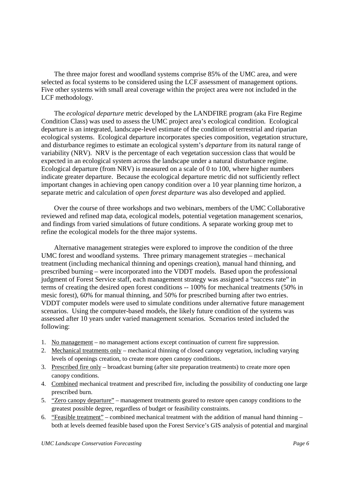The three major forest and woodland systems comprise 85% of the UMC area, and were selected as focal systems to be considered using the LCF assessment of management options. Five other systems with small areal coverage within the project area were not included in the LCF methodology.

 The *ecological departure* metric developed by the LANDFIRE program (aka Fire Regime Condition Class) was used to assess the UMC project area's ecological condition. Ecological departure is an integrated, landscape-level estimate of the condition of terrestrial and riparian ecological systems. Ecological departure incorporates species composition, vegetation structure, and disturbance regimes to estimate an ecological system's *departure* from its natural range of variability (NRV). NRV is the percentage of each vegetation succession class that would be expected in an ecological system across the landscape under a natural disturbance regime. Ecological departure (from NRV) is measured on a scale of 0 to 100, where higher numbers indicate greater departure. Because the ecological departure metric did not sufficiently reflect important changes in achieving open canopy condition over a 10 year planning time horizon, a separate metric and calculation of *open forest departure* was also developed and applied.

 Over the course of three workshops and two webinars, members of the UMC Collaborative reviewed and refined map data, ecological models, potential vegetation management scenarios, and findings from varied simulations of future conditions. A separate working group met to refine the ecological models for the three major systems.

 Alternative management strategies were explored to improve the condition of the three UMC forest and woodland systems. Three primary management strategies – mechanical treatment (including mechanical thinning and openings creation), manual hand thinning, and prescribed burning – were incorporated into the VDDT models. Based upon the professional judgment of Forest Service staff, each management strategy was assigned a "success rate" in terms of creating the desired open forest conditions -- 100% for mechanical treatments (50% in mesic forest), 60% for manual thinning, and 50% for prescribed burning after two entries. VDDT computer models were used to simulate conditions under alternative future management scenarios. Using the computer-based models, the likely future condition of the systems was assessed after 10 years under varied management scenarios. Scenarios tested included the following:

- 1. No management no management actions except continuation of current fire suppression.
- 2. Mechanical treatments only mechanical thinning of closed canopy vegetation, including varying levels of openings creation, to create more open canopy conditions.
- 3. Prescribed fire only broadcast burning (after site preparation treatments) to create more open canopy conditions.
- 4. Combined mechanical treatment and prescribed fire, including the possibility of conducting one large prescribed burn.
- 5. "Zero canopy departure" management treatments geared to restore open canopy conditions to the greatest possible degree, regardless of budget or feasibility constraints.
- 6. "Feasible treatment" combined mechanical treatment with the addition of manual hand thinning both at levels deemed feasible based upon the Forest Service's GIS analysis of potential and marginal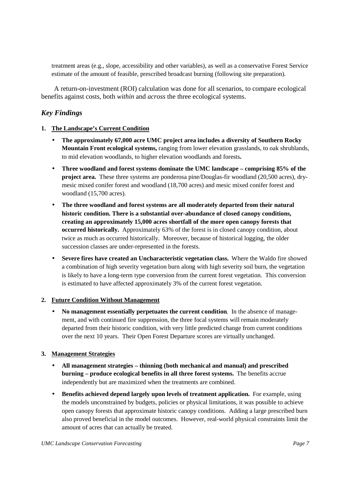treatment areas (e.g., slope, accessibility and other variables), as well as a conservative Forest Service estimate of the amount of feasible, prescribed broadcast burning (following site preparation).

 A return-on-investment (ROI) calculation was done for all scenarios, to compare ecological benefits against costs, both *within* and *across* the three ecological systems.

## *Key Findings*

#### **1. The Landscape's Current Condition**

**The approximately 67,000 acre UMC project area includes a diversity of Southern Rocky Mountain Front ecological systems,** ranging from lower elevation grasslands, to oak shrublands, to mid elevation woodlands, to higher elevation woodlands and forests**.** 

**Three woodland and forest systems dominate the UMC landscape – comprising 85% of the project area.** These three systems are ponderosa pine/Douglas-fir woodland (20,500 acres), drymesic mixed conifer forest and woodland (18,700 acres) and mesic mixed conifer forest and woodland (15,700 acres).

**The three woodland and forest systems are all moderately departed from their natural historic condition. There is a substantial over-abundance of closed canopy conditions, creating an approximately 15,000 acres shortfall of the more open canopy forests that occurred historically.** Approximately 63% of the forest is in closed canopy condition, about twice as much as occurred historically. Moreover, because of historical logging, the older succession classes are under-represented in the forests.

**Severe fires have created an Uncharacteristic vegetation class.** Where the Waldo fire showed a combination of high severity vegetation burn along with high severity soil burn, the vegetation is likely to have a long-term type conversion from the current forest vegetation. This conversion is estimated to have affected approximately 3% of the current forest vegetation.

#### **2. Future Condition Without Management**

**No management essentially perpetuates the current condition**. In the absence of management, and with continued fire suppression, the three focal systems will remain moderately departed from their historic condition, with very little predicted change from current conditions over the next 10 years. Their Open Forest Departure scores are virtually unchanged.

#### **3. Management Strategies**

**All management strategies – thinning (both mechanical and manual) and prescribed burning – produce ecological benefits in all three forest systems.** The benefits accrue independently but are maximized when the treatments are combined.

**Benefits achieved depend largely upon levels of treatment application.** For example, using the models unconstrained by budgets, policies or physical limitations, it was possible to achieve open canopy forests that approximate historic canopy conditions. Adding a large prescribed burn also proved beneficial in the model outcomes. However, real-world physical constraints limit the amount of acres that can actually be treated.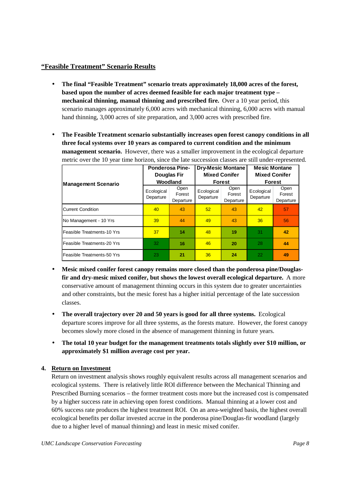## **"Feasible Treatment" Scenario Results**

**The final "Feasible Treatment" scenario treats approximately 18,000 acres of the forest, based upon the number of acres deemed feasible for each major treatment type – mechanical thinning, manual thinning and prescribed fire.** Over a 10 year period, this scenario manages approximately 6,000 acres with mechanical thinning, 6,000 acres with manual hand thinning, 3,000 acres of site preparation, and 3,000 acres with prescribed fire.

**The Feasible Treatment scenario substantially increases open forest canopy conditions in all three focal systems over 10 years as compared to current condition and the minimum management scenario.** However, there was a smaller improvement in the ecological departure metric over the 10 year time horizon, since the late succession classes are still under-represented.

|                            | <b>Ponderosa Pine-</b><br><b>Douglas Fir</b><br>Woodland |                             | <b>Dry-Mesic Montane</b><br><b>Mixed Conifer</b><br><b>Forest</b> |                             | <b>Mesic Montane</b><br><b>Mixed Conifer</b><br><b>Forest</b> |                             |
|----------------------------|----------------------------------------------------------|-----------------------------|-------------------------------------------------------------------|-----------------------------|---------------------------------------------------------------|-----------------------------|
| <b>Management Scenario</b> | Ecological<br>Departure                                  | Open<br>Forest<br>Departure | Ecological<br>Departure                                           | Open<br>Forest<br>Departure | Ecological<br>Departure                                       | Open<br>Forest<br>Departure |
| Current Condition          | 40                                                       | 43                          | 52                                                                | 43                          | 42                                                            | 57                          |
| No Management - 10 Yrs     | 39                                                       | 44                          | 49                                                                | 43                          | 36                                                            | 56                          |
| Feasible Treatments-10 Yrs | 37                                                       | 14                          | 48                                                                | 19                          | 31                                                            | 42                          |
| Feasible Treatments-20 Yrs | 32                                                       | 16                          | 46                                                                | 20                          | 28                                                            | 44                          |
| Feasible Treatments-50 Yrs | 23                                                       | 21                          | 36                                                                | 24                          | 22                                                            | 49                          |

**Mesic mixed conifer forest canopy remains more closed than the ponderosa pine/Douglasfir and dry-mesic mixed conifer, but shows the lowest overall ecological departure.** A more conservative amount of management thinning occurs in this system due to greater uncertainties and other constraints, but the mesic forest has a higher initial percentage of the late succession classes.

**The overall trajectory over 20 and 50 years is good for all three systems.** Ecological departure scores improve for all three systems, as the forests mature. However, the forest canopy becomes slowly more closed in the absence of management thinning in future years.

**The total 10 year budget for the management treatments totals slightly over \$10 million, or approximately \$1 million average cost per year.** 

## **4. Return on Investment**

Return on investment analysis shows roughly equivalent results across all management scenarios and ecological systems. There is relatively little ROI difference between the Mechanical Thinning and Prescribed Burning scenarios – the former treatment costs more but the increased cost is compensated by a higher success rate in achieving open forest conditions. Manual thinning at a lower cost and 60% success rate produces the highest treatment ROI. On an area-weighted basis, the highest overall ecological benefits per dollar invested accrue in the ponderosa pine/Douglas-fir woodland (largely due to a higher level of manual thinning) and least in mesic mixed conifer.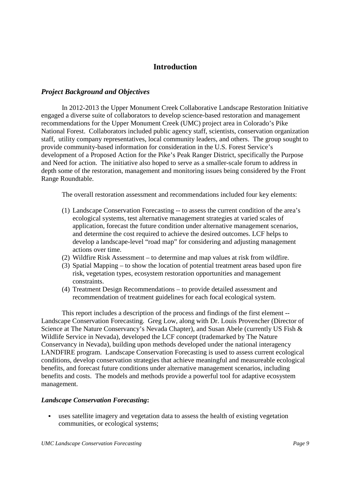## **Introduction**

## *Project Background and Objectives*

In 2012-2013 the Upper Monument Creek Collaborative Landscape Restoration Initiative engaged a diverse suite of collaborators to develop science-based restoration and management recommendations for the Upper Monument Creek (UMC) project area in Colorado's Pike National Forest. Collaborators included public agency staff, scientists, conservation organization staff, utility company representatives, local community leaders, and others. The group sought to provide community-based information for consideration in the U.S. Forest Service's development of a Proposed Action for the Pike's Peak Ranger District, specifically the Purpose and Need for action. The initiative also hoped to serve as a smaller-scale forum to address in depth some of the restoration, management and monitoring issues being considered by the Front Range Roundtable.

The overall restoration assessment and recommendations included four key elements:

- (1) Landscape Conservation Forecasting -- to assess the current condition of the area's ecological systems, test alternative management strategies at varied scales of application, forecast the future condition under alternative management scenarios, and determine the cost required to achieve the desired outcomes. LCF helps to develop a landscape-level "road map" for considering and adjusting management actions over time.
- (2) Wildfire Risk Assessment to determine and map values at risk from wildfire.
- (3) Spatial Mapping to show the location of potential treatment areas based upon fire risk, vegetation types, ecosystem restoration opportunities and management constraints.
- (4) Treatment Design Recommendations to provide detailed assessment and recommendation of treatment guidelines for each focal ecological system.

This report includes a description of the process and findings of the first element -- Landscape Conservation Forecasting. Greg Low, along with Dr. Louis Provencher (Director of Science at The Nature Conservancy's Nevada Chapter), and Susan Abele (currently US Fish & Wildlife Service in Nevada), developed the LCF concept (trademarked by The Nature Conservancy in Nevada), building upon methods developed under the national interagency LANDFIRE program. Landscape Conservation Forecasting is used to assess current ecological conditions, develop conservation strategies that achieve meaningful and measureable ecological benefits, and forecast future conditions under alternative management scenarios, including benefits and costs. The models and methods provide a powerful tool for adaptive ecosystem management.

## *Landscape Conservation Forecasting***:**

 uses satellite imagery and vegetation data to assess the health of existing vegetation communities, or ecological systems;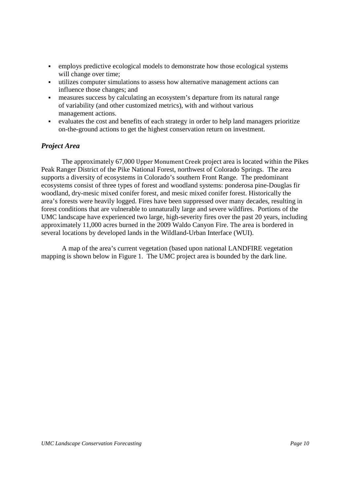- employs predictive ecological models to demonstrate how those ecological systems will change over time;
- utilizes computer simulations to assess how alternative management actions can influence those changes; and
- measures success by calculating an ecosystem's departure from its natural range of variability (and other customized metrics), with and without various management actions.
- evaluates the cost and benefits of each strategy in order to help land managers prioritize on-the-ground actions to get the highest conservation return on investment.

## *Project Area*

 The approximately 67,000 Upper Monument Creek project area is located within the Pikes Peak Ranger District of the Pike National Forest, northwest of Colorado Springs. The area supports a diversity of ecosystems in Colorado's southern Front Range. The predominant ecosystems consist of three types of forest and woodland systems: ponderosa pine-Douglas fir woodland, dry-mesic mixed conifer forest, and mesic mixed conifer forest. Historically the area's forests were heavily logged. Fires have been suppressed over many decades, resulting in forest conditions that are vulnerable to unnaturally large and severe wildfires. Portions of the UMC landscape have experienced two large, high-severity fires over the past 20 years, including approximately 11,000 acres burned in the 2009 Waldo Canyon Fire. The area is bordered in several locations by developed lands in the Wildland-Urban Interface (WUI).

 A map of the area's current vegetation (based upon national LANDFIRE vegetation mapping is shown below in Figure 1. The UMC project area is bounded by the dark line.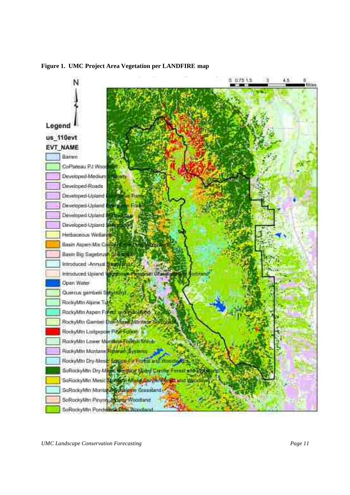

**Figure 1. UMC Project Area Vegetation per LANDFIRE map**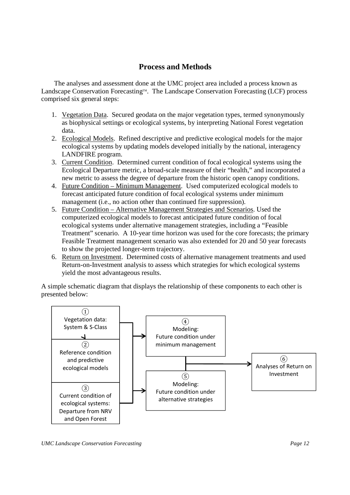## **Process and Methods**

 The analyses and assessment done at the UMC project area included a process known as Landscape Conservation Forecasting™. The Landscape Conservation Forecasting (LCF) process comprised six general steps:

- 1. Vegetation Data. Secured geodata on the major vegetation types, termed synonymously as biophysical settings or ecological systems, by interpreting National Forest vegetation data.
- 2. Ecological Models. Refined descriptive and predictive ecological models for the major ecological systems by updating models developed initially by the national, interagency LANDFIRE program.
- 3. Current Condition. Determined current condition of focal ecological systems using the Ecological Departure metric, a broad-scale measure of their "health," and incorporated a new metric to assess the degree of departure from the historic open canopy conditions.
- 4. Future Condition Minimum Management. Used computerized ecological models to forecast anticipated future condition of focal ecological systems under minimum management (i.e., no action other than continued fire suppression).
- 5. Future Condition Alternative Management Strategies and Scenarios. Used the computerized ecological models to forecast anticipated future condition of focal ecological systems under alternative management strategies, including a "Feasible Treatment" scenario. A 10-year time horizon was used for the core forecasts; the primary Feasible Treatment management scenario was also extended for 20 and 50 year forecasts to show the projected longer-term trajectory.
- 6. Return on Investment. Determined costs of alternative management treatments and used Return-on-Investment analysis to assess which strategies for which ecological systems yield the most advantageous results.

A simple schematic diagram that displays the relationship of these components to each other is presented below:

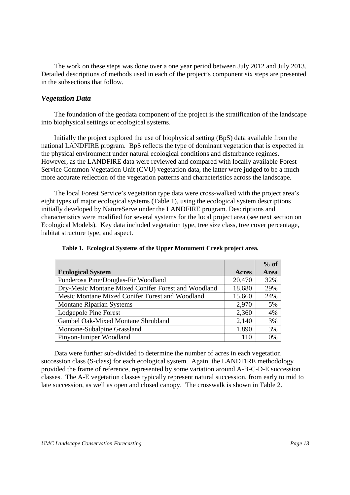The work on these steps was done over a one year period between July 2012 and July 2013. Detailed descriptions of methods used in each of the project's component six steps are presented in the subsections that follow.

## *Vegetation Data*

 The foundation of the geodata component of the project is the stratification of the landscape into biophysical settings or ecological systems.

 Initially the project explored the use of biophysical setting (BpS) data available from the national LANDFIRE program. BpS reflects the type of dominant vegetation that is expected in the physical environment under natural ecological conditions and disturbance regimes. However, as the LANDFIRE data were reviewed and compared with locally available Forest Service Common Vegetation Unit (CVU) vegetation data, the latter were judged to be a much more accurate reflection of the vegetation patterns and characteristics across the landscape.

 The local Forest Service's vegetation type data were cross-walked with the project area's eight types of major ecological systems (Table 1), using the ecological system descriptions initially developed by NatureServe under the LANDFIRE program. Descriptions and characteristics were modified for several systems for the local project area (see next section on Ecological Models). Key data included vegetation type, tree size class, tree cover percentage, habitat structure type, and aspect.

|                                                     |        | $%$ of |
|-----------------------------------------------------|--------|--------|
| <b>Ecological System</b>                            | Acres  | Area   |
| Ponderosa Pine/Douglas-Fir Woodland                 | 20,470 | 32%    |
| Dry-Mesic Montane Mixed Conifer Forest and Woodland | 18,680 | 29%    |
| Mesic Montane Mixed Conifer Forest and Woodland     | 15,660 | 24%    |
| <b>Montane Riparian Systems</b>                     | 2,970  | 5%     |
| Lodgepole Pine Forest                               | 2,360  | 4%     |
| Gambel Oak-Mixed Montane Shrubland                  | 2,140  | 3%     |
| Montane-Subalpine Grassland                         | 1,890  | 3%     |
| Pinyon-Juniper Woodland                             | 110    | 0%     |

|  |  |  |  | Table 1. Ecological Systems of the Upper Monument Creek project area. |
|--|--|--|--|-----------------------------------------------------------------------|
|--|--|--|--|-----------------------------------------------------------------------|

 Data were further sub-divided to determine the number of acres in each vegetation succession class (S-class) for each ecological system. Again, the LANDFIRE methodology provided the frame of reference, represented by some variation around A-B-C-D-E succession classes. The A-E vegetation classes typically represent natural succession, from early to mid to late succession, as well as open and closed canopy. The crosswalk is shown in Table 2.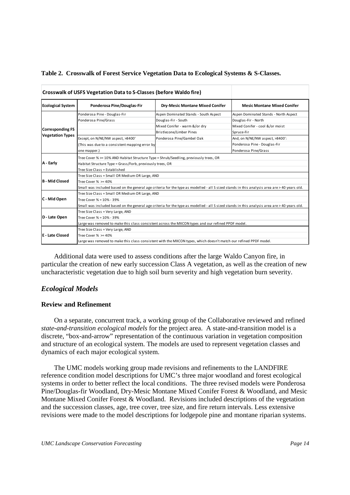|                          | Crosswalk of USFS Vegetation Data to S-Classes (before Waldo fire)                                                                                                                  |                                       |                                       |  |  |  |  |
|--------------------------|-------------------------------------------------------------------------------------------------------------------------------------------------------------------------------------|---------------------------------------|---------------------------------------|--|--|--|--|
| <b>Ecological System</b> | Ponderosa Pine/Douglas-Fir                                                                                                                                                          | Dry-Mesic Montane Mixed Conifer       | <b>Mesic Montane Mixed Conifer</b>    |  |  |  |  |
|                          | Ponderosa Pine - Douglas-Fir                                                                                                                                                        | Aspen Dominated Stands - South Aspect | Aspen Dominated Stands - North Aspect |  |  |  |  |
|                          | Ponderosa Pine/Grass                                                                                                                                                                | Douglas-Fir - South                   | Douglas-Fir - North                   |  |  |  |  |
|                          |                                                                                                                                                                                     | Mixed Conifer - warm &/or dry         | Mixed Conifer - cool &/or moist       |  |  |  |  |
| <b>Corresponding FS</b>  |                                                                                                                                                                                     | Bristlecone/Limber Pines              | Spruce-Fir                            |  |  |  |  |
| <b>Vegetation Types</b>  | Except, on N/NE/NW aspect, >8400'                                                                                                                                                   | Ponderosa Pine/Gambel Oak             | And, on N/NE/NW aspect, >8400':       |  |  |  |  |
|                          | (This was due to a consistent mapping error by                                                                                                                                      |                                       | Ponderosa Pine - Douglas-Fir          |  |  |  |  |
|                          | one mapper.)                                                                                                                                                                        |                                       | Ponderosa Pine/Grass                  |  |  |  |  |
| A - Early                | Tree Cover % >= 10% AND Habitat Structure Type = Shrub/Seedling, previously trees, OR<br>Habitat Structure Type = Grass/Forb, previously trees, OR<br>Tree Size Class = Established |                                       |                                       |  |  |  |  |
| <b>B</b> - Mid Closed    | Tree Size Class = Small OR Medium OR Large, AND<br>Tree Cover $% > = 40\%$                                                                                                          |                                       |                                       |  |  |  |  |
|                          | Small was included based on the general age criteria for the type as modelled - all S sized stands in this analysis area are > 40 years old.                                        |                                       |                                       |  |  |  |  |
|                          | Tree Size Class = Small OR Medium OR Large, AND                                                                                                                                     |                                       |                                       |  |  |  |  |
| C - Mid Open             | Tree Cover % = 10% - 39%                                                                                                                                                            |                                       |                                       |  |  |  |  |
|                          | Small was included based on the general age criteria for the type as modelled - all S sized stands in this analysis area are > 40 years old.                                        |                                       |                                       |  |  |  |  |
|                          | Tree Size Class = Very Large, AND                                                                                                                                                   |                                       |                                       |  |  |  |  |
| D - Late Open            | Tree Cover % = 10% - 39%                                                                                                                                                            |                                       |                                       |  |  |  |  |
|                          | Large was removed to make this class consistent across the MXCON types and our refined PPDF model.                                                                                  |                                       |                                       |  |  |  |  |
|                          | Tree Size Class = Very Large, AND                                                                                                                                                   |                                       |                                       |  |  |  |  |
| E - Late Closed          | Tree Cover $% = 40%$                                                                                                                                                                |                                       |                                       |  |  |  |  |
|                          | Large was removed to make this class consistent with the MXCON types, which doesn't match our refined PPDF model.                                                                   |                                       |                                       |  |  |  |  |

|  |  |  | Table 2. Crosswalk of Forest Service Vegetation Data to Ecological Systems & S-Classes. |  |
|--|--|--|-----------------------------------------------------------------------------------------|--|
|--|--|--|-----------------------------------------------------------------------------------------|--|

 Additional data were used to assess conditions after the large Waldo Canyon fire, in particular the creation of new early succession Class A vegetation, as well as the creation of new uncharacteristic vegetation due to high soil burn severity and high vegetation burn severity.

## *Ecological Models*

## **Review and Refinement**

 On a separate, concurrent track, a working group of the Collaborative reviewed and refined *state-and-transition ecological models* for the project area. A state-and-transition model is a discrete, "box-and-arrow" representation of the continuous variation in vegetation composition and structure of an ecological system. The models are used to represent vegetation classes and dynamics of each major ecological system.

 The UMC models working group made revisions and refinements to the LANDFIRE reference condition model descriptions for UMC's three major woodland and forest ecological systems in order to better reflect the local conditions. The three revised models were Ponderosa Pine/Douglas-fir Woodland, Dry-Mesic Montane Mixed Conifer Forest & Woodland, and Mesic Montane Mixed Conifer Forest & Woodland. Revisions included descriptions of the vegetation and the succession classes, age, tree cover, tree size, and fire return intervals. Less extensive revisions were made to the model descriptions for lodgepole pine and montane riparian systems.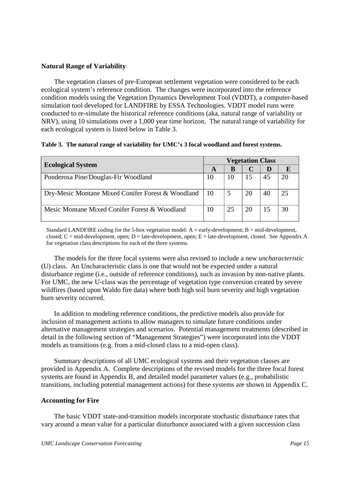#### **Natural Range of Variability**

The vegetation classes of pre-European settlement vegetation were considered to be each ecological system's reference condition. The changes were incorporated into the reference condition models using the Vegetation Dynamics Development Tool (VDDT), a computer-based simulation tool developed for LANDFIRE by ESSA Technologies. VDDT model runs were conducted to re-simulate the historical reference conditions (aka, natural range of variability or NRV), using 10 simulations over a 1,000 year time horizon. The natural range of variability for each ecological system is listed below in Table 3.

#### **Table 3. The natural range of variability for UMC's 3 focal woodland and forest systems.**

|                                                   |                 | <b>Vegetation Class</b> |    |    |    |  |  |
|---------------------------------------------------|-----------------|-------------------------|----|----|----|--|--|
| <b>Ecological System</b>                          | A               | B                       |    | D  |    |  |  |
| Ponderosa Pine/Douglas-Fir Woodland               | 10              |                         | 15 | 45 | 20 |  |  |
| Dry-Mesic Montane Mixed Conifer Forest & Woodland | 10              |                         | 20 | 40 | 25 |  |  |
| Mesic Montane Mixed Conifer Forest & Woodland     | 10 <sup>1</sup> | 25                      | 20 | 15 | 30 |  |  |

Standard LANDFIRE coding for the 5-box vegetation model:  $A = \text{early-development}$ ;  $B = \text{mid-development}$ , closed; C = mid-development, open; D = late-development, open; E = late-development, closed. See Appendix A for vegetation class descriptions for each of the three systems.

 The models for the three focal systems were also revised to include a new *uncharacteristic* (U) class. An Uncharacteristic class is one that would not be expected under a natural disturbance regime (i.e., outside of reference conditions), such as invasion by non-native plants. For UMC, the new U-class was the percentage of vegetation type conversion created by severe wildfires (based upon Waldo fire data) where both high soil burn severity and high vegetation burn severity occurred.

 In addition to modeling reference conditions, the predictive models also provide for inclusion of management actions to allow managers to simulate future conditions under alternative management strategies and scenarios. Potential management treatments (described in detail in the following section of "Management Strategies") were incorporated into the VDDT models as transitions (e.g. from a mid-closed class to a mid-open class).

 Summary descriptions of all UMC ecological systems and their vegetation classes are provided in Appendix A. Complete descriptions of the revised models for the three focal forest systems are found in Appendix B, and detailed model parameter values (e.g., probabilistic transitions, including potential management actions) for these systems are shown in Appendix C.

#### **Accounting for Fire**

 The basic VDDT state-and-transition models incorporate stochastic disturbance rates that vary around a mean value for a particular disturbance associated with a given succession class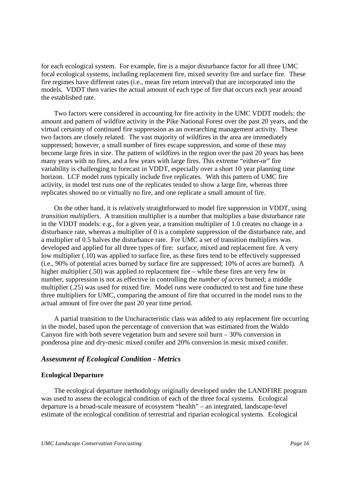for each ecological system. For example, fire is a major disturbance factor for all three UMC focal ecological systems, including replacement fire, mixed severity fire and surface fire. These fire regimes have different rates (i.e., mean fire return interval) that are incorporated into the models. VDDT then varies the actual amount of each type of fire that occurs each year around the established rate.

 Two factors were considered in accounting for fire activity in the UMC VDDT models: the amount and pattern of wildfire activity in the Pike National Forest over the past 20 years, and the virtual certainty of continued fire suppression as an overarching management activity. These two factors are closely related. The vast majority of wildfires in the area are immediately suppressed; however, a small number of fires escape suppression, and some of these may become large fires in size. The pattern of wildfires in the region over the past 20 years has been many years with no fires, and a few years with large fires. This extreme "either-or" fire variability is challenging to forecast in VDDT, especially over a short 10 year planning time horizon. LCF model runs typically include five replicates. With this pattern of UMC fire activity, in model test runs one of the replicates tended to show a large fire, whereas three replicates showed no or virtually no fire, and one replicate a small amount of fire.

 On the other hand, it is relatively straightforward to model fire suppression in VDDT, using *transition multipliers*. A transition multiplier is a number that multiplies a base disturbance rate in the VDDT models: e.g., for a given year, a transition multiplier of 1.0 creates no change in a disturbance rate, whereas a multiplier of 0 is a complete suppression of the disturbance rate, and a multiplier of 0.5 halves the disturbance rate. For UMC a set of transition multipliers was developed and applied for all three types of fire: surface, mixed and replacement fire. A very low multiplier (.10) was applied to surface fire, as these fires tend to be effectively suppressed (i.e., 90% of potential acres burned by surface fire are suppressed; 10% of acres are burned). A higher multiplier (.50) was applied to replacement fire – while these fires are very few in number, suppression is not as effective in controlling the *number of acres* burned; a middle multiplier (.25) was used for mixed fire. Model runs were conducted to test and fine tune these three multipliers for UMC, comparing the amount of fire that occurred in the model runs to the actual amount of fire over the past 20 year time period.

 A partial transition to the Uncharacteristic class was added to any replacement fire occurring in the model, based upon the percentage of conversion that was estimated from the Waldo Canyon fire with both severe vegetation burn and severe soil burn – 30% conversion in ponderosa pine and dry-mesic mixed conifer and 20% conversion in mesic mixed conifer.

## *Assessment of Ecological Condition - Metrics*

#### **Ecological Departure**

 The ecological departure methodology originally developed under the LANDFIRE program was used to assess the ecological condition of each of the three focal systems. Ecological departure is a broad-scale measure of ecosystem "health" – an integrated, landscape-level estimate of the ecological condition of terrestrial and riparian ecological systems. Ecological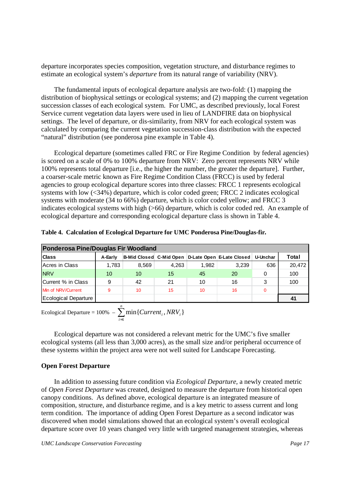departure incorporates species composition, vegetation structure, and disturbance regimes to estimate an ecological system's *departure* from its natural range of variability (NRV).

 The fundamental inputs of ecological departure analysis are two-fold: (1) mapping the distribution of biophysical settings or ecological systems; and (2) mapping the current vegetation succession classes of each ecological system. For UMC, as described previously, local Forest Service current vegetation data layers were used in lieu of LANDFIRE data on biophysical settings. The level of departure, or dis-similarity, from NRV for each ecological system was calculated by comparing the current vegetation succession-class distribution with the expected "natural" distribution (see ponderosa pine example in Table 4).

 Ecological departure (sometimes called FRC or Fire Regime Condition by federal agencies) is scored on a scale of 0% to 100% departure from NRV: Zero percent represents NRV while 100% represents total departure [i.e., the higher the number, the greater the departure]. Further, a coarser-scale metric known as Fire Regime Condition Class (FRCC) is used by federal agencies to group ecological departure scores into three classes: FRCC 1 represents ecological systems with low (<34%) departure, which is color coded green; FRCC 2 indicates ecological systems with moderate (34 to 66%) departure, which is color coded yellow; and FRCC 3 indicates ecological systems with high (>66) departure, which is color coded red. An example of ecological departure and corresponding ecological departure class is shown in Table 4.

| Ponderosa Pine/Douglas Fir Woodland |         |       |       |       |                                                   |          |        |
|-------------------------------------|---------|-------|-------|-------|---------------------------------------------------|----------|--------|
| <b>Class</b>                        | A-Early |       |       |       | B-Mid Closed C-Mid Open D-Late Open E-Late Closed | U-Unchar | Total  |
| Acres in Class                      | 1,783   | 8,569 | 4.263 | 1.982 | 3.239                                             | 636      | 20,472 |
| <b>NRV</b>                          | 10      | 10    | 15    | 45    | 20                                                | 0        | 100    |
| Current % in Class                  | 9       | 42    | 21    | 10    | 16                                                | 3        | 100    |
| Min of NRV/Current                  | 9       | 10    | 15    | 10    | 16                                                | $\Omega$ |        |
| Ecological Departure                |         |       |       |       |                                                   |          | 41     |

Ecological Departure =  $100\%$  –  $\sum_{i=1}$ *n i*  $Current<sub>i</sub>$ , *NRV*<sub>*i*</sub> 1  $min{$ Current<sub>i</sub>, NRV<sub>i</sub>}

 Ecological departure was not considered a relevant metric for the UMC's five smaller ecological systems (all less than 3,000 acres), as the small size and/or peripheral occurrence of these systems within the project area were not well suited for Landscape Forecasting.

#### **Open Forest Departure**

 In addition to assessing future condition via *Ecological Departure,* a newly created metric of *Open Forest Departure* was created, designed to measure the departure from historical open canopy conditions. As defined above, ecological departure is an integrated measure of composition, structure, and disturbance regime, and is a key metric to assess current and long term condition. The importance of adding Open Forest Departure as a second indicator was discovered when model simulations showed that an ecological system's overall ecological departure score over 10 years changed very little with targeted management strategies, whereas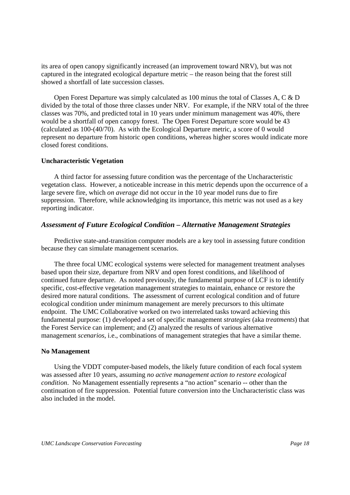its area of open canopy significantly increased (an improvement toward NRV), but was not captured in the integrated ecological departure metric – the reason being that the forest still showed a shortfall of late succession classes.

 Open Forest Departure was simply calculated as 100 minus the total of Classes A, C & D divided by the total of those three classes under NRV. For example, if the NRV total of the three classes was 70%, and predicted total in 10 years under minimum management was 40%, there would be a shortfall of open canopy forest. The Open Forest Departure score would be 43 (calculated as 100-(40/70). As with the Ecological Departure metric, a score of 0 would represent no departure from historic open conditions, whereas higher scores would indicate more closed forest conditions.

#### **Uncharacteristic Vegetation**

 A third factor for assessing future condition was the percentage of the Uncharacteristic vegetation class. However, a noticeable increase in this metric depends upon the occurrence of a large severe fire, which *on average* did not occur in the 10 year model runs due to fire suppression. Therefore, while acknowledging its importance, this metric was not used as a key reporting indicator.

## *Assessment of Future Ecological Condition – Alternative Management Strategies*

 Predictive state-and-transition computer models are a key tool in assessing future condition because they can simulate management scenarios.

 The three focal UMC ecological systems were selected for management treatment analyses based upon their size, departure from NRV and open forest conditions, and likelihood of continued future departure. As noted previously, the fundamental purpose of LCF is to identify specific, cost-effective vegetation management strategies to maintain, enhance or restore the desired more natural conditions. The assessment of current ecological condition and of future ecological condition under minimum management are merely precursors to this ultimate endpoint. The UMC Collaborative worked on two interrelated tasks toward achieving this fundamental purpose: (1) developed a set of specific management *strategies* (aka *treatments*) that the Forest Service can implement; and (2) analyzed the results of various alternative management *scenarios*, i.e., combinations of management strategies that have a similar theme.

#### **No Management**

 Using the VDDT computer-based models, the likely future condition of each focal system was assessed after 10 years, assuming *no active management action to restore ecological condition*. No Management essentially represents a "no action" scenario -- other than the continuation of fire suppression. Potential future conversion into the Uncharacteristic class was also included in the model.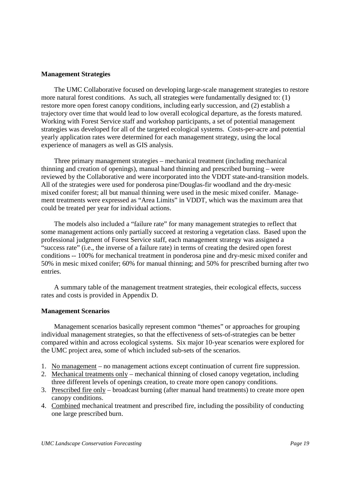#### **Management Strategies**

 The UMC Collaborative focused on developing large-scale management strategies to restore more natural forest conditions. As such, all strategies were fundamentally designed to: (1) restore more open forest canopy conditions, including early succession, and (2) establish a trajectory over time that would lead to low overall ecological departure, as the forests matured. Working with Forest Service staff and workshop participants, a set of potential management strategies was developed for all of the targeted ecological systems. Costs-per-acre and potential yearly application rates were determined for each management strategy, using the local experience of managers as well as GIS analysis.

 Three primary management strategies – mechanical treatment (including mechanical thinning and creation of openings), manual hand thinning and prescribed burning – were reviewed by the Collaborative and were incorporated into the VDDT state-and-transition models. All of the strategies were used for ponderosa pine/Douglas-fir woodland and the dry-mesic mixed conifer forest; all but manual thinning were used in the mesic mixed conifer. Management treatments were expressed as "Area Limits" in VDDT, which was the maximum area that could be treated per year for individual actions.

 The models also included a "failure rate" for many management strategies to reflect that some management actions only partially succeed at restoring a vegetation class. Based upon the professional judgment of Forest Service staff, each management strategy was assigned a "success rate" (i.e., the inverse of a failure rate) in terms of creating the desired open forest conditions -- 100% for mechanical treatment in ponderosa pine and dry-mesic mixed conifer and 50% in mesic mixed conifer; 60% for manual thinning; and 50% for prescribed burning after two entries.

 A summary table of the management treatment strategies, their ecological effects, success rates and costs is provided in Appendix D.

#### **Management Scenarios**

 Management scenarios basically represent common "themes" or approaches for grouping individual management strategies, so that the effectiveness of sets-of-strategies can be better compared within and across ecological systems. Six major 10-year scenarios were explored for the UMC project area, some of which included sub-sets of the scenarios.

- 1. No management no management actions except continuation of current fire suppression.
- 2. Mechanical treatments only mechanical thinning of closed canopy vegetation, including three different levels of openings creation, to create more open canopy conditions.
- 3. Prescribed fire only broadcast burning (after manual hand treatments) to create more open canopy conditions.
- 4. Combined mechanical treatment and prescribed fire, including the possibility of conducting one large prescribed burn.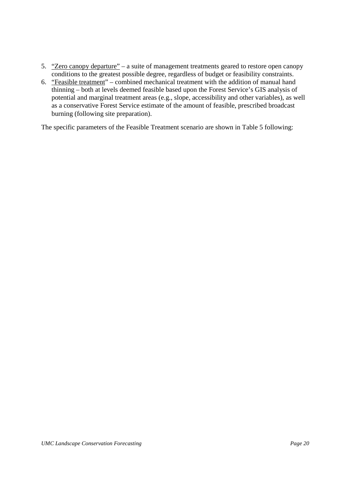- 5. "Zero canopy departure" a suite of management treatments geared to restore open canopy conditions to the greatest possible degree, regardless of budget or feasibility constraints.
- 6. "Feasible treatment" combined mechanical treatment with the addition of manual hand thinning – both at levels deemed feasible based upon the Forest Service's GIS analysis of potential and marginal treatment areas (e.g., slope, accessibility and other variables), as well as a conservative Forest Service estimate of the amount of feasible, prescribed broadcast burning (following site preparation).

The specific parameters of the Feasible Treatment scenario are shown in Table 5 following: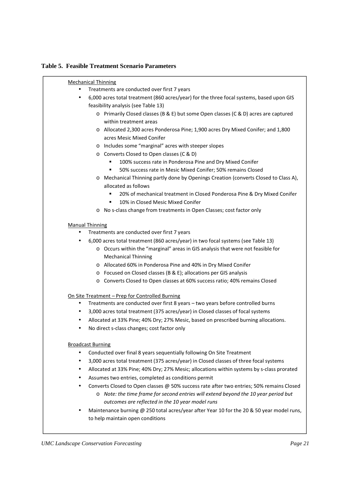## **Table 5. Feasible Treatment Scenario Parameters**

| <b>Mechanical Thinning</b>                                                                |
|-------------------------------------------------------------------------------------------|
| Treatments are conducted over first 7 years                                               |
| 6,000 acres total treatment (860 acres/year) for the three focal systems, based upon GIS  |
| feasibility analysis (see Table 13)                                                       |
| o Primarily Closed classes (B & E) but some Open classes (C & D) acres are captured       |
| within treatment areas                                                                    |
| o Allocated 2,300 acres Ponderosa Pine; 1,900 acres Dry Mixed Conifer; and 1,800          |
| acres Mesic Mixed Conifer                                                                 |
| o Includes some "marginal" acres with steeper slopes                                      |
| o Converts Closed to Open classes (C & D)                                                 |
| 100% success rate in Ponderosa Pine and Dry Mixed Conifer                                 |
| 50% success rate in Mesic Mixed Conifer; 50% remains Closed                               |
| o Mechanical Thinning partly done by Openings Creation (converts Closed to Class A),      |
| allocated as follows                                                                      |
| 20% of mechanical treatment in Closed Ponderosa Pine & Dry Mixed Conifer<br>٠             |
| 10% in Closed Mesic Mixed Conifer<br>п                                                    |
| o No s-class change from treatments in Open Classes; cost factor only                     |
|                                                                                           |
| <b>Manual Thinning</b>                                                                    |
| Treatments are conducted over first 7 years                                               |
| 6,000 acres total treatment (860 acres/year) in two focal systems (see Table 13)          |
| o Occurs within the "marginal" areas in GIS analysis that were not feasible for           |
| <b>Mechanical Thinning</b>                                                                |
| o Allocated 60% in Ponderosa Pine and 40% in Dry Mixed Conifer                            |
| ○ Focused on Closed classes (B & E); allocations per GIS analysis                         |
| o Converts Closed to Open classes at 60% success ratio; 40% remains Closed                |
| On Site Treatment - Prep for Controlled Burning                                           |
| Treatments are conducted over first 8 years - two years before controlled burns           |
| 3,000 acres total treatment (375 acres/year) in Closed classes of focal systems           |
| Allocated at 33% Pine; 40% Dry; 27% Mesic, based on prescribed burning allocations.       |
| No direct s-class changes; cost factor only                                               |
|                                                                                           |
| <b>Broadcast Burning</b>                                                                  |
| Conducted over final 8 years sequentially following On Site Treatment                     |
| 3,000 acres total treatment (375 acres/year) in Closed classes of three focal systems     |
| Allocated at 33% Pine; 40% Dry; 27% Mesic; allocations within systems by s-class prorated |
| Assumes two entries, completed as conditions permit                                       |
| Converts Closed to Open classes @ 50% success rate after two entries; 50% remains Closed  |
| o Note: the time frame for second entries will extend beyond the 10 year period but       |
| outcomes are reflected in the 10 year model runs                                          |
| Maintenance burning @ 250 total acres/year after Year 10 for the 20 & 50 year model runs, |
| to help maintain open conditions                                                          |
|                                                                                           |
|                                                                                           |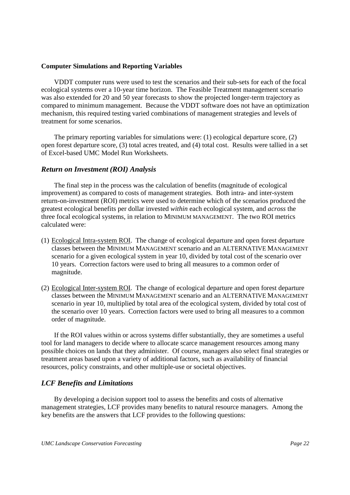#### **Computer Simulations and Reporting Variables**

 VDDT computer runs were used to test the scenarios and their sub-sets for each of the focal ecological systems over a 10-year time horizon. The Feasible Treatment management scenario was also extended for 20 and 50 year forecasts to show the projected longer-term trajectory as compared to minimum management. Because the VDDT software does not have an optimization mechanism, this required testing varied combinations of management strategies and levels of treatment for some scenarios.

 The primary reporting variables for simulations were: (1) ecological departure score, (2) open forest departure score, (3) total acres treated, and (4) total cost. Results were tallied in a set of Excel-based UMC Model Run Worksheets.

## *Return on Investment (ROI) Analysis*

 The final step in the process was the calculation of benefits (magnitude of ecological improvement) as compared to costs of management strategies. Both intra- and inter-system return-on-investment (ROI) metrics were used to determine which of the scenarios produced the greatest ecological benefits per dollar invested *within* each ecological system, and *across* the three focal ecological systems, in relation to MINIMUM MANAGEMENT. The two ROI metrics calculated were:

- (1) Ecological Intra-system ROI. The change of ecological departure and open forest departure classes between the MINIMUM MANAGEMENT scenario and an ALTERNATIVE MANAGEMENT scenario for a given ecological system in year 10, divided by total cost of the scenario over 10 years. Correction factors were used to bring all measures to a common order of magnitude.
- (2) Ecological Inter-system ROI. The change of ecological departure and open forest departure classes between the MINIMUM MANAGEMENT scenario and an ALTERNATIVE MANAGEMENT scenario in year 10, multiplied by total area of the ecological system, divided by total cost of the scenario over 10 years. Correction factors were used to bring all measures to a common order of magnitude.

 If the ROI values within or across systems differ substantially, they are sometimes a useful tool for land managers to decide where to allocate scarce management resources among many possible choices on lands that they administer. Of course, managers also select final strategies or treatment areas based upon a variety of additional factors, such as availability of financial resources, policy constraints, and other multiple-use or societal objectives.

## *LCF Benefits and Limitations*

By developing a decision support tool to assess the benefits and costs of alternative management strategies, LCF provides many benefits to natural resource managers. Among the key benefits are the answers that LCF provides to the following questions: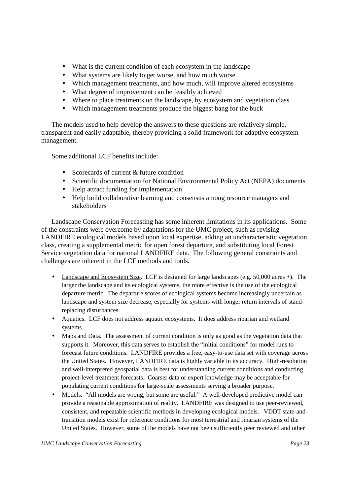What is the current condition of each ecosystem in the landscape What systems are likely to get worse, and how much worse Which management treatments, and how much, will improve altered ecosystems What degree of improvement can be feasibly achieved Where to place treatments on the landscape, by ecosystem and vegetation class Which management treatments produce the biggest bang for the buck

The models used to help develop the answers to these questions are relatively simple, transparent and easily adaptable, thereby providing a solid framework for adaptive ecosystem management.

Some additional LCF benefits include:

Scorecards of current & future condition Scientific documentation for National Environmental Policy Act (NEPA) documents Help attract funding for implementation Help build collaborative learning and consensus among resource managers and stakeholders

Landscape Conservation Forecasting has some inherent limitations in its applications. Some of the constraints were overcome by adaptations for the UMC project, such as revising LANDFIRE ecological models based upon local expertise, adding an uncharacteristic vegetation class, creating a supplemental metric for open forest departure, and substituting local Forest Service vegetation data for national LANDFIRE data. The following general constraints and challenges are inherent in the LCF methods and tools.

Landscape and Ecosystem Size. LCF is designed for large landscapes (e.g. 50,000 acres +). The larger the landscape and its ecological systems, the more effective is the use of the ecological departure metric. The departure scores of ecological systems become increasingly uncertain as landscape and system size decrease, especially for systems with longer return intervals of standreplacing disturbances.

Aquatics. LCF does not address aquatic ecosystems. It does address riparian and wetland systems.

Maps and Data. The assessment of current condition is only as good as the vegetation data that supports it. Moreover, this data serves to establish the "initial conditions" for model runs to forecast future conditions. LANDFIRE provides a free, easy-to-use data set with coverage across the United States. However, LANDFIRE data is highly variable in its accuracy. High-resolution and well-interpreted geospatial data is best for understanding current conditions and conducting project-level treatment forecasts. Coarser data or expert knowledge may be acceptable for populating current conditions for large-scale assessments serving a broader purpose.

Models. "All models are wrong, but some are useful." A well-developed predictive model can provide a reasonable approximation of reality. LANDFIRE was designed to use peer-reviewed, consistent, and repeatable scientific methods in developing ecological models. VDDT state-andtransition models exist for reference conditions for most terrestrial and riparian systems of the United States. However, some of the models have not been sufficiently peer reviewed and other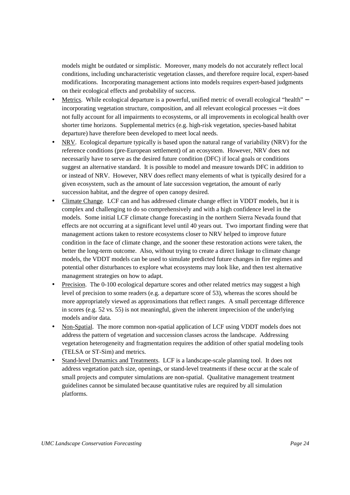models might be outdated or simplistic. Moreover, many models do not accurately reflect local conditions, including uncharacteristic vegetation classes, and therefore require local, expert-based modifications. Incorporating management actions into models requires expert-based judgments on their ecological effects and probability of success.

Metrics. While ecological departure is a powerful, unified metric of overall ecological "health" – incorporating vegetation structure, composition, and all relevant ecological processes − it does not fully account for all impairments to ecosystems, or all improvements in ecological health over shorter time horizons. Supplemental metrics (e.g. high-risk vegetation, species-based habitat departure) have therefore been developed to meet local needs.

NRV. Ecological departure typically is based upon the natural range of variability (NRV) for the reference conditions (pre-European settlement) of an ecosystem. However, NRV does not necessarily have to serve as the desired future condition (DFC) if local goals or conditions suggest an alternative standard. It is possible to model and measure towards DFC in addition to or instead of NRV. However, NRV does reflect many elements of what is typically desired for a given ecosystem, such as the amount of late succession vegetation, the amount of early succession habitat, and the degree of open canopy desired.

Climate Change. LCF can and has addressed climate change effect in VDDT models, but it is complex and challenging to do so comprehensively and with a high confidence level in the models. Some initial LCF climate change forecasting in the northern Sierra Nevada found that effects are not occurring at a significant level until 40 years out. Two important finding were that management actions taken to restore ecosystems closer to NRV helped to improve future condition in the face of climate change, and the sooner these restoration actions were taken, the better the long-term outcome. Also, without trying to create a direct linkage to climate change models, the VDDT models can be used to simulate predicted future changes in fire regimes and potential other disturbances to explore what ecosystems may look like, and then test alternative management strategies on how to adapt.

Precision. The 0-100 ecological departure scores and other related metrics may suggest a high level of precision to some readers (e.g. a departure score of 53), whereas the scores should be more appropriately viewed as approximations that reflect ranges. A small percentage difference in scores (e.g. 52 vs. 55) is not meaningful, given the inherent imprecision of the underlying models and/or data.

Non-Spatial. The more common non-spatial application of LCF using VDDT models does not address the pattern of vegetation and succession classes across the landscape. Addressing vegetation heterogeneity and fragmentation requires the addition of other spatial modeling tools (TELSA or ST-Sim) and metrics.

Stand-level Dynamics and Treatments. LCF is a landscape-scale planning tool. It does not address vegetation patch size, openings, or stand-level treatments if these occur at the scale of small projects and computer simulations are non-spatial. Qualitative management treatment guidelines cannot be simulated because quantitative rules are required by all simulation platforms.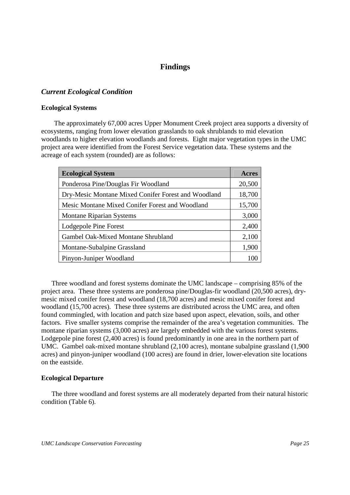## **Findings**

## *Current Ecological Condition*

#### **Ecological Systems**

 The approximately 67,000 acres Upper Monument Creek project area supports a diversity of ecosystems, ranging from lower elevation grasslands to oak shrublands to mid elevation woodlands to higher elevation woodlands and forests. Eight major vegetation types in the UMC project area were identified from the Forest Service vegetation data. These systems and the acreage of each system (rounded) are as follows:

| <b>Ecological System</b>                            | Acres  |  |  |  |  |
|-----------------------------------------------------|--------|--|--|--|--|
| Ponderosa Pine/Douglas Fir Woodland                 |        |  |  |  |  |
| Dry-Mesic Montane Mixed Conifer Forest and Woodland |        |  |  |  |  |
| Mesic Montane Mixed Conifer Forest and Woodland     | 15,700 |  |  |  |  |
| <b>Montane Riparian Systems</b>                     | 3,000  |  |  |  |  |
| Lodgepole Pine Forest                               | 2,400  |  |  |  |  |
| Gambel Oak-Mixed Montane Shrubland                  | 2,100  |  |  |  |  |
| Montane-Subalpine Grassland                         | 1,900  |  |  |  |  |
| Pinyon-Juniper Woodland                             | 100    |  |  |  |  |

 Three woodland and forest systems dominate the UMC landscape – comprising 85% of the project area. These three systems are ponderosa pine/Douglas-fir woodland (20,500 acres), drymesic mixed conifer forest and woodland (18,700 acres) and mesic mixed conifer forest and woodland (15,700 acres). These three systems are distributed across the UMC area, and often found commingled, with location and patch size based upon aspect, elevation, soils, and other factors. Five smaller systems comprise the remainder of the area's vegetation communities. The montane riparian systems (3,000 acres) are largely embedded with the various forest systems. Lodgepole pine forest (2,400 acres) is found predominantly in one area in the northern part of UMC. Gambel oak-mixed montane shrubland (2,100 acres), montane subalpine grassland (1,900 acres) and pinyon-juniper woodland (100 acres) are found in drier, lower-elevation site locations on the eastside.

#### **Ecological Departure**

 The three woodland and forest systems are all moderately departed from their natural historic condition (Table 6).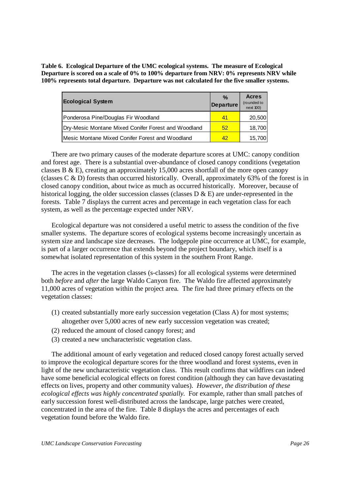**Table 6. Ecological Departure of the UMC ecological systems. The measure of Ecological Departure is scored on a scale of 0% to 100% departure from NRV: 0% represents NRV while 100% represents total departure. Departure was not calculated for the five smaller systems.** 

| <b>Ecological System</b>                            | $\%$<br><b>Departure</b> | <b>Acres</b><br>(rounded to<br>next 100) |
|-----------------------------------------------------|--------------------------|------------------------------------------|
| Ponderosa Pine/Douglas Fir Woodland                 | 41                       | 20,500                                   |
| Dry-Mesic Montane Mixed Conifer Forest and Woodland | 52                       | 18,700                                   |
| Mesic Montane Mixed Conifer Forest and Woodland     | 42                       | 15,700                                   |

 There are two primary causes of the moderate departure scores at UMC: canopy condition and forest age. There is a substantial over-abundance of closed canopy conditions (vegetation classes B & E), creating an approximately 15,000 acres shortfall of the more open canopy (classes C & D) forests than occurred historically. Overall, approximately 63% of the forest is in closed canopy condition, about twice as much as occurred historically. Moreover, because of historical logging, the older succession classes (classes  $D \& E$ ) are under-represented in the forests. Table 7 displays the current acres and percentage in each vegetation class for each system, as well as the percentage expected under NRV.

Ecological departure was not considered a useful metric to assess the condition of the five smaller systems. The departure scores of ecological systems become increasingly uncertain as system size and landscape size decreases. The lodgepole pine occurrence at UMC, for example, is part of a larger occurrence that extends beyond the project boundary, which itself is a somewhat isolated representation of this system in the southern Front Range.

 The acres in the vegetation classes (s-classes) for all ecological systems were determined both *before* and *after* the large Waldo Canyon fire. The Waldo fire affected approximately 11,000 acres of vegetation within the project area. The fire had three primary effects on the vegetation classes:

- (1) created substantially more early succession vegetation (Class A) for most systems; altogether over 5,000 acres of new early succession vegetation was created;
- (2) reduced the amount of closed canopy forest; and
- (3) created a new uncharacteristic vegetation class.

The additional amount of early vegetation and reduced closed canopy forest actually served to improve the ecological departure scores for the three woodland and forest systems, even in light of the new uncharacteristic vegetation class. This result confirms that wildfires can indeed have some beneficial ecological effects on forest condition (although they can have devastating effects on lives, property and other community values). *However, the distribution of these ecological effects was highly concentrated spatially.* For example, rather than small patches of early succession forest well-distributed across the landscape, large patches were created, concentrated in the area of the fire. Table 8 displays the acres and percentages of each vegetation found before the Waldo fire.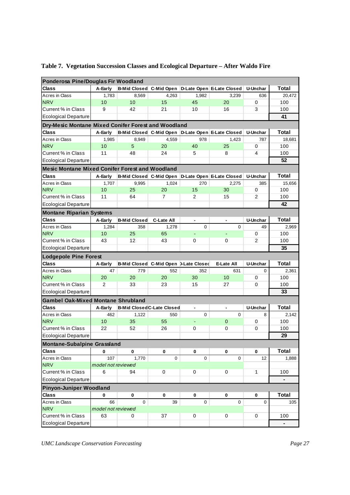| Ponderosa Pine/Douglas Fir Woodland                    |                         |                                       |                   |                |                                                   |                      |                       |  |  |
|--------------------------------------------------------|-------------------------|---------------------------------------|-------------------|----------------|---------------------------------------------------|----------------------|-----------------------|--|--|
| Class                                                  | A-Early                 |                                       |                   |                | B-Mid Closed C-Mid Open D-Late Open E-Late Closed | U-Unchar             | Total                 |  |  |
| Acres in Class                                         | 1.783                   | 8,569                                 | 4,263             | 1,982          | 3,239                                             | 636                  | 20,472                |  |  |
| <b>NRV</b>                                             | 10                      | 10                                    | 15                | 45             | 20                                                | 0                    | 100                   |  |  |
| Current % in Class                                     | 9                       | 42                                    | 21                | 10             | 16                                                | 3                    | 100                   |  |  |
| <b>Ecological Departure</b>                            |                         |                                       |                   |                |                                                   |                      | 41                    |  |  |
| Dry-Mesic Montane Mixed Conifer Forest and Woodland    |                         |                                       |                   |                |                                                   |                      |                       |  |  |
| <b>Class</b>                                           | A-Early                 |                                       |                   |                | B-Mid Closed C-Mid Open D-Late Open E-Late Closed | U-Unchar             | <b>Total</b>          |  |  |
| Acres in Class                                         | 1,985                   | 8,949                                 | 4,559             | 978            | 1,423                                             | 787                  | 18,681                |  |  |
| <b>NRV</b>                                             | 10                      | 5                                     | 20                | 40             | 25                                                | 0                    | 100                   |  |  |
| Current % in Class                                     | 11                      | 48                                    | 24                | 5              | 8                                                 | 4                    | 100                   |  |  |
| <b>Ecological Departure</b>                            |                         |                                       |                   |                |                                                   |                      | 52                    |  |  |
| <b>Mesic Montane Mixed Conifer Forest and Woodland</b> |                         |                                       |                   |                |                                                   |                      |                       |  |  |
| <b>Class</b>                                           | A-Early                 |                                       |                   |                | B-Mid Closed C-Mid Open D-Late Open E-Late Closed | U-Unchar             | Total                 |  |  |
| Acres in Class                                         | 1,707                   | 9,995                                 | 1,024             | 270            | 2,275                                             | 385                  | 15,656                |  |  |
| <b>NRV</b>                                             | 10                      | 25                                    | 20                | 15             | 30                                                | 0                    | 100                   |  |  |
| Current % in Class                                     | 11                      | 64                                    | $\overline{7}$    | 2              | 15                                                | $\overline{2}$       | 100                   |  |  |
| <b>Ecological Departure</b>                            |                         |                                       |                   |                |                                                   |                      | 42                    |  |  |
| <b>Montane Riparian Systems</b>                        |                         |                                       |                   |                |                                                   |                      |                       |  |  |
| <b>Class</b>                                           | A-Early                 | <b>B-Mid Closed</b>                   | <b>C-Late All</b> | $\blacksquare$ | ٠                                                 | <b>U-Unchar</b>      | <b>Total</b>          |  |  |
| Acres in Class                                         | 1,284                   | 358                                   | 1,278             | $\mathbf 0$    | $\Omega$                                          | 49                   | 2,969                 |  |  |
| <b>NRV</b>                                             | 10                      | 25                                    | 65                |                |                                                   | 0                    | 100                   |  |  |
| Current % in Class                                     | 43                      | 12                                    | 43                | 0              | 0                                                 | $\overline{2}$       | 100                   |  |  |
| <b>Ecological Departure</b>                            |                         |                                       |                   |                |                                                   |                      | 35                    |  |  |
| <b>Lodgepole Pine Forest</b>                           |                         |                                       |                   |                |                                                   |                      |                       |  |  |
| <b>Class</b>                                           | A-Early                 | B-Mid Closed C-Mid Open D-Late Closed |                   |                | E-Late All                                        | <b>U-Unchar</b>      | Total                 |  |  |
| Acres in Class                                         | 47                      | 779                                   | 552               | 352            | 631                                               | $\Omega$             | 2,361                 |  |  |
| <b>NRV</b>                                             | 20                      | 20                                    | 20                |                |                                                   |                      |                       |  |  |
|                                                        |                         |                                       |                   | 30             | 10                                                | 0                    | 100                   |  |  |
| Current % in Class                                     | 2                       | 33                                    | 23                | 15             | 27                                                | 0                    | 100                   |  |  |
|                                                        |                         |                                       |                   |                |                                                   |                      | 33                    |  |  |
| <b>Ecological Departure</b>                            |                         |                                       |                   |                |                                                   |                      |                       |  |  |
| <b>Gambel Oak-Mixed Montane Shrubland</b>              |                         |                                       |                   | $\blacksquare$ | $\blacksquare$                                    |                      | Total                 |  |  |
| <b>Class</b><br>Acres in Class                         | A-Early<br>462          | <b>B-Mid Closed C-Late Closed</b>     | 550               | 0              | $\Omega$                                          | <b>U-Unchar</b><br>8 |                       |  |  |
| <b>NRV</b>                                             | 10                      | 1,122<br>35                           | 55                | $\blacksquare$ | $\mathbf 0$                                       | 0                    | 2,142<br>100          |  |  |
| Current % in Class                                     | 22                      | 52                                    | 26                | 0              | 0                                                 | 0                    | 100                   |  |  |
| <b>Ecological Departure</b>                            |                         |                                       |                   |                |                                                   |                      | 29                    |  |  |
|                                                        |                         |                                       |                   |                |                                                   |                      |                       |  |  |
| <b>Montane-Subalpine Grassland</b><br><b>Class</b>     | 0                       | 0                                     | 0                 | 0              | 0                                                 | 0                    |                       |  |  |
|                                                        | 107                     | 1,770                                 | 0                 | $\mathbf 0$    | $\Omega$                                          | 12                   | <b>Total</b><br>1,888 |  |  |
| Acres in Class                                         |                         |                                       |                   |                |                                                   |                      |                       |  |  |
| <b>NRV</b><br>Current % in Class                       | model not reviewed<br>6 | 94                                    | 0                 | $\mathbf 0$    | 0                                                 | 1                    | 100                   |  |  |
|                                                        |                         |                                       |                   |                |                                                   |                      |                       |  |  |
| <b>Ecological Departure</b>                            |                         |                                       |                   |                |                                                   |                      |                       |  |  |
| <b>Pinyon-Juniper Woodland</b><br><b>Class</b>         | 0                       | 0                                     | 0                 | 0              | 0                                                 | 0                    |                       |  |  |
|                                                        | 66                      | 0                                     | 39                | $\mathbf 0$    | $\Omega$                                          | $\Omega$             | <b>Total</b>          |  |  |
| Acres in Class<br><b>NRV</b>                           | model not reviewed      |                                       |                   |                |                                                   |                      | 105                   |  |  |
| Current % in Class                                     | 63                      | 0                                     | 37                | $\mathbf 0$    | 0                                                 | $\mathbf 0$          | 100                   |  |  |

## **Table 7. Vegetation Succession Classes and Ecological Departure – After Waldo Fire**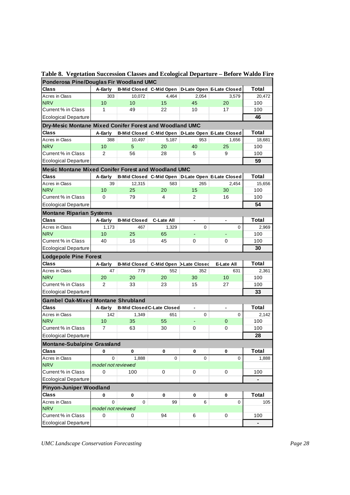| Ponderosa Pine/Douglas Fir Woodland UMC                    |                    |                                       |                                   |                |                                                   |                |  |  |  |
|------------------------------------------------------------|--------------------|---------------------------------------|-----------------------------------|----------------|---------------------------------------------------|----------------|--|--|--|
| Class                                                      | A-Early            | B-Mid Closed C-Mid Open               |                                   |                | D-Late Open E-Late Closed                         | <b>Total</b>   |  |  |  |
| Acres in Class                                             | 303                | 10,072                                | 4,464                             | 2,054          | 3,579                                             | 20,472         |  |  |  |
| <b>NRV</b>                                                 | 10                 | 10                                    | 15                                | 45             | 20                                                | 100            |  |  |  |
| Current % in Class                                         | 1                  | 49                                    | 22                                | 10             | 17                                                | 100            |  |  |  |
| <b>Ecological Departure</b>                                |                    |                                       |                                   |                |                                                   | 46             |  |  |  |
| Dry-Mesic Montane Mixed Conifer Forest and Woodland UMC    |                    |                                       |                                   |                |                                                   |                |  |  |  |
| Class                                                      | A-Early            |                                       |                                   |                | B-Mid Closed C-Mid Open D-Late Open E-Late Closed | Total          |  |  |  |
| Acres in Class                                             | 388                | 10,497                                | 5,187                             | 953            | 1,656                                             | 18,681         |  |  |  |
| <b>NRV</b>                                                 | 10                 | 5                                     | 20                                | 40             | 25                                                | 100            |  |  |  |
| Current % in Class                                         | 2                  | 56                                    | 28                                | 5              | 9                                                 | 100            |  |  |  |
| <b>Ecological Departure</b>                                |                    |                                       |                                   |                |                                                   | 59             |  |  |  |
| <b>Mesic Montane Mixed Conifer Forest and Woodland UMC</b> |                    |                                       |                                   |                |                                                   |                |  |  |  |
| Class                                                      |                    |                                       |                                   |                | B-Mid Closed C-Mid Open D-Late Open E-Late Closed | <b>Total</b>   |  |  |  |
| Acres in Class                                             | A-Early<br>39      |                                       |                                   |                |                                                   |                |  |  |  |
|                                                            |                    | 12,315                                | 583                               | 265            | 2,454                                             | 15,656         |  |  |  |
| <b>NRV</b>                                                 | 10                 | 25                                    | 20                                | 15             | 30                                                | 100            |  |  |  |
| Current % in Class                                         | 0                  | 79                                    | 4                                 | $\overline{2}$ | 16                                                | 100            |  |  |  |
| <b>Ecological Departure</b>                                |                    |                                       |                                   |                |                                                   | 54             |  |  |  |
| <b>Montane Riparian Systems</b>                            |                    |                                       |                                   |                |                                                   |                |  |  |  |
| Class                                                      | A-Early            | <b>B-Mid Closed</b>                   | <b>C-Late All</b>                 |                |                                                   | <b>Total</b>   |  |  |  |
| Acres in Class                                             | 1,173              | 467                                   | 1,329                             | 0              | $\Omega$                                          | 2.969          |  |  |  |
| <b>NRV</b>                                                 | 10                 | 25                                    | 65                                |                |                                                   | 100            |  |  |  |
| Current % in Class                                         | 40                 | 16                                    | 45                                | 0              | 0                                                 | 100            |  |  |  |
| <b>Ecological Departure</b>                                |                    |                                       |                                   |                |                                                   | 30             |  |  |  |
| <b>Lodgepole Pine Forest</b>                               |                    |                                       |                                   |                |                                                   |                |  |  |  |
| Class                                                      | A-Early            | B-Mid Closed C-Mid Open D-Late Closed |                                   |                | <b>E-Late All</b>                                 | Total          |  |  |  |
| Acres in Class                                             | 47                 | 779                                   | 552                               | 352            | 631                                               | 2,361          |  |  |  |
| <b>NRV</b>                                                 | 20                 | 20                                    | 20                                | 30             | 10                                                | 100            |  |  |  |
| Current % in Class                                         | $\overline{2}$     | 33                                    | 23                                | 15             | 27                                                | 100            |  |  |  |
| <b>Ecological Departure</b>                                |                    |                                       |                                   |                |                                                   | 33             |  |  |  |
| <b>Gambel Oak-Mixed Montane Shrubland</b>                  |                    |                                       |                                   |                |                                                   |                |  |  |  |
| Class                                                      | A-Early            |                                       | <b>B-Mid Closed C-Late Closed</b> |                |                                                   | <b>Total</b>   |  |  |  |
| Acres in Class                                             | 142                | 1,349                                 | 651                               | $\mathbf 0$    | $\Omega$                                          | 2,142          |  |  |  |
| <b>NRV</b>                                                 | 10                 | 35                                    | 55                                | ÷,             | $\mathbf{0}$                                      | 100            |  |  |  |
| Current % in Class                                         | 7                  | 63                                    | 30                                | 0              | 0                                                 | 100            |  |  |  |
| <b>Ecological Departure</b>                                |                    |                                       |                                   |                |                                                   | 28             |  |  |  |
|                                                            |                    |                                       |                                   |                |                                                   |                |  |  |  |
| <b>Montane-Subalpine Grassland</b><br><b>Class</b>         | 0                  | 0                                     | 0                                 | 0              | 0                                                 | <b>Total</b>   |  |  |  |
| Acres in Class                                             | $\overline{0}$     |                                       | 0                                 | 0              | $\Omega$                                          | 1,888          |  |  |  |
| <b>NRV</b>                                                 |                    | 1,888                                 |                                   |                |                                                   |                |  |  |  |
| Current % in Class                                         | model not reviewed | 100                                   |                                   |                |                                                   | 100            |  |  |  |
|                                                            | 0                  |                                       | 0                                 | 0              | 0                                                 |                |  |  |  |
| <b>Ecological Departure</b>                                |                    |                                       |                                   |                |                                                   |                |  |  |  |
| <b>Pinyon-Juniper Woodland</b>                             |                    |                                       |                                   |                |                                                   |                |  |  |  |
| <b>Class</b>                                               | 0                  | 0                                     | 0                                 | 0              | 0                                                 | <b>Total</b>   |  |  |  |
| Acres in Class                                             | 0                  | $\Omega$                              | 99                                | 6              | $\Omega$                                          | 105            |  |  |  |
| <b>NRV</b>                                                 | model not reviewed |                                       |                                   |                |                                                   |                |  |  |  |
| Current % in Class                                         | 0                  | 0                                     | 94                                | 6              | 0                                                 | 100            |  |  |  |
| <b>Ecological Departure</b>                                |                    |                                       |                                   |                |                                                   | $\blacksquare$ |  |  |  |

**Table 8. Vegetation Succession Classes and Ecological Departure – Before Waldo Fire**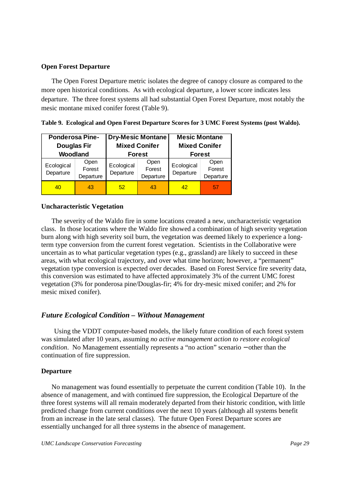#### **Open Forest Departure**

The Open Forest Departure metric isolates the degree of canopy closure as compared to the more open historical conditions. As with ecological departure, a lower score indicates less departure. The three forest systems all had substantial Open Forest Departure, most notably the mesic montane mixed conifer forest (Table 9).

| <b>Ponderosa Pine-</b><br><b>Douglas Fir</b> |                             |                         | <b>Dry-Mesic Montane</b><br><b>Mixed Conifer</b> | <b>Mesic Montane</b><br><b>Mixed Conifer</b> |                             |  |
|----------------------------------------------|-----------------------------|-------------------------|--------------------------------------------------|----------------------------------------------|-----------------------------|--|
| Woodland<br>Ecological<br>Departure          | Open<br>Forest<br>Departure | Ecological<br>Departure | <b>Forest</b><br>Open<br>Forest<br>Departure     | <b>Forest</b><br>Ecological<br>Departure     | Open<br>Forest<br>Departure |  |
| 40                                           | 43                          | 52                      | 43                                               | 42                                           | 57                          |  |

|  | Table 9. Ecological and Open Forest Departure Scores for 3 UMC Forest Systems (post Waldo). |  |
|--|---------------------------------------------------------------------------------------------|--|
|  |                                                                                             |  |

#### **Uncharacteristic Vegetation**

 The severity of the Waldo fire in some locations created a new, uncharacteristic vegetation class. In those locations where the Waldo fire showed a combination of high severity vegetation burn along with high severity soil burn, the vegetation was deemed likely to experience a longterm type conversion from the current forest vegetation. Scientists in the Collaborative were uncertain as to what particular vegetation types (e.g., grassland) are likely to succeed in these areas, with what ecological trajectory, and over what time horizon; however, a "permanent" vegetation type conversion is expected over decades. Based on Forest Service fire severity data, this conversion was estimated to have affected approximately 3% of the current UMC forest vegetation (3% for ponderosa pine/Douglas-fir; 4% for dry-mesic mixed conifer; and 2% for mesic mixed conifer).

## *Future Ecological Condition – Without Management*

Using the VDDT computer-based models, the likely future condition of each forest system was simulated after 10 years, assuming *no active management action to restore ecological condition*. No Management essentially represents a "no action" scenario − other than the continuation of fire suppression.

#### **Departure**

 No management was found essentially to perpetuate the current condition (Table 10). In the absence of management, and with continued fire suppression, the Ecological Departure of the three forest systems will all remain moderately departed from their historic condition, with little predicted change from current conditions over the next 10 years (although all systems benefit from an increase in the late seral classes). The future Open Forest Departure scores are essentially unchanged for all three systems in the absence of management.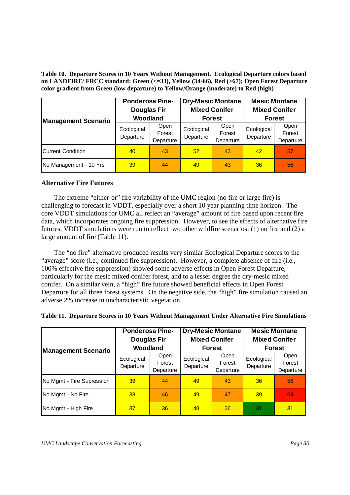**Table 10. Departure Scores in 10 Years Without Management. Ecological Departure colors based on LANDFIRE/ FRCC standard: Green (<=33), Yellow (34-66), Red (>67); Open Forest Departure color gradient from Green (low departure) to Yellow/Orange (moderate) to Red (high)** 

| <b>Management Scenario</b> | <b>Ponderosa Pine-</b><br><b>Douglas Fir</b><br>Woodland |                             |                         | <b>Dry-Mesic Montane</b><br><b>Mixed Conifer</b><br><b>Forest</b> | <b>Mesic Montane</b><br><b>Mixed Conifer</b><br><b>Forest</b> |                             |
|----------------------------|----------------------------------------------------------|-----------------------------|-------------------------|-------------------------------------------------------------------|---------------------------------------------------------------|-----------------------------|
|                            | Ecological<br>Departure                                  | Open<br>Forest<br>Departure | Ecological<br>Departure | Open<br>Forest<br>Departure                                       | Ecological<br>Departure                                       | Open<br>Forest<br>Departure |
| Current Condition          | 40                                                       | 43                          | 52                      | 43                                                                | 42                                                            | 57                          |
| No Management - 10 Yrs     | 39                                                       | 44                          | 49                      | 43                                                                | 36                                                            | 56                          |

#### **Alternative Fire Futures**

 The extreme "either-or" fire variability of the UMC region (no fire or large fire) is challenging to forecast in VDDT, especially over a short 10 year planning time horizon. The core VDDT simulations for UMC all reflect an "average" amount of fire based upon recent fire data, which incorporates ongoing fire suppression. However, to see the effects of alternative fire futures, VDDT simulations were run to reflect two other wildfire scenarios: (1) no fire and (2) a large amount of fire (Table 11).

 The "no fire" alternative produced results very similar Ecological Departure scores to the "average" score (i.e., continued fire suppression). However, a complete absence of fire (i.e., 100% effective fire suppression) showed some adverse effects in Open Forest Departure, particularly for the mesic mixed conifer forest, and to a lesser degree the dry-mesic mixed conifer. On a similar vein, a "high" fire future showed beneficial effects in Open Forest Departure for all three forest systems. On the negative side, the "high" fire simulation caused an adverse 2% increase in uncharacteristic vegetation.

| <b>Management Scenario</b> | <b>Ponderosa Pine-</b><br><b>Douglas Fir</b><br>Woodland |                             |                         | <b>Dry-Mesic Montane</b><br><b>Mixed Conifer</b><br><b>Forest</b> | <b>Mesic Montane</b><br><b>Mixed Conifer</b><br><b>Forest</b> |                             |
|----------------------------|----------------------------------------------------------|-----------------------------|-------------------------|-------------------------------------------------------------------|---------------------------------------------------------------|-----------------------------|
|                            | Ecological<br>Departure                                  | Open<br>Forest<br>Departure | Ecological<br>Departure | Open<br>Forest<br>Departure                                       | Ecological<br>Departure                                       | Open<br>Forest<br>Departure |
| No Mgmt - Fire Supression  | 39                                                       | 44                          | 49                      | 43                                                                | 36                                                            | 56                          |
| No Mgmt - No Fire          | 38                                                       | 46                          | 49                      | 47                                                                | 39                                                            | 64                          |
| No Mgmt - High Fire        | 37                                                       | 36                          | 48                      | 36                                                                | 31                                                            | 31                          |

|  |  | Table 11. Departure Scores in 10 Years Without Management Under Alternative Fire Simulations |  |  |
|--|--|----------------------------------------------------------------------------------------------|--|--|
|  |  |                                                                                              |  |  |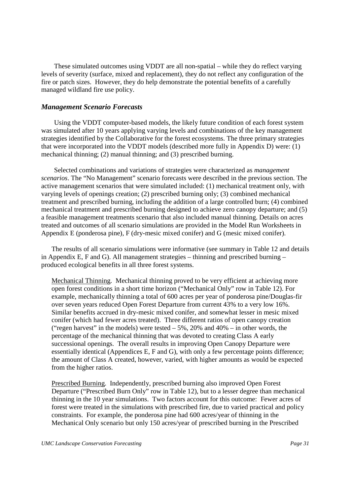These simulated outcomes using VDDT are all non-spatial – while they do reflect varying levels of severity (surface, mixed and replacement), they do not reflect any configuration of the fire or patch sizes. However, they do help demonstrate the potential benefits of a carefully managed wildland fire use policy.

#### *Management Scenario Forecasts*

Using the VDDT computer-based models, the likely future condition of each forest system was simulated after 10 years applying varying levels and combinations of the key management strategies identified by the Collaborative for the forest ecosystems. The three primary strategies that were incorporated into the VDDT models (described more fully in Appendix D) were: (1) mechanical thinning; (2) manual thinning; and (3) prescribed burning.

 Selected combinations and variations of strategies were characterized as *management scenarios*. The "No Management" scenario forecasts were described in the previous section. The active management scenarios that were simulated included: (1) mechanical treatment only, with varying levels of openings creation; (2) prescribed burning only; (3) combined mechanical treatment and prescribed burning, including the addition of a large controlled burn; (4) combined mechanical treatment and prescribed burning designed to achieve zero canopy departure; and (5) a feasible management treatments scenario that also included manual thinning. Details on acres treated and outcomes of all scenario simulations are provided in the Model Run Worksheets in Appendix E (ponderosa pine), F (dry-mesic mixed conifer) and G (mesic mixed conifer).

 The results of all scenario simulations were informative (see summary in Table 12 and details in Appendix E, F and G). All management strategies – thinning and prescribed burning – produced ecological benefits in all three forest systems.

Mechanical Thinning. Mechanical thinning proved to be very efficient at achieving more open forest conditions in a short time horizon ("Mechanical Only" row in Table 12). For example, mechanically thinning a total of 600 acres per year of ponderosa pine/Douglas-fir over seven years reduced Open Forest Departure from current 43% to a very low 16%. Similar benefits accrued in dry-mesic mixed conifer, and somewhat lesser in mesic mixed conifer (which had fewer acres treated). Three different ratios of open canopy creation ("regen harvest" in the models) were tested  $-5\%$ , 20% and 40%  $-$  in other words, the percentage of the mechanical thinning that was devoted to creating Class A early successional openings. The overall results in improving Open Canopy Departure were essentially identical (Appendices E, F and G), with only a few percentage points difference; the amount of Class A created, however, varied, with higher amounts as would be expected from the higher ratios.

Prescribed Burning. Independently, prescribed burning also improved Open Forest Departure ("Prescribed Burn Only" row in Table 12), but to a lesser degree than mechanical thinning in the 10 year simulations. Two factors account for this outcome: Fewer acres of forest were treated in the simulations with prescribed fire, due to varied practical and policy constraints. For example, the ponderosa pine had 600 acres/year of thinning in the Mechanical Only scenario but only 150 acres/year of prescribed burning in the Prescribed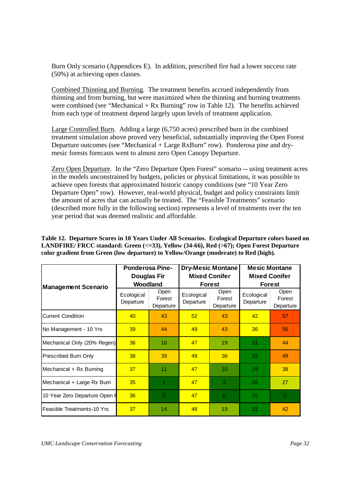Burn Only scenario (Appendices E). In addition, prescribed fire had a lower success rate (50%) at achieving open classes.

Combined Thinning and Burning. The treatment benefits accrued independently from thinning and from burning, but were maximized when the thinning and burning treatments were combined (see "Mechanical + Rx Burning" row in Table 12). The benefits achieved from each type of treatment depend largely upon levels of treatment application.

Large Controlled Burn. Adding a large (6,750 acres) prescribed burn in the combined treatment simulation above proved very beneficial, substantially improving the Open Forest Departure outcomes (see "Mechanical + Large RxBurn" row). Ponderosa pine and drymesic forests forecasts went to almost zero Open Canopy Departure.

Zero Open Departure. In the "Zero Departure Open Forest" scenario -- using treatment acres in the models unconstrained by budgets, policies or physical limitations, it was possible to achieve open forests that approximated historic canopy conditions (see "10 Year Zero Departure Open" row). However, real-world physical, budget and policy constraints limit the amount of acres that can actually be treated. The "Feasible Treatments" scenario (described more fully in the following section) represents a level of treatments over the ten year period that was deemed realistic and affordable.

**Table 12. Departure Scores in 10 Years Under All Scenarios. Ecological Departure colors based on LANDFIRE/ FRCC standard: Green (<=33), Yellow (34-66), Red (>67); Open Forest Departure color gradient from Green (low departure) to Yellow/Orange (moderate) to Red (high).**

|                               | <b>Ponderosa Pine-</b><br><b>Douglas Fir</b><br>Woodland |                                    |                         | <b>Dry-Mesic Montane</b><br><b>Mixed Conifer</b> | <b>Mesic Montane</b><br><b>Mixed Conifer</b> |                             |  |
|-------------------------------|----------------------------------------------------------|------------------------------------|-------------------------|--------------------------------------------------|----------------------------------------------|-----------------------------|--|
| <b>Management Scenario</b>    |                                                          |                                    |                         | <b>Forest</b>                                    |                                              | <b>Forest</b>               |  |
|                               | Ecological<br>Departure                                  | <b>Open</b><br>Forest<br>Departure | Ecological<br>Departure | Open<br>Forest<br>Departure                      | Ecological<br>Departure                      | Open<br>Forest<br>Departure |  |
| <b>Current Condition</b>      | 40                                                       | 43                                 | 52                      | 43                                               | 42                                           | 57                          |  |
| No Management - 10 Yrs        | 39                                                       | 44                                 | 49                      | 43                                               | 36                                           | 56                          |  |
| Mechanical Only (20% Regen)   | 36                                                       | 16                                 | 47                      | 19                                               | 31                                           | 44                          |  |
| Prescribed Burn Only          | 38                                                       | 39                                 | 49                      | 36                                               | 33                                           | 49                          |  |
| Mechanical + Rx Burning       | 37                                                       | 11                                 | 47                      | 10                                               | 29                                           | 38                          |  |
| Mechanical + Large Rx Burn    | 35                                                       | 1                                  | 47                      | 3                                                | 26                                           | 27                          |  |
| 10 Year Zero Departure Open F | 36                                                       | $\Omega$                           | 47                      | $\Omega$                                         | 25                                           | $\Omega$                    |  |
| Feasible Treatments-10 Yrs    | 37                                                       | 14                                 | 48                      | 19                                               | 31                                           | 42                          |  |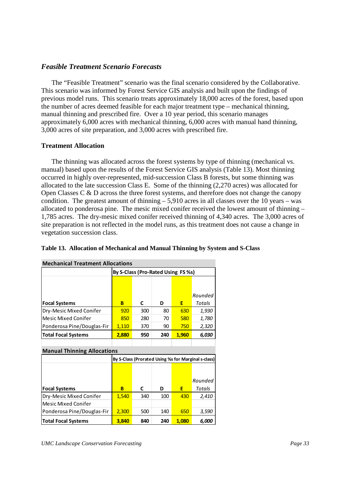## *Feasible Treatment Scenario Forecasts*

The "Feasible Treatment" scenario was the final scenario considered by the Collaborative. This scenario was informed by Forest Service GIS analysis and built upon the findings of previous model runs. This scenario treats approximately 18,000 acres of the forest, based upon the number of acres deemed feasible for each major treatment type – mechanical thinning, manual thinning and prescribed fire. Over a 10 year period, this scenario manages approximately 6,000 acres with mechanical thinning, 6,000 acres with manual hand thinning, 3,000 acres of site preparation, and 3,000 acres with prescribed fire.

## **Treatment Allocation**

 The thinning was allocated across the forest systems by type of thinning (mechanical vs. manual) based upon the results of the Forest Service GIS analysis (Table 13). Most thinning occurred in highly over-represented, mid-succession Class B forests, but some thinning was allocated to the late succession Class E. Some of the thinning (2,270 acres) was allocated for Open Classes  $C \& D$  across the three forest systems, and therefore does not change the canopy condition. The greatest amount of thinning  $-5,910$  acres in all classes over the 10 years – was allocated to ponderosa pine. The mesic mixed conifer received the lowest amount of thinning – 1,785 acres. The dry-mesic mixed conifer received thinning of 4,340 acres. The 3,000 acres of site preparation is not reflected in the model runs, as this treatment does not cause a change in vegetation succession class.

|  |  | Table 13. Allocation of Mechanical and Manual Thinning by System and S-Class |  |  |  |  |
|--|--|------------------------------------------------------------------------------|--|--|--|--|
|--|--|------------------------------------------------------------------------------|--|--|--|--|

| <b>Mechanical Treatment Allocations</b> |                                    |     |     |       |         |  |  |  |
|-----------------------------------------|------------------------------------|-----|-----|-------|---------|--|--|--|
|                                         | By S-Class (Pro-Rated Using FS %s) |     |     |       |         |  |  |  |
|                                         |                                    |     |     |       |         |  |  |  |
|                                         |                                    |     |     |       |         |  |  |  |
|                                         |                                    |     |     |       | Rounded |  |  |  |
| <b>Focal Systems</b>                    | в                                  | C   | D   | Е     | Totals  |  |  |  |
| Dry-Mesic Mixed Conifer                 | 920                                | 300 | 80  | 630   | 1,930   |  |  |  |
| <b>Mesic Mixed Conifer</b>              | 850                                | 280 | 70  | 580   | 1,780   |  |  |  |
| Ponderosa Pine/Douglas-Fir              | 1,110                              | 370 | 90  | 750   | 2,320   |  |  |  |
| <b>Total Focal Systems</b>              | 2,880                              | 950 | 240 | 1,960 | 6,030   |  |  |  |

#### **Manual Thinning Allocations**

|                            | By S-Class (Prorated Using % for Marginal s-class) |     |     |       |         |  |  |
|----------------------------|----------------------------------------------------|-----|-----|-------|---------|--|--|
|                            |                                                    |     |     |       |         |  |  |
|                            |                                                    |     |     |       |         |  |  |
|                            |                                                    |     |     |       | Rounded |  |  |
| <b>Focal Systems</b>       | В                                                  |     | D   | Е     | Totals  |  |  |
| Dry-Mesic Mixed Conifer    | 1,540                                              | 340 | 100 | 430   | 2,410   |  |  |
| <b>Mesic Mixed Conifer</b> |                                                    |     |     |       |         |  |  |
| Ponderosa Pine/Douglas-Fir | 2,300                                              | 500 | 140 | 650   | 3,590   |  |  |
| <b>Total Focal Systems</b> | 3.840                                              | 840 | 240 | 1.080 | 6.000   |  |  |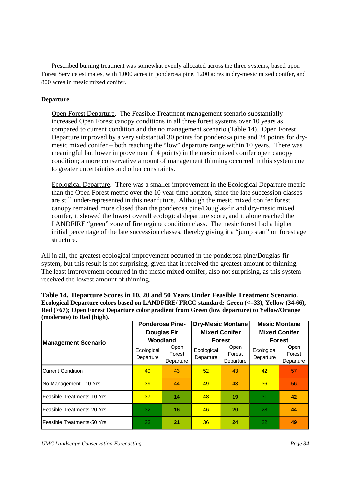Prescribed burning treatment was somewhat evenly allocated across the three systems, based upon Forest Service estimates, with 1,000 acres in ponderosa pine, 1200 acres in dry-mesic mixed conifer, and 800 acres in mesic mixed conifer.

#### **Departure**

Open Forest Departure. The Feasible Treatment management scenario substantially increased Open Forest canopy conditions in all three forest systems over 10 years as compared to current condition and the no management scenario (Table 14). Open Forest Departure improved by a very substantial 30 points for ponderosa pine and 24 points for drymesic mixed conifer – both reaching the "low" departure range within 10 years. There was meaningful but lower improvement (14 points) in the mesic mixed conifer open canopy condition; a more conservative amount of management thinning occurred in this system due to greater uncertainties and other constraints.

Ecological Departure. There was a smaller improvement in the Ecological Departure metric than the Open Forest metric over the 10 year time horizon, since the late succession classes are still under-represented in this near future. Although the mesic mixed conifer forest canopy remained more closed than the ponderosa pine/Douglas-fir and dry-mesic mixed conifer, it showed the lowest overall ecological departure score, and it alone reached the LANDFIRE "green" zone of fire regime condition class. The mesic forest had a higher initial percentage of the late succession classes, thereby giving it a "jump start" on forest age structure.

All in all, the greatest ecological improvement occurred in the ponderosa pine/Douglas-fir system, but this result is not surprising, given that it received the greatest amount of thinning. The least improvement occurred in the mesic mixed conifer, also not surprising, as this system received the lowest amount of thinning.

**Table 14. Departure Scores in 10, 20 and 50 Years Under Feasible Treatment Scenario.** 

| Ecological Departure colors based on LANDFIRE/FRCC standard: Green (<=33), Yellow (34-66),  |                        |                          |                      |  |  |  |  |  |  |
|---------------------------------------------------------------------------------------------|------------------------|--------------------------|----------------------|--|--|--|--|--|--|
| Red (>67); Open Forest Departure color gradient from Green (low departure) to Yellow/Orange |                        |                          |                      |  |  |  |  |  |  |
| (moderate) to Red (high).                                                                   |                        |                          |                      |  |  |  |  |  |  |
|                                                                                             | <b>Ponderosa Pine-</b> | <b>Dry-Mesic Montane</b> | <b>Mesic Montane</b> |  |  |  |  |  |  |
|                                                                                             | <b>Douglas Fir</b>     | <b>Mixed Conifer</b>     | <b>Mixed Conifer</b> |  |  |  |  |  |  |
|                                                                                             | <b>Moodland</b>        | Eorpet                   | Eoract               |  |  |  |  |  |  |

| (moderate) to Red (nigh).  |                                                          |                             |                         |                             |                                              |                             |  |  |  |
|----------------------------|----------------------------------------------------------|-----------------------------|-------------------------|-----------------------------|----------------------------------------------|-----------------------------|--|--|--|
|                            | <b>Ponderosa Pine-</b><br><b>Douglas Fir</b><br>Woodland |                             |                         | <b>Dry-Mesic Montane</b>    | <b>Mesic Montane</b><br><b>Mixed Conifer</b> |                             |  |  |  |
|                            |                                                          |                             |                         | <b>Mixed Conifer</b>        |                                              |                             |  |  |  |
| <b>Management Scenario</b> |                                                          |                             | <b>Forest</b>           |                             | <b>Forest</b>                                |                             |  |  |  |
|                            | Ecological<br>Departure                                  | Open<br>Forest<br>Departure | Ecological<br>Departure | Open<br>Forest<br>Departure | Ecological<br>Departure                      | Open<br>Forest<br>Departure |  |  |  |
| <b>Current Condition</b>   | 40                                                       | 43                          | 52                      | 43                          | 42                                           | 57                          |  |  |  |
| No Management - 10 Yrs     | 39                                                       | 44                          | 49                      | 43                          | 36                                           | 56                          |  |  |  |
| Feasible Treatments-10 Yrs | 37                                                       | 14                          | 48                      | 19                          | 31                                           | 42                          |  |  |  |
| Feasible Treatments-20 Yrs | 32                                                       | 16                          | 46                      | 20                          | 28                                           | 44                          |  |  |  |
| Feasible Treatments-50 Yrs | 23                                                       | 21                          | 36                      | 24                          | 22                                           | 49                          |  |  |  |

*UMC Landscape Conservation Forecasting*  $P_{\text{angle}}$  *Page 34 Page 34 Page 34 Page 34 Page 34 Page 34 Page 34 Page 34 Page 34 Page 34 Page 34 Page 34 Page 34 Page 34 Page 34 Page 34 Page 34*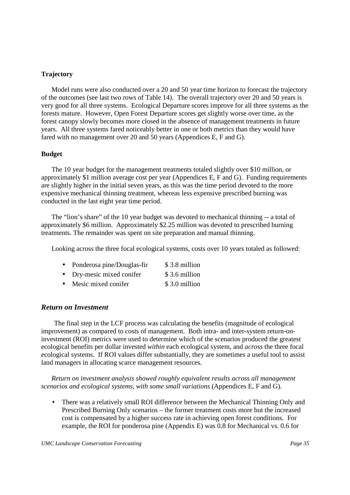#### **Trajectory**

 Model runs were also conducted over a 20 and 50 year time horizon to forecast the trajectory of the outcomes (see last two rows of Table 14). The overall trajectory over 20 and 50 years is very good for all three systems. Ecological Departure scores improve for all three systems as the forests mature. However, Open Forest Departure scores get slightly worse over time, as the forest canopy slowly becomes more closed in the absence of management treatments in future years. All three systems fared noticeably better in one or both metrics than they would have fared with no management over 20 and 50 years (Appendices E, F and G).

#### **Budget**

 The 10 year budget for the management treatments totaled slightly over \$10 million, or approximately \$1 million average cost per year (Appendices E, F and G). Funding requirements are slightly higher in the initial seven years, as this was the time period devoted to the more expensive mechanical thinning treatment, whereas less expensive prescribed burning was conducted in the last eight year time period.

 The "lion's share" of the 10 year budget was devoted to mechanical thinning -- a total of approximately \$6 million. Approximately \$2.25 million was devoted to prescribed burning treatments. The remainder was spent on site preparation and manual thinning.

Looking across the three focal ecological systems, costs over 10 years totaled as followed:

| Ponderosa pine/Douglas-fir | \$3.8 million |
|----------------------------|---------------|
| Dry-mesic mixed conifer    | \$3.6 million |
| Mesic mixed conifer        | \$3.0 million |

## *Return on Investment*

 The final step in the LCF process was calculating the benefits (magnitude of ecological improvement) as compared to costs of management. Both intra- and inter-system return-oninvestment (ROI) metrics were used to determine which of the scenarios produced the greatest ecological benefits per dollar invested *within* each ecological system, and *across* the three focal ecological systems. If ROI values differ substantially, they are sometimes a useful tool to assist land managers in allocating scarce management resources.

*Return on investment analysis showed roughly equivalent results across all management scenarios and ecological systems, with some small variations* (Appendices E, F and G).

There was a relatively small ROI difference between the Mechanical Thinning Only and Prescribed Burning Only scenarios – the former treatment costs more but the increased cost is compensated by a higher success rate in achieving open forest conditions. For example, the ROI for ponderosa pine (Appendix E) was 0.8 for Mechanical vs. 0.6 for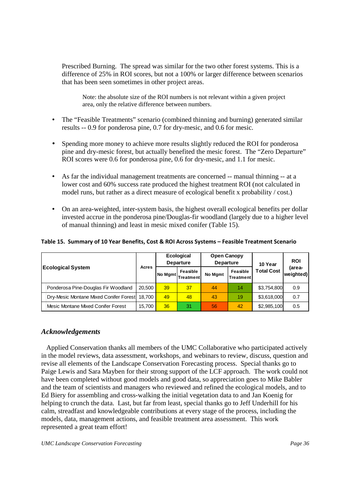Prescribed Burning. The spread was similar for the two other forest systems. This is a difference of 25% in ROI scores, but not a 100% or larger difference between scenarios that has been seen sometimes in other project areas.

Note: the absolute size of the ROI numbers is not relevant within a given project area, only the relative difference between numbers.

The "Feasible Treatments" scenario (combined thinning and burning) generated similar results -- 0.9 for ponderosa pine, 0.7 for dry-mesic, and 0.6 for mesic.

Spending more money to achieve more results slightly reduced the ROI for ponderosa pine and dry-mesic forest, but actually benefited the mesic forest. The "Zero Departure" ROI scores were 0.6 for ponderosa pine, 0.6 for dry-mesic, and 1.1 for mesic.

As far the individual management treatments are concerned -- manual thinning -- at a lower cost and 60% success rate produced the highest treatment ROI (not calculated in model runs, but rather as a direct measure of ecological benefit x probability / cost.)

On an area-weighted, inter-system basis, the highest overall ecological benefits per dollar invested accrue in the ponderosa pine/Douglas-fir woodland (largely due to a higher level of manual thinning) and least in mesic mixed conifer (Table 15).

#### **Table 15. Summary of 10 Year Benefits, Cost & ROI Across Systems – Feasible Treatment Scenario**

| <b>Ecological System</b> |                                               | Acres  | <b>Ecological</b><br><b>Departure</b> |                                              | <b>Open Canopy</b><br><b>Departure</b> |                       | 10 Year           | <b>ROI</b>           |
|--------------------------|-----------------------------------------------|--------|---------------------------------------|----------------------------------------------|----------------------------------------|-----------------------|-------------------|----------------------|
|                          |                                               |        |                                       | Feasible<br>I No Mgmt Treatment <sup>I</sup> | No Mgmt                                | Feasible<br>Treatment | <b>Total Cost</b> | (area-<br> weighted) |
|                          | Ponderosa Pine-Douglas Fir Woodland           | 20.500 | 39 <sup>°</sup>                       | 37                                           | 44                                     | 14                    | \$3,754,800       | 0.9                  |
|                          | Dry-Mesic Montane Mixed Conifer Forest 18,700 |        | 49                                    | 48                                           | 43                                     | 19                    | \$3,618,000       | 0.7                  |
|                          | Mesic Montane Mixed Conifer Forest            | 15,700 | 36                                    | 31                                           | 56                                     | 42                    | \$2,985,100       | 0.5                  |

## *Acknowledgements*

Applied Conservation thanks all members of the UMC Collaborative who participated actively in the model reviews, data assessment, workshops, and webinars to review, discuss, question and revise all elements of the Landscape Conservation Forecasting process. Special thanks go to Paige Lewis and Sara Mayben for their strong support of the LCF approach. The work could not have been completed without good models and good data, so appreciation goes to Mike Babler and the team of scientists and managers who reviewed and refined the ecological models, and to Ed Biery for assembling and cross-walking the initial vegetation data to and Jan Koenig for helping to crunch the data. Last, but far from least, special thanks go to Jeff Underhill for his calm, streadfast and knowledgeable contributions at every stage of the process, including the models, data, management actions, and feasible treatment area assessment. This work represented a great team effort!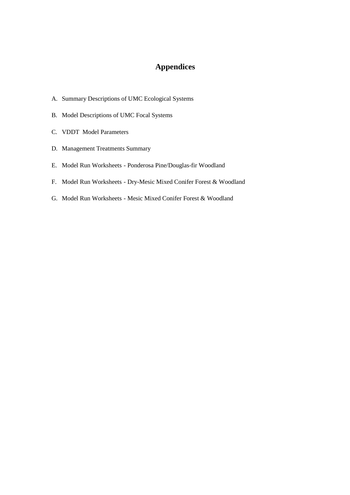## **Appendices**

- A. Summary Descriptions of UMC Ecological Systems
- B. Model Descriptions of UMC Focal Systems
- C. VDDT Model Parameters
- D. Management Treatments Summary
- E. Model Run Worksheets Ponderosa Pine/Douglas-fir Woodland
- F. Model Run Worksheets Dry-Mesic Mixed Conifer Forest & Woodland
- G. Model Run Worksheets Mesic Mixed Conifer Forest & Woodland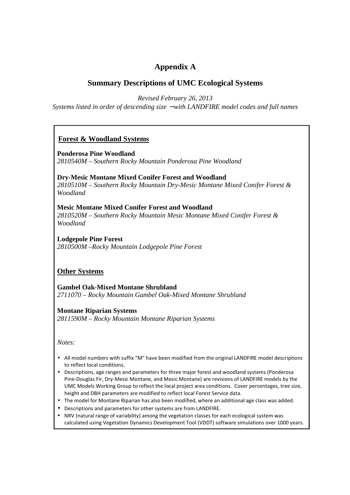## **Appendix A**

## **Summary Descriptions of UMC Ecological Systems**

*Revised February 26, 2013* 

*Systems listed in order of descending size* − *with LANDFIRE model codes and full names* 

## **Forest & Woodland Systems**

**Ponderosa Pine Woodland**  *2810540M – Southern Rocky Mountain Ponderosa Pine Woodland* 

**Dry-Mesic Montane Mixed Conifer Forest and Woodland**  *2810510M – Southern Rocky Mountain Dry-Mesic Montane Mixed Conifer Forest & Woodland* 

### **Mesic Montane Mixed Conifer Forest and Woodland**  *2810520M – Southern Rocky Mountain Mesic Montane Mixed Conifer Forest & Woodland*

**Lodgepole Pine Forest**  *2810500M –Rocky Mountain Lodgepole Pine Forest* 

### **Other Systems**

**Gambel Oak-Mixed Montane Shrubland**  *2711070 – Rocky Mountain Gambel Oak-Mixed Montane Shrubland* 

#### **Montane Riparian Systems**  *2811590M – Rocky Mountain Montane Riparian Systems*

*Notes:* 

All model numbers with suffix "M" have been modified from the original LANDFIRE model descriptions to reflect local conditions.

Descriptions, age ranges and parameters for three major forest and woodland systems (Ponderosa Pine-Douglas Fir, Dry-Mesic Montane, and Mesic Montane) are revisions of LANDFIRE models by the UMC Models Working Group to reflect the local project area conditions. Cover percentages, tree size, height and DBH parameters are modified to reflect local Forest Service data.

The model for Montane Riparian has also been modified, where an additional age class was added. Descriptions and parameters for other systems are from LANDFIRE.

NRV (natural range of variability) among the vegetation classes for each ecological system was calculated using Vegetation Dynamics Development Tool (VDDT) software simulations over 1000 years.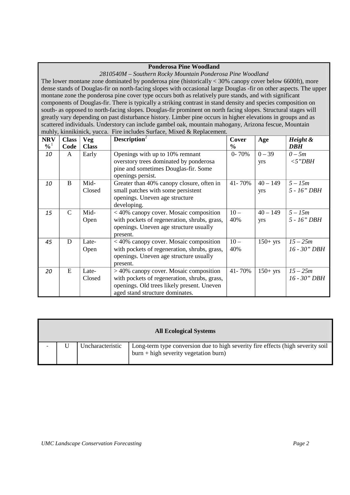#### **Ponderosa Pine Woodland**

*2810540M – Southern Rocky Mountain Ponderosa Pine Woodland* 

The lower montane zone dominated by ponderosa pine (historically < 30% canopy cover below 6600ft), more dense stands of Douglas-fir on north-facing slopes with occasional large Douglas -fir on other aspects. The upper montane zone the ponderosa pine cover type occurs both as relatively pure stands, and with significant components of Douglas-fir. There is typically a striking contrast in stand density and species composition on south- as opposed to north-facing slopes. Douglas-fir prominent on north facing slopes. Structural stages will greatly vary depending on past disturbance history. Limber pine occurs in higher elevations in groups and as scattered individuals. Understory can include gambel oak, mountain mahogany, Arizona fescue, Mountain muhly, kinnikinick, yucca. Fire includes Surface, Mixed & Replacement.

| <b>NRV</b>                 | <b>Class</b>  | <b>Veg</b>   | Description <sup>2</sup>                     | Cover         | Age        | Height &     |
|----------------------------|---------------|--------------|----------------------------------------------|---------------|------------|--------------|
| $\frac{9}{6}$ <sup>1</sup> | Code          | <b>Class</b> |                                              | $\frac{6}{6}$ |            | <b>DBH</b>   |
| 10                         | A             | Early        | Openings with up to 10% remnant              | $0 - 70%$     | $0 - 39$   | $0-5m$       |
|                            |               |              | overstory trees dominated by ponderosa       |               | yrs        | $<$ 5"DBH    |
|                            |               |              | pine and sometimes Douglas-fir. Some         |               |            |              |
|                            |               |              | openings persist.                            |               |            |              |
| 10                         | B             | Mid-         | Greater than 40% canopy closure, often in    | 41-70%        | $40 - 149$ | $5 - 15m$    |
|                            |               | Closed       | small patches with some persistent           |               | yrs        | 5 - 16" DBH  |
|                            |               |              | openings. Uneven age structure               |               |            |              |
|                            |               |              | developing.                                  |               |            |              |
| 15                         | $\mathcal{C}$ | Mid-         | $<$ 40% canopy cover. Mosaic composition     | $10 -$        | $40 - 149$ | $5 - 15m$    |
|                            |               | Open         | with pockets of regeneration, shrubs, grass, | 40%           | yrs        | 5 - 16" DBH  |
|                            |               |              | openings. Uneven age structure usually       |               |            |              |
|                            |               |              | present.                                     |               |            |              |
| 45                         | D             | Late-        | $<$ 40% canopy cover. Mosaic composition     | $10-$         | $150+$ yrs | $15 - 25m$   |
|                            |               | Open         | with pockets of regeneration, shrubs, grass, | 40%           |            | 16 - 30" DBH |
|                            |               |              | openings. Uneven age structure usually       |               |            |              |
|                            |               |              | present.                                     |               |            |              |
| 20                         | E             | Late-        | $>$ 40% canopy cover. Mosaic composition     | 41-70%        | $150+$ yrs | $15 - 25m$   |
|                            |               | Closed       | with pockets of regeneration, shrubs, grass, |               |            | 16 - 30" DBH |
|                            |               |              | openings. Old trees likely present. Uneven   |               |            |              |
|                            |               |              | aged stand structure dominates.              |               |            |              |

|  |                  | <b>All Ecological Systems</b>                                                                                              |
|--|------------------|----------------------------------------------------------------------------------------------------------------------------|
|  | Uncharacteristic | Long-term type conversion due to high severity fire effects (high severity soil<br>$burn + high$ severity vegetation burn) |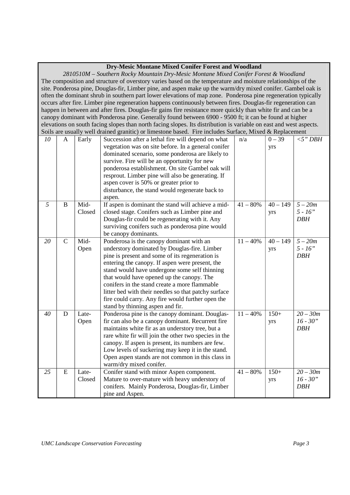|    | 2810510M - Southern Rocky Mountain Dry-Mesic Montane Mixed Conifer Forest & Woodland<br>The composition and structure of overstory varies based on the temperature and moisture relationships of the<br>site. Ponderosa pine, Douglas-fir, Limber pine, and aspen make up the warm/dry mixed conifer. Gambel oak is<br>often the dominant shrub in southern part lower elevations of map zone. Ponderosa pine regeneration typically<br>occurs after fire. Limber pine regeneration happens continuously between fires. Douglas-fir regeneration can<br>happen in between and after fires. Douglas-fir gains fire resistance more quickly than white fir and can be a<br>canopy dominant with Ponderosa pine. Generally found between 6900 - 9500 ft; it can be found at higher<br>elevations on south facing slopes than north facing slopes. Its distribution is variable on east and west aspects.<br>Soils are usually well drained granitic) or limestone based. Fire includes Surface, Mixed & Replacement<br>$0 - 39$<br>10<br>A |                 |                                                                                                                                                                                                                                                                                                                                                                                                                                                                                                |            |                   |                                        |
|----|-----------------------------------------------------------------------------------------------------------------------------------------------------------------------------------------------------------------------------------------------------------------------------------------------------------------------------------------------------------------------------------------------------------------------------------------------------------------------------------------------------------------------------------------------------------------------------------------------------------------------------------------------------------------------------------------------------------------------------------------------------------------------------------------------------------------------------------------------------------------------------------------------------------------------------------------------------------------------------------------------------------------------------------------|-----------------|------------------------------------------------------------------------------------------------------------------------------------------------------------------------------------------------------------------------------------------------------------------------------------------------------------------------------------------------------------------------------------------------------------------------------------------------------------------------------------------------|------------|-------------------|----------------------------------------|
|    |                                                                                                                                                                                                                                                                                                                                                                                                                                                                                                                                                                                                                                                                                                                                                                                                                                                                                                                                                                                                                                         | Early           | Succession after a lethal fire will depend on what<br>vegetation was on site before. In a general conifer<br>dominated scenario, some ponderosa are likely to<br>survive. Fire will be an opportunity for new<br>ponderosa establishment. On site Gambel oak will<br>resprout. Limber pine will also be generating. If<br>aspen cover is 50% or greater prior to<br>disturbance, the stand would regenerate back to<br>aspen.                                                                  | n/a        | yrs               | $<$ 5" DBH                             |
| 5  | B                                                                                                                                                                                                                                                                                                                                                                                                                                                                                                                                                                                                                                                                                                                                                                                                                                                                                                                                                                                                                                       | Mid-<br>Closed  | If aspen is dominant the stand will achieve a mid-<br>closed stage. Conifers such as Limber pine and<br>Douglas-fir could be regenerating with it. Any<br>surviving conifers such as ponderosa pine would<br>be canopy dominants.                                                                                                                                                                                                                                                              | $41 - 80%$ | $40 - 149$<br>yrs | $5 - 20m$<br>$5 - 16"$<br><b>DBH</b>   |
| 20 | $\mathbf C$                                                                                                                                                                                                                                                                                                                                                                                                                                                                                                                                                                                                                                                                                                                                                                                                                                                                                                                                                                                                                             | Mid-<br>Open    | Ponderosa is the canopy dominant with an<br>understory dominated by Douglas-fire. Limber<br>pine is present and some of its regeneration is<br>entering the canopy. If aspen were present, the<br>stand would have undergone some self thinning<br>that would have opened up the canopy. The<br>conifers in the stand create a more flammable<br>litter bed with their needles so that patchy surface<br>fire could carry. Any fire would further open the<br>stand by thinning aspen and fir. | $11 - 40%$ | $40 - 149$<br>yrs | $5 - 20m$<br>$5 - 16"$<br><b>DBH</b>   |
| 40 | D                                                                                                                                                                                                                                                                                                                                                                                                                                                                                                                                                                                                                                                                                                                                                                                                                                                                                                                                                                                                                                       | Late-<br>Open   | Ponderosa pine is the canopy dominant. Douglas-<br>fir can also be a canopy dominant. Recurrent fire<br>maintains white fir as an understory tree, but a<br>rare white fir will join the other two species in the<br>canopy. If aspen is present, its numbers are few.<br>Low levels of suckering may keep it in the stand.<br>Open aspen stands are not common in this class in<br>warm/dry mixed conifer.                                                                                    | $11 - 40%$ | $150+$<br>yrs     | $20 - 30m$<br>$16 - 30"$<br><b>DBH</b> |
| 25 | E                                                                                                                                                                                                                                                                                                                                                                                                                                                                                                                                                                                                                                                                                                                                                                                                                                                                                                                                                                                                                                       | Late-<br>Closed | Conifer stand with minor Aspen component.<br>Mature to over-mature with heavy understory of<br>conifers. Mainly Ponderosa, Douglas-fir, Limber<br>pine and Aspen.                                                                                                                                                                                                                                                                                                                              | $41 - 80%$ | $150+$<br>yrs     | $20 - 30m$<br>$16 - 30"$<br><b>DBH</b> |

#### **Dry-Mesic Montane Mixed Conifer Forest and Woodland**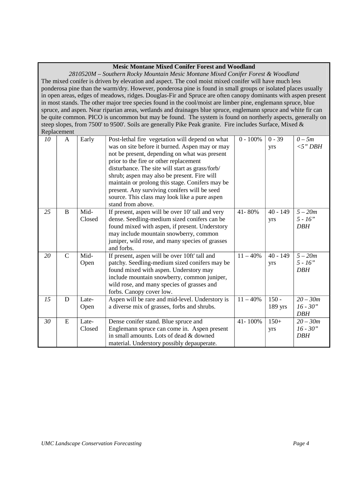#### **Mesic Montane Mixed Conifer Forest and Woodland**

*2810520M – Southern Rocky Mountain Mesic Montane Mixed Conifer Forest & Woodland*  The mixed conifer is driven by elevation and aspect. The cool moist mixed conifer will have much less ponderosa pine than the warm/dry. However, ponderosa pine is found in small groups or isolated places usually in open areas, edges of meadows, ridges. Douglas-Fir and Spruce are often canopy dominants with aspen present in most stands. The other major tree species found in the cool/moist are limber pine, englemann spruce, blue spruce, and aspen. Near riparian areas, wetlands and drainages blue spruce, englemann spruce and white fir can be quite common. PICO is uncommon but may be found. The system is found on northerly aspects, generally on steep slopes, from 7500' to 9500'. Soils are generally Pike Peak granite. Fire includes Surface, Mixed & Replacement

| 10 | A            | Early           | Post-lethal fire vegetation will depend on what<br>was on site before it burned. Aspen may or may<br>not be present, depending on what was present<br>prior to the fire or other replacement<br>disturbance. The site will start as grass/forb/<br>shrub; aspen may also be present. Fire will<br>maintain or prolong this stage. Conifers may be<br>present. Any surviving conifers will be seed<br>source. This class may look like a pure aspen<br>stand from above. | $0 - 100%$ | $0 - 39$<br>yrs      | $0-5m$<br>$<$ 5" DBH                   |
|----|--------------|-----------------|-------------------------------------------------------------------------------------------------------------------------------------------------------------------------------------------------------------------------------------------------------------------------------------------------------------------------------------------------------------------------------------------------------------------------------------------------------------------------|------------|----------------------|----------------------------------------|
| 25 | B            | Mid-<br>Closed  | If present, aspen will be over 10' tall and very<br>dense. Seedling-medium sized conifers can be<br>found mixed with aspen, if present. Understory<br>may include mountain snowberry, common<br>juniper, wild rose, and many species of grasses<br>and forbs.                                                                                                                                                                                                           | 41-80%     | $40 - 149$<br>yrs    | $5-20m$<br>$5 - 16"$<br><b>DBH</b>     |
| 20 | $\mathsf{C}$ | Mid-<br>Open    | If present, aspen will be over 10ft' tall and<br>patchy. Seedling-medium sized conifers may be<br>found mixed with aspen. Understory may<br>include mountain snowberry, common juniper,<br>wild rose, and many species of grasses and<br>forbs. Canopy cover low.                                                                                                                                                                                                       | $11 - 40%$ | $40 - 149$<br>yrs    | $5-20m$<br>$5 - 16"$<br><b>DBH</b>     |
| 15 | D            | Late-<br>Open   | Aspen will be rare and mid-level. Understory is<br>a diverse mix of grasses, forbs and shrubs.                                                                                                                                                                                                                                                                                                                                                                          | $11 - 40%$ | $150 -$<br>$189$ yrs | $20 - 30m$<br>$16 - 30"$<br><b>DBH</b> |
| 30 | E            | Late-<br>Closed | Dense conifer stand. Blue spruce and<br>Englemann spruce can come in. Aspen present<br>in small amounts. Lots of dead & downed<br>material. Understory possibly depauperate.                                                                                                                                                                                                                                                                                            | 41-100%    | $150+$<br>yrs        | $20 - 30m$<br>$16 - 30"$<br><b>DBH</b> |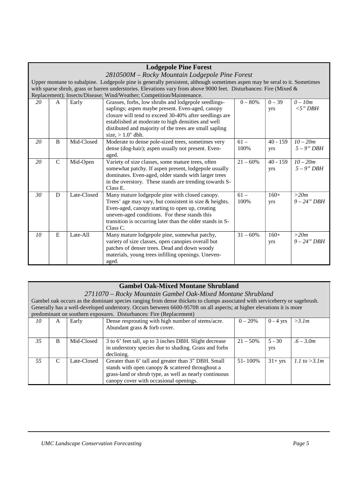|                                                                                                                    |                |             | <b>Lodgepole Pine Forest</b>                                                                                               |             |            |                |
|--------------------------------------------------------------------------------------------------------------------|----------------|-------------|----------------------------------------------------------------------------------------------------------------------------|-------------|------------|----------------|
|                                                                                                                    |                |             | 2810500M – Rocky Mountain Lodgepole Pine Forest                                                                            |             |            |                |
|                                                                                                                    |                |             | Upper montane to subalpine. Lodgepole pine is generally persistent, although sometimes aspen may be seral to it. Sometimes |             |            |                |
| with sparse shrub, grass or barren understories. Elevations vary from above 9000 feet. Disturbances: Fire (Mixed & |                |             |                                                                                                                            |             |            |                |
| Replacement); Insects/Disease; Wind/Weather; Competition/Maintenance.                                              |                |             |                                                                                                                            |             |            |                |
| 20                                                                                                                 | A              | Early       | Grasses, forbs, low shrubs and lodgepole seedlings-                                                                        | $0 - 80%$   | $0 - 39$   | $0-10m$        |
|                                                                                                                    |                |             | saplings; aspen maybe present. Even-aged, canopy                                                                           |             | yrs        | $<$ 5" DBH     |
|                                                                                                                    |                |             | closure will tend to exceed 30-40% after seedlings are                                                                     |             |            |                |
|                                                                                                                    |                |             | established at moderate to high densities and well                                                                         |             |            |                |
|                                                                                                                    |                |             | distibuted and majority of the trees are small sapling                                                                     |             |            |                |
|                                                                                                                    |                |             | size, $> 1.0$ " dbh.                                                                                                       |             |            |                |
| 20                                                                                                                 | $\overline{B}$ | Mid-Closed  | Moderate to dense pole-sized trees, sometimes very                                                                         | $61 -$      | $40 - 159$ | $10 - 20m$     |
|                                                                                                                    |                |             | dense (dog-hair); aspen usually not present. Even-                                                                         | 100%        | yrs        | $5 - 9$ " DBH  |
|                                                                                                                    |                |             | aged.                                                                                                                      |             |            |                |
| 20                                                                                                                 | $\mathsf{C}$   | Mid-Open    | Variety of size classes, some mature trees, often                                                                          | $21 - 60\%$ | $40 - 159$ | $10 - 20m$     |
|                                                                                                                    |                |             | somewhat patchy. If aspen present, lodgepole usually                                                                       |             | yrs        | $5 - 9" DBH$   |
|                                                                                                                    |                |             | dominates. Even-aged, older stands with larger trees                                                                       |             |            |                |
|                                                                                                                    |                |             | in the overstory. These stands are trending towards S-                                                                     |             |            |                |
|                                                                                                                    |                |             | Class E.                                                                                                                   |             |            |                |
| 30                                                                                                                 | D              | Late-Closed | Many mature lodgepole pine with closed canopy.                                                                             | $61 -$      | $160+$     | >20m           |
|                                                                                                                    |                |             | Trees' age may vary, but consistent in size $&$ heights.                                                                   | 100%        | yrs        | $9 - 24" DBH$  |
|                                                                                                                    |                |             | Even-aged, canopy starting to open up, creating                                                                            |             |            |                |
|                                                                                                                    |                |             | uneven-aged conditions. For these stands this                                                                              |             |            |                |
|                                                                                                                    |                |             | transition is occurring later than the older stands in S-<br>Class C.                                                      |             |            |                |
| 10                                                                                                                 | E              | Late-All    | Many mature lodgepole pine, somewhat patchy,                                                                               | $31 - 60\%$ | $160+$     | >20m           |
|                                                                                                                    |                |             | variety of size classes, open canopies overall but                                                                         |             |            | $9 - 24$ " DBH |
|                                                                                                                    |                |             | patches of denser trees. Dead and down woody                                                                               |             | yrs        |                |
|                                                                                                                    |                |             | materials, young trees infilling openings. Uneven-                                                                         |             |            |                |
|                                                                                                                    |                |             | aged.                                                                                                                      |             |            |                |
|                                                                                                                    |                |             |                                                                                                                            |             |            |                |

#### **Gambel Oak-Mixed Montane Shrubland**

*2711070 – Rocky Mountain Gambel Oak-Mixed Montane Shrubland* 

Gambel oak occurs as the dominant species ranging from dense thickets to clumps associated with serviceberry or sagebrush. Generally has a well-developed understory. Occurs between 6600-9570ft on all aspects; at higher elevations it is more predominant on southern exposures. Disturbances: Fire (Replacement)

| 10 | A | Early       | Dense resprouting with high number of stems/acre.      | $0 - 20%$   | $0 - 4$ vrs | >3.1m           |
|----|---|-------------|--------------------------------------------------------|-------------|-------------|-----------------|
|    |   |             | Abundant grass & forb cover.                           |             |             |                 |
|    |   |             |                                                        |             |             |                 |
| 35 | В | Mid-Closed  | 3 to 6' feet tall, up to 3 inches DBH. Slight decrease | $21 - 50\%$ | $5 - 30$    | $6 - 3.0m$      |
|    |   |             | in understory species due to shading. Grass and forbs  |             | yrs         |                 |
|    |   |             | declining.                                             |             |             |                 |
| 55 | C | Late-Closed | Greater than 6' tall and greater than 3" DBH. Small    | 51-100%     | $31+$ yrs   | 1.1 to $>3.1$ m |
|    |   |             | stands with open canopy & scattered throughout a       |             |             |                 |
|    |   |             | grass-land or shrub type, as well as nearly continuous |             |             |                 |
|    |   |             | canopy cover with occasional openings.                 |             |             |                 |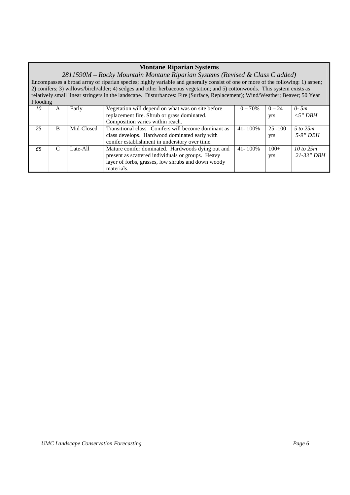### **Montane Riparian Systems**

*2811590M – Rocky Mountain Montane Riparian Systems (Revised & Class C added)*  Encompasses a broad array of riparian species; highly variable and generally consist of one or more of the following: 1) aspen; 2) conifers; 3) willows/birch/alder; 4) sedges and other herbaceous vegetation; and 5) cottonwoods. This system exists as relatively small linear stringers in the landscape. Disturbances: Fire (Surface, Replacement); Wind/Weather; Beaver; 50 Year  $\Gamma$ Flooding

| 10 | A | Early      | Vegetation will depend on what was on site before    | $0 - 70\%$   | $0 - 24$   | $0-5m$               |
|----|---|------------|------------------------------------------------------|--------------|------------|----------------------|
|    |   |            | replacement fire. Shrub or grass dominated.          |              | yrs        | $<$ 5" DBH           |
|    |   |            | Composition varies within reach.                     |              |            |                      |
| 25 | в | Mid-Closed | Transitional class. Conifers will become dominant as | $41 - 100\%$ | $25 - 100$ | 5 to 25m             |
|    |   |            | class develops. Hardwood dominated early with        |              | yrs        | $5-9"$ DBH           |
|    |   |            | conifer establishment in understory over time.       |              |            |                      |
| 65 |   | Late-All   | Mature conifer dominated. Hardwoods dying out and    | $41 - 100\%$ | $100+$     | $10 \text{ to } 25m$ |
|    |   |            | present as scattered individuals or groups. Heavy    |              | yrs        | $21 - 33" DBH$       |
|    |   |            | layer of forbs, grasses, low shrubs and down woody   |              |            |                      |
|    |   |            | materials.                                           |              |            |                      |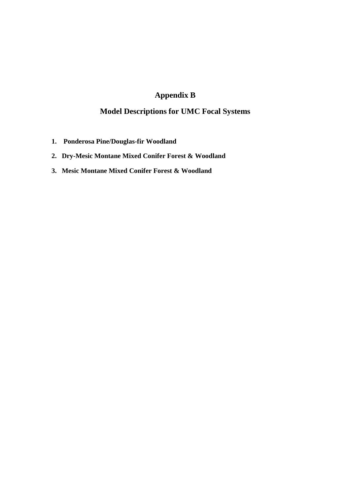## **Appendix B**

## **Model Descriptions for UMC Focal Systems**

- **1. Ponderosa Pine/Douglas-fir Woodland**
- **2. Dry-Mesic Montane Mixed Conifer Forest & Woodland**
- **3. Mesic Montane Mixed Conifer Forest & Woodland**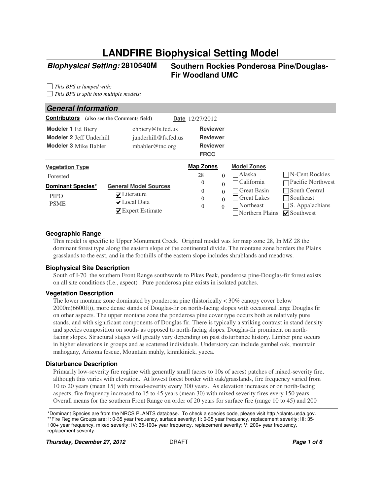# **LANDFIRE Biophysical Setting Model**

### **Biophysical Setting:**

#### **2810540M Southern Rockies Ponderosa Pine/Douglas-Fir Woodland UMC**

*This BPS is lumped with: This BPS is split into multiple models:*

#### Alaska  $\Box$ California □ Great Basin Great Lakes Northeast Northern Plains **○** Southwest N-Cent.Rockies Pacific Northwest South Central Southeast  $\square$  S. Appalachians **Reviewer Reviewer Reviewer Vegetation Type Map Zones Model Zones Model Zones** Forested PIPO PSME **Modeler 1** Ed Biery ehbiery@fs.fed.us **FRCC Date** 12/27/2012 **General Information Modeler 2** Jeff Underhill *junderhill@fs.fed.us* **Modeler 3** Mike Babler mbabler@tnc.org **V**Literature **V**Local Data **Expert Estimate General Model Sources Map Zones** 28 0 0  $0 \qquad 0$ 0  $\Omega$ 0 0 0 **Dominant Species\* Contributors** (also see the Comments field)

#### **Geographic Range**

This model is specific to Upper Monument Creek. Original model was for map zone 28, In MZ 28 the dominant forest type along the eastern slope of the continental divide. The montane zone borders the Plains grasslands to the east, and in the foothills of the eastern slope includes shrublands and meadows.

#### **Biophysical Site Description**

South of I-70 the southern Front Range southwards to Pikes Peak, ponderosa pine-Douglas-fir forest exists on all site conditions (I.e., aspect) . Pure ponderosa pine exists in isolated patches.

#### **Vegetation Description**

The lower montane zone dominated by ponderosa pine (historically  $\lt 30\%$  canopy cover below 2000m(6600ft)), more dense stands of Douglas-fir on north-facing slopes with occasional large Douglas fir on other aspects. The upper montane zone the ponderosa pine cover type occurs both as relatively pure stands, and with significant components of Douglas fir. There is typically a striking contrast in stand density and species composition on south- as opposed to north-facing slopes. Douglas-fir prominent on northfacing slopes. Structural stages will greatly vary depending on past disturbance history. Limber pine occurs in higher elevations in groups and as scattered individuals. Understory can include gambel oak, mountain mahogany, Arizona fescue, Mountain muhly, kinnikinick, yucca.

#### **Disturbance Description**

Primarily low-severity fire regime with generally small (acres to 10s of acres) patches of mixed-severity fire, although this varies with elevation. At lowest forest border with oak/grasslands, fire frequency varied from 10 to 20 years (mean 15) with mixed-severity every 300 years. As elevation increases or on north-facing aspects, fire frequency increased to 15 to 45 years (mean 30) with mixed severity fires every 150 years. Overall means for the southern Front Range on order of 20 years for surface fire (range 10 to 45) and 200

\*Dominant Species are from the NRCS PLANTS database. To check a species code, please visit http://plants.usda.gov. \*\*Fire Regime Groups are: I: 0-35 year frequency, surface severity; II: 0-35 year frequency, replacement severity; III: 35- 100+ year frequency, mixed severity; IV: 35-100+ year frequency, replacement severity; V: 200+ year frequency, replacement severity.

**Thursday, December 27, 2012 DRAFT Page 1 of 6 Page 1 of 6**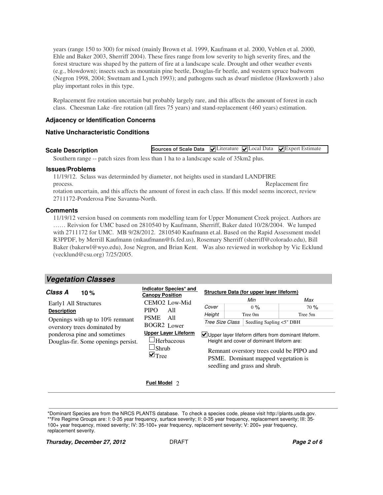years (range 150 to 300) for mixed (mainly Brown et al. 1999, Kaufmann et al. 2000, Veblen et al. 2000, Ehle and Baker 2003, Sherriff 2004). These fires range from low severity to high severity fires, and the forest structure was shaped by the pattern of fire at a landscape scale. Drought and other weather events (e.g., blowdown); insects such as mountain pine beetle, Douglas-fir beetle, and western spruce budworm (Negron 1998, 2004; Swetnam and Lynch 1993); and pathogens such as dwarf mistletoe (Hawksworth ) also play important roles in this type.

Replacement fire rotation uncertain but probably largely rare, and this affects the amount of forest in each class. Cheesman Lake -fire rotation (all fires 75 years) and stand-replacement (460 years) estimation.

#### **Adjacency or Identification Concerns**

#### **Native Uncharacteristic Conditions**

#### **Scale Description**

**Sources of Scale Data** VLiterature VLocal Data VExpert Estimate

Southern range -- patch sizes from less than 1 ha to a landscape scale of 35km2 plus.

#### **Issues/Problems**

11/19/12. Sclass was determinded by diameter, not heights used in standard LANDFIRE process. Replacement fire rotation uncertain, and this affects the amount of forest in each class. If this model seems incorect, review 2711172-Ponderosa Pine Savanna-North.

#### **Comments**

11/19/12 version based on comments rom modelling team for Upper Monument Creek project. Authors are …… Reivsion for UMC based on 2810540 by Kaufmann, Sherriff, Baker dated 10/28/2004. We lumped with 2711172 for UMC. MB 9/28/2012. 2810540 Kaufmann et.al. Based on the Rapid Assessment model R3PPDF, by Merrill Kaufmann (mkaufmann@fs.fed.us), Rosemary Sherriff (sherriff@colorado.edu), Bill Baker (bakerwl@wyo.edu), Jose Negron, and Brian Kent. Was also reviewed in workshop by Vic Ecklund (vecklund@csu.org) 7/25/2005.

#### **Vegetation Classes**

| Class A<br>10 $%$                                                                                                                                                                        | Indicator Species* and<br><b>Canopy Position</b>                                                                                                                                                     |                                    | Structure Data (for upper layer lifeform)                                                                                                                                                                                                                                   |                       |
|------------------------------------------------------------------------------------------------------------------------------------------------------------------------------------------|------------------------------------------------------------------------------------------------------------------------------------------------------------------------------------------------------|------------------------------------|-----------------------------------------------------------------------------------------------------------------------------------------------------------------------------------------------------------------------------------------------------------------------------|-----------------------|
| Early1 All Structures<br><b>Description</b><br>Openings with up to $10\%$ remnant<br>overstory trees dominated by<br>ponderosa pine and sometimes<br>Douglas-fir. Some openings persist. | CEMO <sub>2</sub> Low-Mid<br><b>PIPO</b><br>All<br><b>PSME</b><br>- A11<br><b>BOGR2</b> Lower<br><b>Upper Layer Lifeform</b><br><sup>J</sup> Herbaceous<br><sup>J</sup> Shrub<br>$\blacksquare$ Tree | Cover<br>Height<br>Tree Size Class | Min<br>0%<br>Tree 0m<br>Seedling Sapling <5" DBH<br>Upper layer lifeform differs from dominant lifeform.<br>Height and cover of dominant lifeform are:<br>Remnant overstory trees could be PIPO and<br>PSME. Dominant mapped vegetation is<br>seedling and grass and shrub. | Max<br>70%<br>Tree 5m |

#### **Fuel Model** 2

\*Dominant Species are from the NRCS PLANTS database. To check a species code, please visit http://plants.usda.gov.

\*\*Fire Regime Groups are: I: 0-35 year frequency, surface severity; II: 0-35 year frequency, replacement severity; III: 35- 100+ year frequency, mixed severity; IV: 35-100+ year frequency, replacement severity; V: 200+ year frequency, replacement severity.

**Thursday, December 27, 2012 DRAFT Page 2 of 6**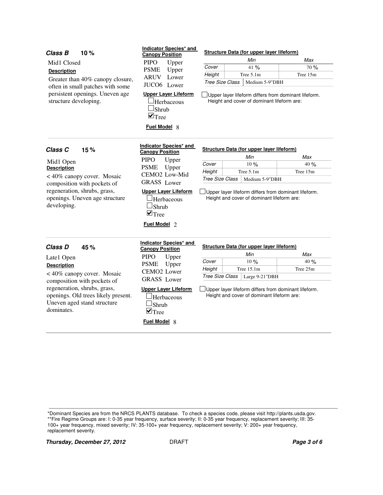| Class B<br>10%                                                                                                   | Indicator Species* and<br><b>Canopy Position</b>                                                               |                                                                                                           | <b>Structure Data (for upper layer lifeform)</b>                                                   |          |  |
|------------------------------------------------------------------------------------------------------------------|----------------------------------------------------------------------------------------------------------------|-----------------------------------------------------------------------------------------------------------|----------------------------------------------------------------------------------------------------|----------|--|
| Mid1 Closed                                                                                                      | <b>PIPO</b><br>Upper                                                                                           |                                                                                                           | Min                                                                                                | Max      |  |
|                                                                                                                  | <b>PSME</b><br>Upper                                                                                           | Cover                                                                                                     | 41 %                                                                                               | 70 %     |  |
| <b>Description</b>                                                                                               | ARUV Lower                                                                                                     | Height                                                                                                    | Tree 5.1m                                                                                          | Tree 15m |  |
| Greater than 40% canopy closure,<br>often in small patches with some                                             | JUCO6 Lower                                                                                                    | <b>Tree Size Class</b>                                                                                    | Medium 5-9"DBH                                                                                     |          |  |
| persistent openings. Uneven age<br>structure developing.                                                         | <b>Upper Layer Lifeform</b><br><b>Herbaceous</b><br>$\Box$ Shrub<br>$\blacksquare$ Tree<br><b>Fuel Model 8</b> |                                                                                                           | Upper layer lifeform differs from dominant lifeform.<br>Height and cover of dominant lifeform are: |          |  |
| Class <sub>C</sub><br>15%                                                                                        | Indicator Species* and<br><b>Canopy Position</b>                                                               |                                                                                                           | Structure Data (for upper layer lifeform)                                                          |          |  |
|                                                                                                                  | <b>PIPO</b><br>Upper                                                                                           |                                                                                                           | Min                                                                                                | Max      |  |
| Mid1 Open<br><b>Description</b>                                                                                  | <b>PSME</b><br>Upper                                                                                           | Cover                                                                                                     | 10%                                                                                                | 40%      |  |
|                                                                                                                  | CEMO2 Low-Mid                                                                                                  | Height                                                                                                    | Tree 5.1m                                                                                          | Tree 15m |  |
| <40% canopy cover. Mosaic<br>composition with pockets of                                                         | <b>GRASS</b> Lower                                                                                             | <b>Tree Size Class</b><br>Medium 5-9"DBH                                                                  |                                                                                                    |          |  |
| regeneration, shrubs, grass,<br>openings. Uneven age structure<br>developing.                                    | <b>Upper Layer Lifeform</b><br>Herbaceous<br>Shrub<br>$\blacksquare$ Tree<br><b>Fuel Model</b> 2               | Upper layer lifeform differs from dominant lifeform.<br>Height and cover of dominant lifeform are:        |                                                                                                    |          |  |
| <b>Class D</b><br>45%                                                                                            | Indicator Species* and<br><b>Canopy Position</b>                                                               |                                                                                                           | <b>Structure Data (for upper layer lifeform)</b>                                                   |          |  |
| Late1 Open                                                                                                       | <b>PIPO</b><br>Upper                                                                                           |                                                                                                           | Min                                                                                                | Max      |  |
| <b>Description</b>                                                                                               | <b>PSME</b><br>Upper                                                                                           | Cover                                                                                                     | 10%                                                                                                | 40 %     |  |
| <40% canopy cover. Mosaic                                                                                        | CEMO <sub>2</sub> Lower                                                                                        | Height                                                                                                    | Tree $15.1m$                                                                                       | Tree 25m |  |
| composition with pockets of                                                                                      | <b>GRASS</b> Lower                                                                                             | <b>Tree Size Class</b>                                                                                    | Large 9-21"DBH                                                                                     |          |  |
| regeneration, shrubs, grass,<br>openings. Old trees likely present.<br>Uneven aged stand structure<br>dominates. | <b>Upper Layer Lifeform</b><br>Herbaceous<br>Shrub<br>$\blacksquare$ Tree<br><b>Fuel Model 8</b>               | $\Box$ Upper layer lifeform differs from dominant lifeform.<br>Height and cover of dominant lifeform are: |                                                                                                    |          |  |

\*Dominant Species are from the NRCS PLANTS database. To check a species code, please visit http://plants.usda.gov.

\*\*Fire Regime Groups are: I: 0-35 year frequency, surface severity; II: 0-35 year frequency, replacement severity; III: 35- 100+ year frequency, mixed severity; IV: 35-100+ year frequency, replacement severity; V: 200+ year frequency, replacement severity.

**Thursday, December 27, 2012** DRAFT DRAFT **Page 3 of 6**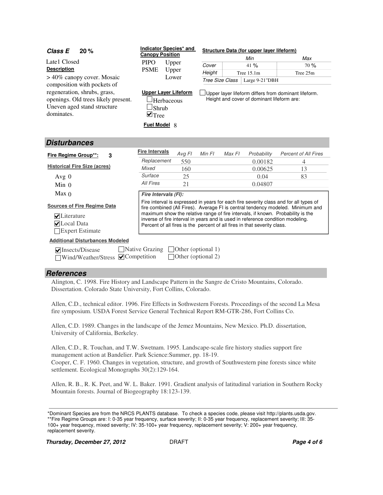| <b>Class E</b><br>20%                                                                                                                           | Indicator Species* and                                                                               |                           |                 |        | Structure Data (for upper layer lifeform)                                                                                                                  |                                                                                                                                                                                                                                                            |
|-------------------------------------------------------------------------------------------------------------------------------------------------|------------------------------------------------------------------------------------------------------|---------------------------|-----------------|--------|------------------------------------------------------------------------------------------------------------------------------------------------------------|------------------------------------------------------------------------------------------------------------------------------------------------------------------------------------------------------------------------------------------------------------|
|                                                                                                                                                 | <b>Canopy Position</b>                                                                               |                           |                 |        | Min                                                                                                                                                        | Max                                                                                                                                                                                                                                                        |
| Late1 Closed                                                                                                                                    | <b>PIPO</b>                                                                                          | Upper                     | Cover           |        | 41%                                                                                                                                                        | 70%                                                                                                                                                                                                                                                        |
| <b>Description</b>                                                                                                                              | <b>PSME</b><br>Upper                                                                                 |                           | Height          |        | Tree 15.1m                                                                                                                                                 | Tree 25m                                                                                                                                                                                                                                                   |
| > 40% canopy cover. Mosaic                                                                                                                      |                                                                                                      | Lower                     | Tree Size Class |        | Large 9-21"DBH                                                                                                                                             |                                                                                                                                                                                                                                                            |
| composition with pockets of<br>regeneration, shrubs, grass,<br>openings. Old trees likely present.<br>Uneven aged stand structure<br>dominates. | <b>Upper Layer Lifeform</b><br>Herbaceous<br>Shrub<br>$\blacksquare$ Tree<br><b>Fuel Model &amp;</b> |                           |                 |        | Height and cover of dominant lifeform are:                                                                                                                 | Upper layer lifeform differs from dominant lifeform.                                                                                                                                                                                                       |
| <b>Disturbances</b>                                                                                                                             |                                                                                                      |                           |                 |        |                                                                                                                                                            |                                                                                                                                                                                                                                                            |
| Fire Regime Group**:<br>3                                                                                                                       | <b>Fire Intervals</b>                                                                                | Avg FI                    | Min FI          | Max FI | Probability                                                                                                                                                | <b>Percent of All Fires</b>                                                                                                                                                                                                                                |
|                                                                                                                                                 | Replacement                                                                                          | 550                       |                 |        | 0.00182                                                                                                                                                    | 4                                                                                                                                                                                                                                                          |
| <b>Historical Fire Size (acres)</b>                                                                                                             | Mixed                                                                                                | 160                       |                 |        | 0.00625                                                                                                                                                    | 13                                                                                                                                                                                                                                                         |
| Avg $0$                                                                                                                                         | Surface                                                                                              | 25                        |                 |        | 0.04                                                                                                                                                       | 83                                                                                                                                                                                                                                                         |
| $Min$ 0                                                                                                                                         | <b>All Fires</b>                                                                                     | 21                        |                 |        | 0.04807                                                                                                                                                    |                                                                                                                                                                                                                                                            |
| Max <sub>0</sub>                                                                                                                                | Fire Intervals (FI):                                                                                 |                           |                 |        |                                                                                                                                                            |                                                                                                                                                                                                                                                            |
| <b>Sources of Fire Regime Data</b><br>$\nabla$ Literature<br>$\nabla$ Local Data<br>Expert Estimate                                             |                                                                                                      |                           |                 |        | inverse of fire interval in years and is used in reference condition modeling.<br>Percent of all fires is the percent of all fires in that severity class. | Fire interval is expressed in years for each fire severity class and for all types of<br>fire combined (All Fires). Average FI is central tendency modeled. Minimum and<br>maximum show the relative range of fire intervals, if known. Probability is the |
| <b>Additional Disturbances Modeled</b>                                                                                                          |                                                                                                      |                           |                 |        |                                                                                                                                                            |                                                                                                                                                                                                                                                            |
| $\triangledown$ Insects/Disease                                                                                                                 | Native Grazing                                                                                       | $\Box$ Other (optional 1) |                 |        |                                                                                                                                                            |                                                                                                                                                                                                                                                            |

## **References**

 $\Box$ Wind/Weather/Stress  $\Box$ Competition

Alington, C. 1998. Fire History and Landscape Pattern in the Sangre de Cristo Mountains, Colorado. Dissertation. Colorado State University, Fort Collins, Colorado.

Allen, C.D., technical editor. 1996. Fire Effects in Sothwestern Forests. Proceedings of the second La Mesa fire symposium. USDA Forest Service General Technical Report RM-GTR-286, Fort Collins Co.

Other (optional 2)

Allen, C.D. 1989. Changes in the landscape of the Jemez Mountains, New Mexico. Ph.D. dissertation, University of California, Berkeley.

Allen, C.D., R. Touchan, and T.W. Swetnam. 1995. Landscape-scale fire history studies support fire management action at Bandelier. Park Science:Summer, pp. 18-19. Cooper, C. F. 1960. Changes in vegetation, structure, and growth of Southwestern pine forests since white settlement. Ecological Monographs 30(2):129-164.

Allen, R. B., R. K. Peet, and W. L. Baker. 1991. Gradient analysis of latitudinal variation in Southern Rocky Mountain forests. Journal of Biogeography 18:123-139.

\*Dominant Species are from the NRCS PLANTS database. To check a species code, please visit http://plants.usda.gov. \*\*Fire Regime Groups are: I: 0-35 year frequency, surface severity; II: 0-35 year frequency, replacement severity; III: 35- 100+ year frequency, mixed severity; IV: 35-100+ year frequency, replacement severity; V: 200+ year frequency, replacement severity.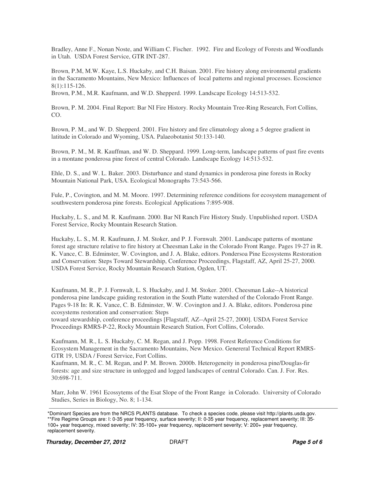Bradley, Anne F., Nonan Noste, and William C. Fischer. 1992. Fire and Ecology of Forests and Woodlands in Utah. USDA Forest Service, GTR INT-287.

Brown, P.M, M.W. Kaye, L.S. Huckaby, and C.H. Baisan. 2001. Fire history along environmental gradients in the Sacramento Mountains, New Mexico: Influences of local patterns and regional processes. Ecoscience 8(1):115-126.

Brown, P.M., M.R. Kaufmann, and W.D. Shepperd. 1999. Landscape Ecology 14:513-532.

Brown, P. M. 2004. Final Report: Bar NI Fire History. Rocky Mountain Tree-Ring Research, Fort Collins, CO.

Brown, P. M., and W. D. Shepperd. 2001. Fire history and fire climatology along a 5 degree gradient in latitude in Colorado and Wyoming, USA. Palaeobotanist 50:133-140.

Brown, P. M., M. R. Kauffman, and W. D. Sheppard. 1999. Long-term, landscape patterns of past fire events in a montane ponderosa pine forest of central Colorado. Landscape Ecology 14:513-532.

Ehle, D. S., and W. L. Baker. 2003. Disturbance and stand dynamics in ponderosa pine forests in Rocky Mountain National Park, USA. Ecological Monographs 73:543-566.

Fule, P., Covington, and M. M. Moore. 1997. Determining reference conditions for ecosystem management of southwestern ponderosa pine forests. Ecological Applications 7:895-908.

Huckaby, L. S., and M. R. Kaufmann. 2000. Bar NI Ranch Fire History Study. Unpublished report. USDA Forest Service, Rocky Mountain Research Station.

Huckaby, L. S., M. R. Kaufmann, J. M. Stoker, and P. J. Fornwalt. 2001. Landscape patterns of montane forest age structure relative to fire history at Cheesman Lake in the Colorado Front Range. Pages 19-27 in R. K. Vance, C. B. Edminster, W. Covington, and J. A. Blake, editors. Pondersoa Pine Ecosystems Restoration and Conservation: Steps Toward Stewardship, Conference Proceedings, Flagstaff, AZ, April 25-27, 2000. USDA Forest Service, Rocky Mountain Research Station, Ogden, UT.

Kaufmann, M. R., P. J. Fornwalt, L. S. Huckaby, and J. M. Stoker. 2001. Cheesman Lake--A historical ponderosa pine landscape guiding restoration in the South Platte watershed of the Colorado Front Range. Pages 9-18 In: R. K. Vance, C. B. Edminster, W. W. Covington and J. A. Blake, editors. Ponderosa pine ecosystems restoration and conservation: Steps

toward stewardship, conference proceedings [Flagstaff, AZ--April 25-27, 2000]. USDA Forest Service Proceedings RMRS-P-22, Rocky Mountain Research Station, Fort Collins, Colorado.

Kaufmann, M. R., L. S. Huckaby, C. M. Regan, and J. Popp. 1998. Forest Reference Conditions for Ecosystem Management in the Sacramento Mountains, New Mexico. Genereral Technical Report RMRS-GTR 19, USDA / Forest Service, Fort Collins.

Kaufmann, M. R., C. M. Regan, and P. M. Brown. 2000b. Heterogeneity in ponderosa pine/Douglas-fir forests: age and size structure in unlogged and logged landscapes of central Colorado. Can. J. For. Res. 30:698-711.

Marr, John W. 1961 Ecossytems of the Esat Slope of the Front Range in Colorado. University of Colorado Studies, Series in Biology, No. 8; 1-134.

<sup>\*</sup>Dominant Species are from the NRCS PLANTS database. To check a species code, please visit http://plants.usda.gov. \*\*Fire Regime Groups are: I: 0-35 year frequency, surface severity; II: 0-35 year frequency, replacement severity; III: 35- 100+ year frequency, mixed severity; IV: 35-100+ year frequency, replacement severity; V: 200+ year frequency, replacement severity.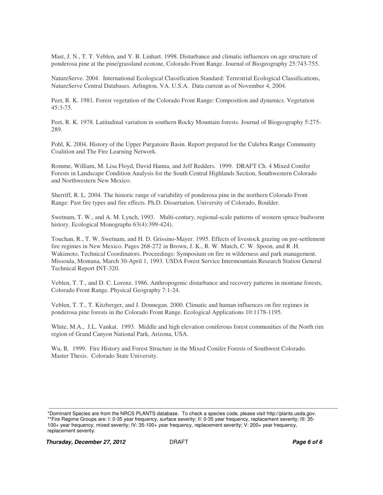Mast, J. N., T. T. Veblen, and Y. B. Linhart. 1998. Disturbance and climatic influences on age structure of ponderosa pine at the pine/grassland ecotone, Colorado Front Range. Journal of Biogeography 25:743-755.

NatureServe. 2004. International Ecological Classification Standard: Terrestrial Ecological Classifications, NatureServe Central Databases. Arlington, VA. U.S.A. Data current as of November 4, 2004.

Peet, R. K. 1981. Forest vegetation of the Colorado Front Range: Composition and dynamics. Vegetation 45:3-75.

Peet, R. K. 1978. Latitudinal variation in southern Rocky Mountain forests. Journal of Biogeography 5:275- 289.

Pohl, K. 2004. History of the Upper Purgatoire Basin. Report prepared for the Culebra Range Community Coalition and The Fire Learning Network.

Romme, William, M. Lisa Floyd, David Hanna, and Jeff Redders. 1999. DRAFT Ch. 4 Mixed Conifer Forests in Landscape Condition Analysis for the South Central Highlands Section, Southwestern Colorado and Northwestern New Mexico.

Sherriff, R. L. 2004. The historic range of variability of ponderosa pine in the northern Colorado Front Range: Past fire types and fire effects. Ph.D. Dissertation. University of Colorado, Boulder.

Swetnam, T. W., and A. M. Lynch, 1993. Multi-century, regional-scale patterns of western spruce budworm history. Ecological Monographs 63(4):399-424).

Touchan, R., T. W. Swetnam, and H. D. Grissino-Mayer. 1995. Effects of livestock grazing on pre-settlement fire regimes in New Mexico. Pages 268-272 in Brown, J. K., R. W. Mutch, C. W. Spoon, and R .H. Wakimoto, Technical Coordinators. Proceedings: Symposium on fire in wilderness and park management. Missoula, Montana, March 30-April 1, 1993. USDA Forest Service Intermountain Research Station General Technical Report INT-320.

Veblen, T. T., and D. C. Lorenz. 1986. Anthropogenic disturbance and recovery patterns in montane forests, Colorado Front Range. Physical Geography 7:1-24.

Veblen, T. T., T. Kitzberger, and J. Donnegan. 2000. Climatic and human influences on fire regimes in ponderosa pine forests in the Colorado Front Range. Ecological Applications 10:1178-1195.

White, M.A., J.L. Vankat. 1993. Middle and high elevation coniferous forest communities of the North rim region of Grand Canyon National Park, Arizona, USA.

Wu, R. 1999. Fire History and Forest Structure in the Mixed Conifer Forests of Southwest Colorado. Master Thesis. Colorado State University.

<sup>\*</sup>Dominant Species are from the NRCS PLANTS database. To check a species code, please visit http://plants.usda.gov. \*\*Fire Regime Groups are: I: 0-35 year frequency, surface severity; II: 0-35 year frequency, replacement severity; III: 35-

<sup>100+</sup> year frequency, mixed severity; IV: 35-100+ year frequency, replacement severity; V: 200+ year frequency, replacement severity.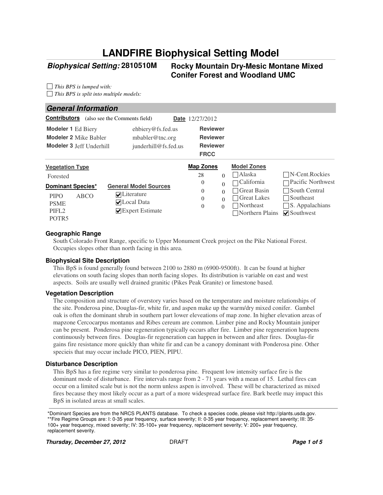# **LANDFIRE Biophysical Setting Model**

### **Biophysical Setting:**

#### **2810510M Rocky Mountain Dry-Mesic Montane Mixed Conifer Forest and Woodland UMC**

*This BPS is lumped with: This BPS is split into multiple models:*

#### **General Information**

| <b>Contributors</b>                                                                                             | (also see the Comments field)              |                                                                       | <b>Date</b> 12/27/2012                                               |                                              |                                                                                        |                                                                                                                       |
|-----------------------------------------------------------------------------------------------------------------|--------------------------------------------|-----------------------------------------------------------------------|----------------------------------------------------------------------|----------------------------------------------|----------------------------------------------------------------------------------------|-----------------------------------------------------------------------------------------------------------------------|
| <b>Modeler 1 Ed Biery</b><br><b>Modeler 2 Mike Babler</b><br>Modeler 3 Jeff Underhill                           |                                            | ehbiery@fs.fed.us<br>mbabler@tnc.org<br>junderhill@fs.fed.us          | <b>Reviewer</b><br><b>Reviewer</b><br><b>Reviewer</b><br><b>FRCC</b> |                                              |                                                                                        |                                                                                                                       |
| <b>Vegetation Type</b>                                                                                          |                                            |                                                                       | <b>Map Zones</b>                                                     |                                              | <b>Model Zones</b>                                                                     |                                                                                                                       |
| Forested                                                                                                        |                                            |                                                                       | 28                                                                   | $\Omega$                                     | Alaska                                                                                 | $\neg N$ -Cent.Rockies                                                                                                |
| <b>Dominant Species*</b><br><b>ABCO</b><br><b>PIPO</b><br><b>PSME</b><br>PIFL <sub>2</sub><br>POTR <sub>5</sub> | $\nabla$ Literature<br>$\nabla$ Local Data | <b>General Model Sources</b><br>$\blacktriangleright$ Expert Estimate | $\theta$<br>$\theta$<br>$\theta$<br>$\theta$                         | $\Omega$<br>$\Omega$<br>$\Omega$<br>$\Omega$ | California<br>Great Basin<br><b>Great Lakes</b><br>Northeast<br>$\Box$ Northern Plains | ⊤Pacific Northwest<br>$\Box$ South Central<br>$\Box$ Southeast<br>$\Box$ S. Appalachians<br>$\triangledown$ Southwest |

#### **Geographic Range**

South Colorado Front Range, specific to Upper Monument Creek project on the Pike National Forest. Occupies slopes other than north facing in this area.

#### **Biophysical Site Description**

This BpS is found generally found between 2100 to 2880 m (6900-9500ft). It can be found at higher elevations on south facing slopes than north facing slopes. Its distribution is variable on east and west aspects. Soils are usually well drained granitic (Pikes Peak Granite) or limestone based.

#### **Vegetation Description**

The composition and structure of overstory varies based on the temperature and moisture relationships of the site. Ponderosa pine, Douglas-fir, white fir, and aspen make up the warm/dry mixed conifer. Gambel oak is often the dominant shrub in southern part lower eleveations of map zone. In higher elevation areas of mapzone Cercocarpus montanus and Ribes cereum are common. Limber pine and Rocky Mountain juniper can be present. Ponderosa pine regeneration typically occurs after fire. Limber pine regeneration happens continuously between fires. Douglas-fir regeneration can happen in between and after fires. Douglas-fir gains fire resistance more quickly than white fir and can be a canopy dominant with Ponderosa pine. Other specieis that may occur include PICO, PIEN, PIPU.

#### **Disturbance Description**

This BpS has a fire regime very similar to ponderosa pine. Frequent low intensity surface fire is the dominant mode of disturbance. Fire intervals range from 2 - 71 years with a mean of 15. Lethal fires can occur on a limited scale but is not the norm unless aspen is involved. These will be characterized as mixed fires because they most likely occur as a part of a more widespread surface fire. Bark beetle may impact this BpS in isolated areas at small scales.

\*Dominant Species are from the NRCS PLANTS database. To check a species code, please visit http://plants.usda.gov. \*\*Fire Regime Groups are: I: 0-35 year frequency, surface severity; II: 0-35 year frequency, replacement severity; III: 35- 100+ year frequency, mixed severity; IV: 35-100+ year frequency, replacement severity; V: 200+ year frequency, replacement severity.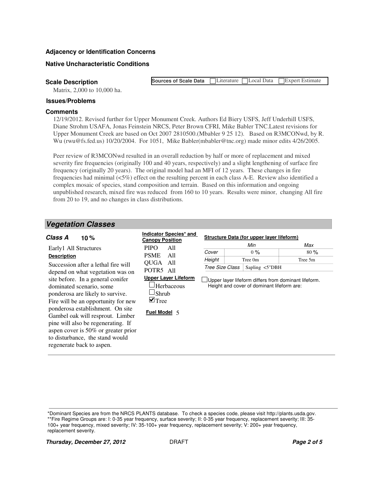#### **Adjacency or Identification Concerns**

#### **Native Uncharacteristic Conditions**

**Scale Description**

Matrix, 2,000 to 10,000 ha.

## **Issues/Problems**

#### **Comments**

12/19/2012. Revised further for Upper Monument Creek. Authors Ed Biery USFS, Jeff Underhill USFS, Diane Strohm USAFA, Jonas Feinstein NRCS, Peter Brown CFRI, Mike Babler TNC.Latest revisions for Upper Monument Creek are based on Oct 2007 2810500.(Mbabler 9 25 12). Based on R3MCONwd, by R. Wu (rwu@fs.fed.us) 10/20/2004. For 1051, Mike Babler(mbabler@tnc.org) made minor edits 4/26/2005.

**Sources of Scale Data**

Literature Local Data Expert Estimate

Peer review of R3MCONwd resulted in an overall reduction by half or more of replacement and mixed severity fire frequencies (originally 100 and 40 years, respectively) and a slight lengthening of surface fire frequency (originally 20 years). The original model had an MFI of 12 years. These changes in fire frequencies had minimal (<5%) effect on the resulting percent in each class A-E. Review also identified a complex mosaic of species, stand composition and terrain. Based on this information and ongoing unpublished research, mixed fire was reduced from 160 to 10 years. Results were minor, changing All fire from 20 to 19, and no changes in class distributions.

#### **Vegetation Classes**

| Indicator Species* and<br><b>Canopy Position</b>                                                                                                                      |                                    | Min                                         | Max                                                                                                                                             |
|-----------------------------------------------------------------------------------------------------------------------------------------------------------------------|------------------------------------|---------------------------------------------|-------------------------------------------------------------------------------------------------------------------------------------------------|
| <b>PIPO</b><br>All<br>A11<br><b>PSME</b><br>OUGA All<br>POTR5 All<br><b>Upper Laver Lifeform</b><br>Herbaceous<br>$\Box$ Shrub<br>$\blacksquare$ Tree<br>Fuel Model 5 | Cover<br>Height<br>Tree Size Class | $0\%$<br>Tree 0m<br>Sapling $\langle$ 5"DBH | $80\%$<br>Tree 5m                                                                                                                               |
|                                                                                                                                                                       |                                    |                                             | Structure Data (for upper layer lifeform)<br>Upper layer lifeform differs from dominant lifeform.<br>Height and cover of dominant lifeform are: |

\*Dominant Species are from the NRCS PLANTS database. To check a species code, please visit http://plants.usda.gov.

\*\*Fire Regime Groups are: I: 0-35 year frequency, surface severity; II: 0-35 year frequency, replacement severity; III: 35- 100+ year frequency, mixed severity; IV: 35-100+ year frequency, replacement severity; V: 200+ year frequency, replacement severity.

**Thursday, December 27, 2012 DRAFT Page 2 of 5 Page 2 of 5**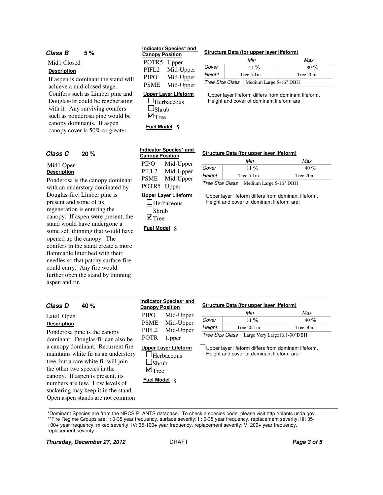#### **Class B 5**

Mid1 Closed **Description**

If aspen is dominant the stand will achieve a mid-closed stage. Conifers such as Limber pine and Douglas-fir could be regenerating with it. Any surviving conifers such as ponderosa pine would be canopy dominants. If aspen canopy cover is 50% or greater.

#### **20**

#### Mid1 Open **Description**

Ponderosa is the canopy dominant with an understory dominated by Douglas-fire. Limber pine is present and some of its regeneration is entering the canopy. If aspen were present, the stand would have undergone a some self thinning that would have opened up the canopy. The conifers in the stand create a more flammable litter bed with their needles so that patchy surface fire could carry. Any fire would further open the stand by thinning aspen and fir.

#### Late1

#### **Descri**

Ponde domin a cano mainta tree, b the other the specified the two specified the two specified theorem in the two specified theorem in the specified the two specified the two specified the specified the specified the two specified the two specified the two canor number suckering may Open aspen stands are not common

#### **Indicator Species\* and Canopy Position**

POTR5 Upper PIFL2 PIPO PSME Mid-Upper Mid-Upper Mid-Upper

#### **% Structure Data (for upper layer lifeform)**

|        | Min                                      | Max      |  |  |  |  |  |  |
|--------|------------------------------------------|----------|--|--|--|--|--|--|
| Cover  | 41 %                                     | 80%      |  |  |  |  |  |  |
| Height | Tree $5.1m$                              | Tree 20m |  |  |  |  |  |  |
|        | Tree Size Class   Medium Large 5-16" DBH |          |  |  |  |  |  |  |

Upper layer lifeform differs from dominant lifeform. Height and cover of dominant lifeform are:

#### **Upper Layer Lifeform**

 $\Box$ Herbaceous  $\square$ Shrub  $\blacksquare$  Tree

**Fuel Model** 5

| Indicator Species* and |                      |  |  |  |  |  |  |  |  |
|------------------------|----------------------|--|--|--|--|--|--|--|--|
| <b>Canopy Position</b> |                      |  |  |  |  |  |  |  |  |
| <b>PIPO</b>            | Mid-Upper            |  |  |  |  |  |  |  |  |
| PIFL <sub>2</sub>      | Mid-Upper            |  |  |  |  |  |  |  |  |
| <b>PSME</b>            | Mid-Upper            |  |  |  |  |  |  |  |  |
| POTR5                  | Upper                |  |  |  |  |  |  |  |  |
|                        | Upper Laver Lifeform |  |  |  |  |  |  |  |  |

 $\Box$ Herbaceous  $\square$ Shrub  $\blacksquare$ Tree

**Fuel Model** 8

#### **Class C % Structure Data (for upper layer lifeform)**

|        | Min                                             | Max      |  |  |  |  |  |
|--------|-------------------------------------------------|----------|--|--|--|--|--|
| Cover  | $11\%$                                          | 40%      |  |  |  |  |  |
| Height | Tree $5.1m$                                     | Tree 20m |  |  |  |  |  |
|        | <i>Tree Size Class</i>   Medium Large 5-16" DBH |          |  |  |  |  |  |

Upper layer lifeform differs from dominant lifeform. Height and cover of dominant lifeform are:

| Class D<br>40 %                                                                                                                                                                                                                                                | <b>Canopy Position</b>                               | Indicator Species* and                     |                 | Structure Data (for upper layer lifeform)  |                                                      |  |  |
|----------------------------------------------------------------------------------------------------------------------------------------------------------------------------------------------------------------------------------------------------------------|------------------------------------------------------|--------------------------------------------|-----------------|--------------------------------------------|------------------------------------------------------|--|--|
| Late1 Open                                                                                                                                                                                                                                                     | <b>PIPO</b>                                          | Mid-Upper                                  |                 | Min                                        | Max                                                  |  |  |
|                                                                                                                                                                                                                                                                | <b>PSME</b>                                          | Mid-Upper                                  | Cover           | $11\%$                                     | 40%                                                  |  |  |
| <b>Description</b>                                                                                                                                                                                                                                             | PIFL <sub>2</sub>                                    | Mid-Upper                                  | Height          | Tree $20.1m$                               | Tree 30m                                             |  |  |
| Ponderosa pine is the canopy<br>dominant. Douglas-fir can also be                                                                                                                                                                                              | POTR                                                 | Upper                                      | Tree Size Class |                                            | Large Very Large16.1-30"DBH                          |  |  |
| a canopy dominant. Recurrent fire<br>maintains white fir as an understory<br>tree, but a rare white fir will join<br>the other two species in the<br>canopy. If aspen is present, its<br>numbers are few. Low levels of<br>suckering may keep it in the stand. | ∍Shrub<br>$\blacksquare$ Tree<br><b>Fuel Model 8</b> | <b>Upper Laver Lifeform</b><br>-Herbaceous |                 | Height and cover of dominant lifeform are: | Upper layer lifeform differs from dominant lifeform. |  |  |

\*Dominant Species are from the NRCS PLANTS database. To check a species code, please visit http://plants.usda.gov. \*\*Fire Regime Groups are: I: 0-35 year frequency, surface severity; II: 0-35 year frequency, replacement severity; III: 35-

100+ year frequency, mixed severity; IV: 35-100+ year frequency, replacement severity; V: 200+ year frequency, replacement severity.

**Thursday, December 27, 2012 DRAFT Page 3 of 5**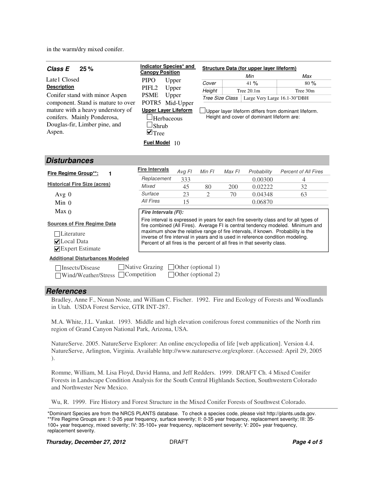in the warm/dry mixed conifer.

| Class E<br>25%                                                                                                                                    | Indicator Species* and                                                                                                                                                                                                                                                                                                                                                                                                                           |                    | Structure Data (for upper layer lifeform) |                                                                                                    |                              |                             |  |  |  |  |  |  |
|---------------------------------------------------------------------------------------------------------------------------------------------------|--------------------------------------------------------------------------------------------------------------------------------------------------------------------------------------------------------------------------------------------------------------------------------------------------------------------------------------------------------------------------------------------------------------------------------------------------|--------------------|-------------------------------------------|----------------------------------------------------------------------------------------------------|------------------------------|-----------------------------|--|--|--|--|--|--|
|                                                                                                                                                   | <b>Canopy Position</b>                                                                                                                                                                                                                                                                                                                                                                                                                           |                    |                                           |                                                                                                    | Min                          | Max                         |  |  |  |  |  |  |
| Late1 Closed                                                                                                                                      | <b>PIPO</b>                                                                                                                                                                                                                                                                                                                                                                                                                                      | Upper              | Cover                                     |                                                                                                    | 41%                          | 80%                         |  |  |  |  |  |  |
| <b>Description</b>                                                                                                                                | PIFL <sub>2</sub>                                                                                                                                                                                                                                                                                                                                                                                                                                | Upper              | Height                                    |                                                                                                    | Tree $20.1m$                 | Tree 30m                    |  |  |  |  |  |  |
| Conifer stand with minor Aspen                                                                                                                    | <b>PSME</b><br>Upper                                                                                                                                                                                                                                                                                                                                                                                                                             |                    | Tree Size Class                           |                                                                                                    | Large Very Large 16.1-30"DBH |                             |  |  |  |  |  |  |
| component. Stand is mature to over<br>mature with a heavy understory of<br>conifers. Mainly Ponderosa,<br>Douglas-fir, Limber pine, and<br>Aspen. | POTR5 Mid-Upper<br><b>Upper Layer Lifeform</b><br>Herbaceous<br>Shrub<br>$\blacksquare$ Tree                                                                                                                                                                                                                                                                                                                                                     |                    |                                           | Upper layer lifeform differs from dominant lifeform.<br>Height and cover of dominant lifeform are: |                              |                             |  |  |  |  |  |  |
|                                                                                                                                                   | Fuel Model $10$                                                                                                                                                                                                                                                                                                                                                                                                                                  |                    |                                           |                                                                                                    |                              |                             |  |  |  |  |  |  |
| Disturbances                                                                                                                                      |                                                                                                                                                                                                                                                                                                                                                                                                                                                  |                    |                                           |                                                                                                    |                              |                             |  |  |  |  |  |  |
| Fire Regime Group**:<br>1                                                                                                                         | <b>Fire Intervals</b>                                                                                                                                                                                                                                                                                                                                                                                                                            | Avg Fl             | Min FI                                    | Max FI                                                                                             | Probability                  | <b>Percent of All Fires</b> |  |  |  |  |  |  |
|                                                                                                                                                   | Replacement                                                                                                                                                                                                                                                                                                                                                                                                                                      | 333                |                                           |                                                                                                    | 0.00300                      | 4                           |  |  |  |  |  |  |
| <b>Historical Fire Size (acres)</b>                                                                                                               | Mixed                                                                                                                                                                                                                                                                                                                                                                                                                                            | 45                 | 80                                        | 200                                                                                                | 0.02222                      | 32                          |  |  |  |  |  |  |
| Avg $0$                                                                                                                                           | Surface                                                                                                                                                                                                                                                                                                                                                                                                                                          | 23                 | $\overline{2}$                            | 70                                                                                                 | 0.04348                      | 63                          |  |  |  |  |  |  |
| $Min$ 0                                                                                                                                           | All Fires                                                                                                                                                                                                                                                                                                                                                                                                                                        | 15                 |                                           |                                                                                                    | 0.06870                      |                             |  |  |  |  |  |  |
| Max <sub>0</sub>                                                                                                                                  |                                                                                                                                                                                                                                                                                                                                                                                                                                                  |                    |                                           |                                                                                                    |                              |                             |  |  |  |  |  |  |
| <b>Sources of Fire Regime Data</b><br>Literature<br>$\nabla$ Local Data<br>$\blacktriangleright$ Expert Estimate                                  | Fire Intervals (FI):<br>Fire interval is expressed in years for each fire severity class and for all types of<br>fire combined (All Fires). Average FI is central tendency modeled. Minimum and<br>maximum show the relative range of fire intervals, if known. Probability is the<br>inverse of fire interval in years and is used in reference condition modeling.<br>Percent of all fires is the percent of all fires in that severity class. |                    |                                           |                                                                                                    |                              |                             |  |  |  |  |  |  |
| <b>Additional Disturbances Modeled</b>                                                                                                            |                                                                                                                                                                                                                                                                                                                                                                                                                                                  |                    |                                           |                                                                                                    |                              |                             |  |  |  |  |  |  |
| Insects/Disease<br>Wind/Weather/Stress                                                                                                            | Native Grazing<br>Competition                                                                                                                                                                                                                                                                                                                                                                                                                    | Other (optional 1) | Other (optional 2)                        |                                                                                                    |                              |                             |  |  |  |  |  |  |

#### **References**

Bradley, Anne F., Nonan Noste, and William C. Fischer. 1992. Fire and Ecology of Forests and Woodlands in Utah. USDA Forest Service, GTR INT-287.

M.A. White, J.L. Vankat. 1993. Middle and high elevation coniferous forest communities of the North rim region of Grand Canyon National Park, Arizona, USA.

NatureServe. 2005. NatureServe Explorer: An online encyclopedia of life [web application]. Version 4.4. NatureServe, Arlington, Virginia. Available http://www.natureserve.org/explorer. (Accessed: April 29, 2005 ).

Romme, William, M. Lisa Floyd, David Hanna, and Jeff Redders. 1999. DRAFT Ch. 4 Mixed Conifer Forests in Landscape Condition Analysis for the South Central Highlands Section, Southwestern Colorado and Northwester New Mexico.

Wu, R. 1999. Fire History and Forest Structure in the Mixed Conifer Forests of Southwest Colorado.

**Thursday, December 27, 2012 DRAFT Page 4 of 5** 

<sup>\*</sup>Dominant Species are from the NRCS PLANTS database. To check a species code, please visit http://plants.usda.gov. \*\*Fire Regime Groups are: I: 0-35 year frequency, surface severity; II: 0-35 year frequency, replacement severity; III: 35- 100+ year frequency, mixed severity; IV: 35-100+ year frequency, replacement severity; V: 200+ year frequency, replacement severity.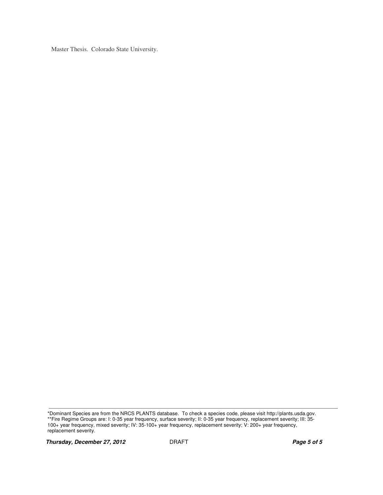Master Thesis. Colorado State University.

<sup>\*</sup>Dominant Species are from the NRCS PLANTS database. To check a species code, please visit http://plants.usda.gov. \*\*Fire Regime Groups are: I: 0-35 year frequency, surface severity; II: 0-35 year frequency, replacement severity; III: 35- 100+ year frequency, mixed severity; IV: 35-100+ year frequency, replacement severity; V: 200+ year frequency, replacement severity.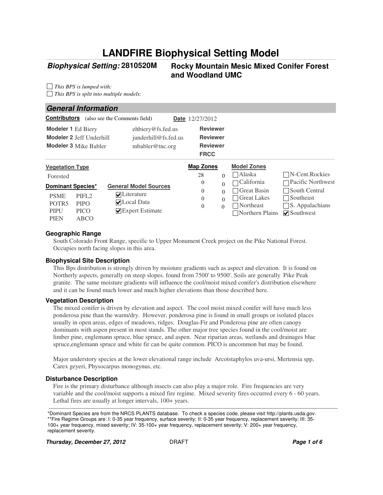# **LANDFIRE Biophysical Setting Model**

### **Biophysical Setting:**

#### **2810520M Rocky Mountain Mesic Mixed Conifer Forest and Woodland UMC**

*This BPS is lumped with: This BPS is split into multiple models:*

#### **General Information**

| <b>Contributors</b>                                                                        |                                                          | (also see the Comments field)                                                                 | <b>Date</b> 12/27/2012                                               |                                  |                                                                                                  |                                                                                                                      |
|--------------------------------------------------------------------------------------------|----------------------------------------------------------|-----------------------------------------------------------------------------------------------|----------------------------------------------------------------------|----------------------------------|--------------------------------------------------------------------------------------------------|----------------------------------------------------------------------------------------------------------------------|
| <b>Modeler 1 Ed Biery</b>                                                                  | Modeler 2 Jeff Underhill<br><b>Modeler 3 Mike Babler</b> | ehbiery@fs.fed.us<br>junderhill@fs.fed.us<br>mbabler@tnc.org                                  | <b>Reviewer</b><br><b>Reviewer</b><br><b>Reviewer</b><br><b>FRCC</b> |                                  |                                                                                                  |                                                                                                                      |
| <b>Vegetation Type</b>                                                                     |                                                          |                                                                                               | <b>Map Zones</b>                                                     |                                  | <b>Model Zones</b>                                                                               |                                                                                                                      |
| Forested                                                                                   |                                                          |                                                                                               | 28                                                                   | $\Omega$                         | Alaska                                                                                           | $\neg N$ -Cent.Rockies                                                                                               |
| <b>Dominant Species*</b><br><b>PSME</b><br>POTR <sub>5</sub><br><b>PIPU</b><br><b>PIEN</b> | PIFL <sub>2</sub><br><b>PIPO</b><br><b>PICO</b><br>ABCO  | <b>General Model Sources</b><br>$\nabla$ Literature<br>$\nabla$ Local Data<br>Expert Estimate | $\theta$<br>$\theta$<br>$\theta$<br>$\theta$<br>$\Omega$             | $\Omega$<br>$\Omega$<br>$\Omega$ | California<br>Great Basin<br><b>Great Lakes</b><br>$\exists$ Northeast<br>$\Box$ Northern Plains | Pacific Northwest<br>$\Box$ South Central<br>$\Box$ Southeast<br>$\Box$ S. Appalachians<br>$\triangledown$ Southwest |

#### **Geographic Range**

South Colorado Front Range, specific to Upper Monument Creek project on the Pike National Forest. Occupies north facing slopes in this area.

#### **Biophysical Site Description**

This Bps distribution is strongly driven by moisture gradients such as aspect and elevation. It is found on Northerly aspects, generally on steep slopes. found from 7500' to 9500'. Soils are generally Pike Peak granite. The same moisture gradients will influence the cool/moist mixed conifer's distribution elsewhere and it can be found much lower and much higher elevations than those described here.

#### **Vegetation Description**

The mixed conifer is driven by elevation and aspect. The cool moist mixed conifer will have much less ponderosa pine than the warm/dry. However, ponderosa pine is found in small groups or isolated places usually in open areas, edges of meadows, ridges. Douglas-Fir and Ponderosa pine are often canopy dominants with aspen present in most stands. The other major tree species found in the cool/moist are limber pine, englemann spruce, blue spruce, and aspen. Near riparian areas, wetlands and drainages blue spruce,englemann spruce and white fir can be quite common. PICO is uncommon but may be found.

Major understory species at the lower elevational range include Arcotstaphylos uva-ursi, Mertensia spp, Carex geyeri, Physocarpus monogynus, etc.

#### **Disturbance Description**

Fire is the primary disturbance although insects can also play a major role. Fire frequencies are very variable and the cool/moist supports a mixed fire regime. Mixed severity fires occurred every 6 - 60 years. Lethal fires are usually at longer intervals,  $100+$  years.

\*Dominant Species are from the NRCS PLANTS database. To check a species code, please visit http://plants.usda.gov. \*\*Fire Regime Groups are: I: 0-35 year frequency, surface severity; II: 0-35 year frequency, replacement severity; III: 35- 100+ year frequency, mixed severity; IV: 35-100+ year frequency, replacement severity; V: 200+ year frequency, replacement severity.

**Thursday, December 27, 2012 DRAFT Page 1 of 6 Page 1 of 6**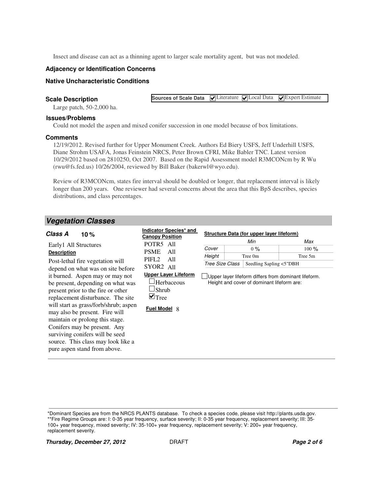Insect and disease can act as a thinning agent to larger scale mortality agent, but was not modeled.

#### **Adjacency or Identification Concerns**

#### **Native Uncharacteristic Conditions**

#### **Scale Description**

 $\nabla$ Literature  $\nabla$ Local Data  $\nabla$ Expert Estimate **Sources of Scale Data**

**% Structure Data (for upper layer lifeform)**

Large patch, 50-2,000 ha.

#### **Issues/Problems**

Could not model the aspen and mixed conifer succession in one model because of box limitations.

#### **Comments**

12/19/2012. Revised further for Upper Monument Creek. Authors Ed Biery USFS, Jeff Underhill USFS, Diane Strohm USAFA, Jonas Feinstein NRCS, Peter Brown CFRI, Mike Babler TNC. Latest version 10/29/2012 based on 2810250, Oct 2007. Based on the Rapid Assessment model R3MCONcm by R Wu (rwu@fs.fed.us) 10/26/2004, reviewed by Bill Baker (bakerwl@wyo.edu).

Review of R3MCONcm, states fire interval should be doubled or longer, that replacement interval is likely longer than 200 years. One reviewer had several concerns about the area that this BpS describes, species distributions, and class percentages.

**Indicator Species\* and** 

#### **Vegetation Classes**

#### **10 Class A**

| ciass A<br>10 %                                                                                                                                                                                                                                                                                                                                                                                        | <b>Canopy Position</b>                                                                                   | Structure Data (for upper layer illeform) |                                            |                                                      |  |
|--------------------------------------------------------------------------------------------------------------------------------------------------------------------------------------------------------------------------------------------------------------------------------------------------------------------------------------------------------------------------------------------------------|----------------------------------------------------------------------------------------------------------|-------------------------------------------|--------------------------------------------|------------------------------------------------------|--|
| Early1 All Structures                                                                                                                                                                                                                                                                                                                                                                                  | POTR <sub>5</sub> All                                                                                    |                                           | Min                                        | Max                                                  |  |
|                                                                                                                                                                                                                                                                                                                                                                                                        |                                                                                                          | Cover                                     | $0\%$                                      | $100\%$                                              |  |
| <b>Description</b>                                                                                                                                                                                                                                                                                                                                                                                     | <b>PSME</b><br>All                                                                                       | Height                                    | Tree 0m                                    | Tree 5m                                              |  |
| Post-lethal fire vegetation will<br>depend on what was on site before                                                                                                                                                                                                                                                                                                                                  | PIFL <sub>2</sub><br>All<br>SYOR2 All                                                                    | Tree Size Class                           | Seedling Sapling <5"DBH                    |                                                      |  |
| it burned. Aspen may or may not<br>be present, depending on what was<br>present prior to the fire or other<br>replacement disturbance. The site<br>will start as grass/forb/shrub; aspen<br>may also be present. Fire will<br>maintain or prolong this stage.<br>Conifers may be present. Any<br>surviving conifers will be seed<br>source. This class may look like a<br>pure aspen stand from above. | <b>Upper Laver Lifeform</b><br>⊥Herbaceous<br>$\Box$ Shrub<br>$\blacksquare$ Tree<br><b>Fuel Model 8</b> |                                           | Height and cover of dominant lifeform are: | Upper layer lifeform differs from dominant lifeform. |  |

\*Dominant Species are from the NRCS PLANTS database. To check a species code, please visit http://plants.usda.gov.

\*\*Fire Regime Groups are: I: 0-35 year frequency, surface severity; II: 0-35 year frequency, replacement severity; III: 35- 100+ year frequency, mixed severity; IV: 35-100+ year frequency, replacement severity; V: 200+ year frequency, replacement severity.

**Thursday, December 27, 2012 DRAFT Page 2 of 6 Page 2 of 6**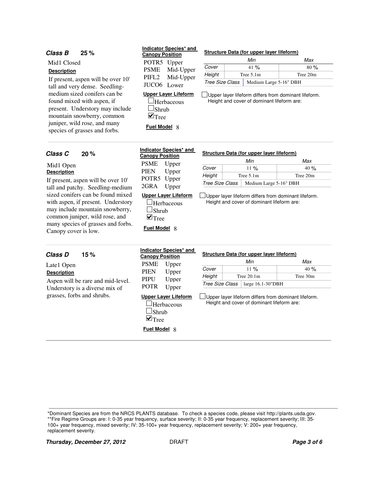#### **Class B 25** If present, aspen will be over 10' tall and very dense. Seedlingmedium sized conifers can be found mixed with aspen, if present. Understory may include mountain snowberry, common juniper, wild rose, and many species of grasses and forbs. Mid1 Closed **Description Upper Layer Lifeform**  $\Box$ Herbaceous  $\Box$ Shrub  $\blacksquare$  Tree Tree Size Class | Medium Large 5-16" DBH **Fuel Model** 8  $Cover$  41 % Tree 5.1m Tree 20m Min Max % % **Height** Upper layer lifeform differs from dominant lifeform. Height and cover of dominant lifeform are: **% Structure Data (for upper layer lifeform) 20** If present, aspen will be over 10' tall and patchy. Seedling-medium sized conifers can be found mixed with aspen, if present. Understory may include mountain snowberry, common juniper, wild rose, and many species of grasses and forbs. Canopy cover is low. Mid1 Open **Description Upper Layer Lifeform**  $\Box$ Herbaceous  $\Box$ Shrub  $\nabla$ Tree Tree Size Class | Medium Large 5-16" DBH **Fuel Model** 8  $Cover$  11 % Tree 5.1m Tree 20m Min Max % % **Height** Upper layer lifeform differs from dominant lifeform. Height and cover of dominant lifeform are: **Class C % Structure Data (for upper layer lifeform) 15** Aspen will be rare and mid-level. Understory is a diverse mix of grasses, forbs and shrubs. Late1 Open **Description Upper Layer Lifeform Herbaceous**  $\square$ Shrub Tree Size Class | large 16.1-30"DBH  $Cover$  11 % Tree 20.1m Tree 30m Min Max % % **Height** Upper layer lifeform differs from dominant lifeform. Height and cover of dominant lifeform are: **Class D % Structure Data (for upper layer lifeform)** POTR5 Upper PSME PIFL2 JUCO6 Lower **Indicator Species\* and Canopy Position** Mid-Upper Mid-Upper PSME Upper PIEN POTR5 Upper 2GRA Upper **Indicator Species\* and Canopy Position** Upper PSME PIEN PIPU POTR Upper **Indicator Species\* and Canopy Position** Upper Upper Upper

\*Dominant Species are from the NRCS PLANTS database. To check a species code, please visit http://plants.usda.gov.

\*\*Fire Regime Groups are: I: 0-35 year frequency, surface severity; II: 0-35 year frequency, replacement severity; III: 35- 100+ year frequency, mixed severity; IV: 35-100+ year frequency, replacement severity; V: 200+ year frequency, replacement severity.

 $\blacksquare$  Tree

**Fuel Model** 8

**Thursday, December 27, 2012 DRAFT Page 3 of 6 Page 3 of 6**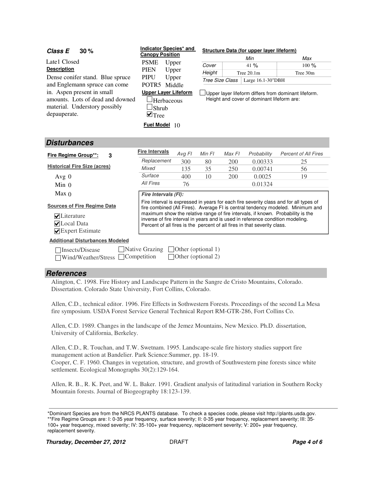| 30%<br>Class E                                                                                                                                   | Indicator Species* and                                                                                    |                                                                                                    | Structure Data (for upper layer lifeform) |        |                                                                                                                                                            |                                                                                                                                                                                                                                                            |  |  |  |  |  |
|--------------------------------------------------------------------------------------------------------------------------------------------------|-----------------------------------------------------------------------------------------------------------|----------------------------------------------------------------------------------------------------|-------------------------------------------|--------|------------------------------------------------------------------------------------------------------------------------------------------------------------|------------------------------------------------------------------------------------------------------------------------------------------------------------------------------------------------------------------------------------------------------------|--|--|--|--|--|
| Late1 Closed                                                                                                                                     | <b>Canopy Position</b><br><b>PSME</b>                                                                     |                                                                                                    |                                           |        | Min                                                                                                                                                        | Max                                                                                                                                                                                                                                                        |  |  |  |  |  |
| <b>Description</b>                                                                                                                               | <b>PIEN</b>                                                                                               | Upper                                                                                              | Cover                                     |        | 41%                                                                                                                                                        | $100\%$                                                                                                                                                                                                                                                    |  |  |  |  |  |
|                                                                                                                                                  |                                                                                                           | Upper                                                                                              | Height                                    |        | Tree $20.1m$                                                                                                                                               | Tree 30m                                                                                                                                                                                                                                                   |  |  |  |  |  |
| Dense conifer stand. Blue spruce                                                                                                                 | <b>PIPU</b>                                                                                               | Upper                                                                                              | Tree Size Class                           |        | Large 16.1-30"DBH                                                                                                                                          |                                                                                                                                                                                                                                                            |  |  |  |  |  |
| and Englemann spruce can come<br>in. Aspen present in small<br>amounts. Lots of dead and downed<br>material. Understory possibly<br>depauperate. | POTR <sub>5</sub><br>Middle<br><b>Upper Layer Lifeform</b><br>⊿Herbaceous<br>Shrub<br>$\blacksquare$ Tree | Upper layer lifeform differs from dominant lifeform.<br>Height and cover of dominant lifeform are: |                                           |        |                                                                                                                                                            |                                                                                                                                                                                                                                                            |  |  |  |  |  |
| Fuel Model 10<br><b>Disturbances</b>                                                                                                             |                                                                                                           |                                                                                                    |                                           |        |                                                                                                                                                            |                                                                                                                                                                                                                                                            |  |  |  |  |  |
| Fire Regime Group**:<br>3                                                                                                                        | <b>Fire Intervals</b>                                                                                     | Avg FI                                                                                             | Min FI                                    | Max FI | Probability                                                                                                                                                | <b>Percent of All Fires</b>                                                                                                                                                                                                                                |  |  |  |  |  |
|                                                                                                                                                  | Replacement                                                                                               | 300                                                                                                | 80                                        | 200    | 0.00333                                                                                                                                                    | 25                                                                                                                                                                                                                                                         |  |  |  |  |  |
| <b>Historical Fire Size (acres)</b>                                                                                                              | Mixed                                                                                                     | 135                                                                                                | 35                                        | 250    | 0.00741                                                                                                                                                    | 56                                                                                                                                                                                                                                                         |  |  |  |  |  |
| Avg $0$                                                                                                                                          | Surface                                                                                                   | 400                                                                                                | 10                                        | 200    | 0.0025                                                                                                                                                     | 19                                                                                                                                                                                                                                                         |  |  |  |  |  |
| $Min$ 0                                                                                                                                          | All Fires                                                                                                 | 76                                                                                                 |                                           |        | 0.01324                                                                                                                                                    |                                                                                                                                                                                                                                                            |  |  |  |  |  |
| Max <sub>0</sub>                                                                                                                                 | Fire Intervals (FI):                                                                                      |                                                                                                    |                                           |        |                                                                                                                                                            |                                                                                                                                                                                                                                                            |  |  |  |  |  |
| <b>Sources of Fire Regime Data</b><br>$\triangledown$ Literature<br>$\nabla$ Local Data<br>$\blacktriangleright$ Expert Estimate                 |                                                                                                           |                                                                                                    |                                           |        | inverse of fire interval in years and is used in reference condition modeling.<br>Percent of all fires is the percent of all fires in that severity class. | Fire interval is expressed in years for each fire severity class and for all types of<br>fire combined (All Fires). Average FI is central tendency modeled. Minimum and<br>maximum show the relative range of fire intervals, if known. Probability is the |  |  |  |  |  |

**Additional Disturbances Modeled**

| □ Insects/Disease                             | $\Box$ Native Grazing $\Box$ Other (optional 1) |
|-----------------------------------------------|-------------------------------------------------|
| $\Box$ Wind/Weather/Stress $\Box$ Competition | Other (optional 2)                              |

#### **References**

Alington, C. 1998. Fire History and Landscape Pattern in the Sangre de Cristo Mountains, Colorado. Dissertation. Colorado State University, Fort Collins, Colorado.

Allen, C.D., technical editor. 1996. Fire Effects in Sothwestern Forests. Proceedings of the second La Mesa fire symposium. USDA Forest Service General Technical Report RM-GTR-286, Fort Collins Co.

Allen, C.D. 1989. Changes in the landscape of the Jemez Mountains, New Mexico. Ph.D. dissertation, University of California, Berkeley.

Allen, C.D., R. Touchan, and T.W. Swetnam. 1995. Landscape-scale fire history studies support fire management action at Bandelier. Park Science:Summer, pp. 18-19. Cooper, C. F. 1960. Changes in vegetation, structure, and growth of Southwestern pine forests since white settlement. Ecological Monographs 30(2):129-164.

Allen, R. B., R. K. Peet, and W. L. Baker. 1991. Gradient analysis of latitudinal variation in Southern Rocky Mountain forests. Journal of Biogeography 18:123-139.

\*Dominant Species are from the NRCS PLANTS database. To check a species code, please visit http://plants.usda.gov. \*\*Fire Regime Groups are: I: 0-35 year frequency, surface severity; II: 0-35 year frequency, replacement severity; III: 35- 100+ year frequency, mixed severity; IV: 35-100+ year frequency, replacement severity; V: 200+ year frequency, replacement severity.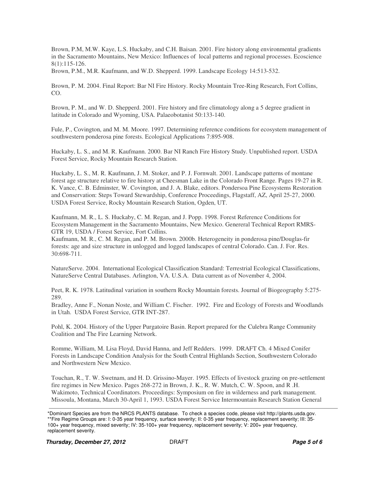Brown, P.M, M.W. Kaye, L.S. Huckaby, and C.H. Baisan. 2001. Fire history along environmental gradients in the Sacramento Mountains, New Mexico: Influences of local patterns and regional processes. Ecoscience 8(1):115-126.

Brown, P.M., M.R. Kaufmann, and W.D. Shepperd. 1999. Landscape Ecology 14:513-532.

Brown, P. M. 2004. Final Report: Bar NI Fire History. Rocky Mountain Tree-Ring Research, Fort Collins, CO.

Brown, P. M., and W. D. Shepperd. 2001. Fire history and fire climatology along a 5 degree gradient in latitude in Colorado and Wyoming, USA. Palaeobotanist 50:133-140.

Fule, P., Covington, and M. M. Moore. 1997. Determining reference conditions for ecosystem management of southwestern ponderosa pine forests. Ecological Applications 7:895-908.

Huckaby, L. S., and M. R. Kaufmann. 2000. Bar NI Ranch Fire History Study. Unpublished report. USDA Forest Service, Rocky Mountain Research Station.

Huckaby, L. S., M. R. Kaufmann, J. M. Stoker, and P. J. Fornwalt. 2001. Landscape patterns of montane forest age structure relative to fire history at Cheesman Lake in the Colorado Front Range. Pages 19-27 in R. K. Vance, C. B. Edminster, W. Covington, and J. A. Blake, editors. Pondersoa Pine Ecosystems Restoration and Conservation: Steps Toward Stewardship, Conference Proceedings, Flagstaff, AZ, April 25-27, 2000. USDA Forest Service, Rocky Mountain Research Station, Ogden, UT.

Kaufmann, M. R., L. S. Huckaby, C. M. Regan, and J. Popp. 1998. Forest Reference Conditions for Ecosystem Management in the Sacramento Mountains, New Mexico. Genereral Technical Report RMRS-GTR 19, USDA / Forest Service, Fort Collins.

Kaufmann, M. R., C. M. Regan, and P. M. Brown. 2000b. Heterogeneity in ponderosa pine/Douglas-fir forests: age and size structure in unlogged and logged landscapes of central Colorado. Can. J. For. Res. 30:698-711.

NatureServe. 2004. International Ecological Classification Standard: Terrestrial Ecological Classifications, NatureServe Central Databases. Arlington, VA. U.S.A. Data current as of November 4, 2004.

Peet, R. K. 1978. Latitudinal variation in southern Rocky Mountain forests. Journal of Biogeography 5:275- 289.

Bradley, Anne F., Nonan Noste, and William C. Fischer. 1992. Fire and Ecology of Forests and Woodlands in Utah. USDA Forest Service, GTR INT-287.

Pohl, K. 2004. History of the Upper Purgatoire Basin. Report prepared for the Culebra Range Community Coalition and The Fire Learning Network.

Romme, William, M. Lisa Floyd, David Hanna, and Jeff Redders. 1999. DRAFT Ch. 4 Mixed Conifer Forests in Landscape Condition Analysis for the South Central Highlands Section, Southwestern Colorado and Northwestern New Mexico.

Touchan, R., T. W. Swetnam, and H. D. Grissino-Mayer. 1995. Effects of livestock grazing on pre-settlement fire regimes in New Mexico. Pages 268-272 in Brown, J. K., R. W. Mutch, C. W. Spoon, and R .H. Wakimoto, Technical Coordinators. Proceedings: Symposium on fire in wilderness and park management. Missoula, Montana, March 30-April 1, 1993. USDA Forest Service Intermountain Research Station General

<sup>\*</sup>Dominant Species are from the NRCS PLANTS database. To check a species code, please visit http://plants.usda.gov. \*\*Fire Regime Groups are: I: 0-35 year frequency, surface severity; II: 0-35 year frequency, replacement severity; III: 35- 100+ year frequency, mixed severity; IV: 35-100+ year frequency, replacement severity; V: 200+ year frequency, replacement severity.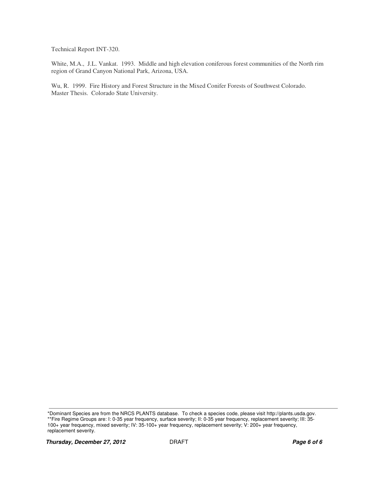Technical Report INT-320.

White, M.A., J.L. Vankat. 1993. Middle and high elevation coniferous forest communities of the North rim region of Grand Canyon National Park, Arizona, USA.

Wu, R. 1999. Fire History and Forest Structure in the Mixed Conifer Forests of Southwest Colorado. Master Thesis. Colorado State University.

<sup>\*</sup>Dominant Species are from the NRCS PLANTS database. To check a species code, please visit http://plants.usda.gov. \*\*Fire Regime Groups are: I: 0-35 year frequency, surface severity; II: 0-35 year frequency, replacement severity; III: 35- 100+ year frequency, mixed severity; IV: 35-100+ year frequency, replacement severity; V: 200+ year frequency, replacement severity.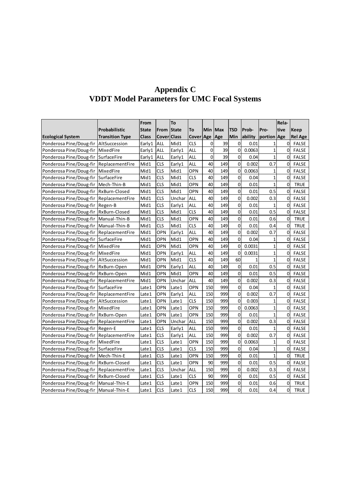|                                         |                        | From         |                    | To     |            |                |         |                |         |                | Rela-          |                |
|-----------------------------------------|------------------------|--------------|--------------------|--------|------------|----------------|---------|----------------|---------|----------------|----------------|----------------|
|                                         | Probabilistic          | <b>State</b> | From State         |        | To         |                | Min Max | <b>TSD</b>     | Prob-   | Pro-           | tive           | <b>Keep</b>    |
| <b>Ecological System</b>                | <b>Transition Type</b> | <b>Class</b> | <b>Cover</b> Class |        | Cover Age  |                | Age     | Min            | ability | portion Age    |                | <b>Rel Age</b> |
| Ponderosa Pine/Doug-fir                 | AltSuccession          | Early1       | ALL                | Mid1   | CLS        | 0              | 39      | $\overline{0}$ | 0.01    | 1              | 0l             | <b>FALSE</b>   |
| Ponderosa Pine/Doug-fir                 | MixedFire              | Early1       | ALL                | Early1 | ALL        | $\overline{0}$ | 39      | $\overline{0}$ | 0.0063  | 1              | $\overline{0}$ | <b>FALSE</b>   |
| Ponderosa Pine/Doug-fir                 | SurfaceFire            | Early1       | ALL                | Early1 | ALL        | $\mathbf 0$    | 39      | $\overline{0}$ | 0.04    | 1              | $\Omega$       | <b>FALSE</b>   |
| Ponderosa Pine/Doug-fir                 | ReplacementFire        | Mid1         | CLS                | Early1 | ALL        | 40             | 149     | $\overline{0}$ | 0.002   | 0.7            | $\Omega$       | <b>FALSE</b>   |
| Ponderosa Pine/Doug-fir                 | MixedFire              | Mid1         | <b>CLS</b>         | Mid1   | OPN        | 40             | 149     | $\overline{0}$ | 0.0063  | 1              | $\Omega$       | <b>FALSE</b>   |
| Ponderosa Pine/Doug-fir                 | SurfaceFire            | Mid1         | <b>CLS</b>         | Mid1   | CLS        | 40             | 149     | <sub>0</sub>   | 0.04    | 1              | $\Omega$       | <b>FALSE</b>   |
| Ponderosa Pine/Doug-fir                 | Mech-Thin-B            | Mid1         | <b>CLS</b>         | Mid1   | OPN        | 40             | 149     | $\mathsf{O}$   | 0.01    | $\mathbf 1$    | $\overline{0}$ | <b>TRUE</b>    |
| Ponderosa Pine/Doug-fir                 | RxBurn-Closed          | Mid1         | <b>CLS</b>         | Mid1   | OPN        | 40             | 149     | $\mathbf{0}$   | 0.01    | 0.5            | $\overline{0}$ | <b>FALSE</b>   |
| Ponderosa Pine/Doug-fir                 | ReplacementFire        | Mid1         | <b>CLS</b>         | Unchar | ALL        | 40             | 149     | $\overline{0}$ | 0.002   | 0.3            | 0l             | <b>FALSE</b>   |
| Ponderosa Pine/Doug-fir                 | Regen-B                | Mid1         | <b>CLS</b>         | Early1 | ALL        | 40             | 149     | $\overline{0}$ | 0.01    | 1              | $\overline{0}$ | <b>FALSE</b>   |
| Ponderosa Pine/Doug-fir                 | RxBurn-Closed          | Mid1         | <b>CLS</b>         | Mid1   | <b>CLS</b> | 40             | 149     | $\mathsf{O}$   | 0.01    | 0.5            | $\Omega$       | <b>FALSE</b>   |
| Ponderosa Pine/Doug-fir                 | Manual-Thin-B          | Mid1         | CLS                | Mid1   | OPN        | 40             | 149     | $\overline{0}$ | 0.01    | 0.6            | $\overline{0}$ | <b>TRUE</b>    |
| Ponderosa Pine/Doug-fir                 | Manual-Thin-B          | Mid1         | <b>CLS</b>         | Mid1   | CLS        | 40             | 149     | $\mathsf{O}$   | 0.01    | 0.4            | $\overline{0}$ | <b>TRUE</b>    |
| Ponderosa Pine/Doug-fir                 | ReplacementFire        | Mid1         | OPN                | Early1 | ALL        | 40             | 149     | <sub>0</sub>   | 0.002   | 0.7            | $\Omega$       | <b>FALSE</b>   |
| Ponderosa Pine/Doug-fir                 | SurfaceFire            | Mid1         | OPN                | Mid1   | OPN        | 40             | 149     | <sub>0</sub>   | 0.04    | 1              | $\overline{0}$ | <b>FALSE</b>   |
| Ponderosa Pine/Doug-fir                 | MixedFire              | Mid1         | OPN                | Mid1   | OPN        | 40             | 149     | $\mathbf{o}$   | 0.0031  | 1              | 0              | <b>FALSE</b>   |
| Ponderosa Pine/Doug-fir                 | MixedFire              | Mid1         | OPN                | Early1 | <b>ALL</b> | 40             | 149     | <sub>0</sub>   | 0.0031  | 1              | 0l             | <b>FALSE</b>   |
| Ponderosa Pine/Doug-fir                 | AltSuccession          | Mid1         | OPN                | Mid1   | <b>CLS</b> | 40             | 149     | 60             | 1       | 1              | $\Omega$       | <b>FALSE</b>   |
| Ponderosa Pine/Doug-fir                 | RxBurn-Open            | Mid1         | OPN                | Early1 | ALL        | 40             | 149     | $\mathsf{O}$   | 0.01    | 0.5            | $\Omega$       | <b>FALSE</b>   |
| Ponderosa Pine/Doug-fir                 | RxBurn-Open            | Mid1         | OPN                | Mid1   | OPN        | 40             | 149     | $\overline{0}$ | 0.01    | 0.5            | $\overline{0}$ | <b>FALSE</b>   |
| Ponderosa Pine/Doug-fir                 | ReplacementFire        | Mid1         | OPN                | Unchar | ALL        | 40             | 149     | $\mathsf{O}$   | 0.002   | 0.3            | $\Omega$       | <b>FALSE</b>   |
| Ponderosa Pine/Doug-fir                 | <b>SurfaceFire</b>     | Late 1       | OPN                | Late 1 | OPN        | 150            | 999     | <sub>0</sub>   | 0.04    | 1              | 01             | <b>FALSE</b>   |
| Ponderosa Pine/Doug-fir                 | ReplacementFire        | Late 1       | OPN                | Early1 | ALL        | 150            | 999     | $\overline{0}$ | 0.002   | 0.7            | $\overline{0}$ | <b>FALSE</b>   |
| Ponderosa Pine/Doug-fir                 | AltSuccession          | Late 1       | OPN                | Late1  | CLS        | 150            | 999     | $\overline{0}$ | 0.003   | 1              | $\overline{0}$ | <b>FALSE</b>   |
| Ponderosa Pine/Doug-fir                 | MixedFire              | Late1        | OPN                | Late1  | OPN        | 150            | 999     | $\overline{0}$ | 0.0063  | $\overline{1}$ | $\overline{0}$ | <b>FALSE</b>   |
| Ponderosa Pine/Doug-fir                 | RxBurn-Open            | Late 1       | OPN                | Late1  | OPN        | 150            | 999     | <sub>0</sub>   | 0.01    | 1              | $\Omega$       | <b>FALSE</b>   |
| Ponderosa Pine/Doug-fir                 | ReplacementFire        | Late1        | OPN                | Unchar | ALL        | 150            | 999     | $\mathbf{0}$   | 0.002   | 0.3            | $\Omega$       | <b>FALSE</b>   |
| Ponderosa Pine/Doug-fir                 | Regen-E                | Late1        | CLS                | Early1 | ALL        | 150            | 999     | <sub>0</sub>   | 0.01    | 1              | $\Omega$       | FALSE          |
| Ponderosa Pine/Doug-fir                 | ReplacementFire        | Late 1       | CLS                | Early1 | ALL        | 150            | 999     | <sub>0</sub>   | 0.002   | 0.7            | <sup>0</sup>   | <b>FALSE</b>   |
| Ponderosa Pine/Doug-fir                 | MixedFire              | Late 1       | <b>CLS</b>         | Late 1 | OPN        | 150            | 999     | $\overline{0}$ | 0.0063  | 1              | 01             | <b>FALSE</b>   |
| Ponderosa Pine/Doug-fir                 | SurfaceFire            | Late 1       | <b>CLS</b>         | Late1  | CLS        | 150            | 999     | $\overline{0}$ | 0.04    | $\mathbf{1}$   | 0              | <b>FALSE</b>   |
| Ponderosa Pine/Doug-fir                 | Mech-Thin-E            | Late 1       | <b>CLS</b>         | Late 1 | OPN        | 150            | 999     | $\overline{0}$ | 0.01    | 1              | $\overline{0}$ | <b>TRUE</b>    |
| Ponderosa Pine/Doug-fir                 | RxBurn-Closed          | Late1        | <b>CLS</b>         | Late1  | OPN        | 90             | 999     | $\mathsf{O}$   | 0.01    | 0.5            | $\overline{0}$ | <b>FALSE</b>   |
| Ponderosa Pine/Doug-fir                 | ReplacementFire        | Late1        | <b>CLS</b>         | Unchar | ALL        | 150            | 999     | $\overline{0}$ | 0.002   | 0.3            | $\overline{0}$ | <b>FALSE</b>   |
| Ponderosa Pine/Doug-fir                 | RxBurn-Closed          | Late 1       | <b>CLS</b>         | Late1  | <b>CLS</b> | 90             | 999     | $\mathbf{0}$   | 0.01    | 0.5            | $\Omega$       | <b>FALSE</b>   |
| Ponderosa Pine/Doug-fir                 | Manual-Thin-E          | Late1        | <b>CLS</b>         | Late 1 | OPN        | 150            | 999     | $\overline{0}$ | 0.01    | 0.6            | 0              | <b>TRUE</b>    |
| Ponderosa Pine/Doug-fir   Manual-Thin-E |                        | Late 1       | <b>CLS</b>         | Late1  | <b>CLS</b> | 150            | 999     | <sub>0</sub>   | 0.01    | 0.4            | <sub>0</sub>   | <b>TRUE</b>    |

## **Appendix C VDDT Model Parameters for UMC Focal Systems**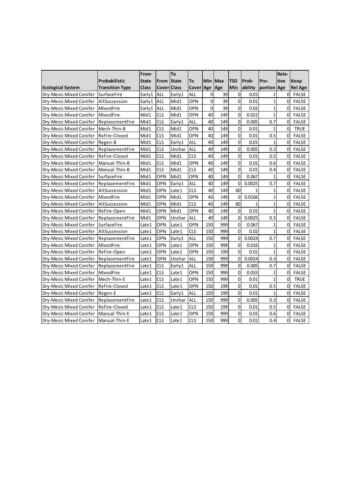|                          |                        | From         |                   | To     |            |                |         |                |         |                | Rela-          |                |
|--------------------------|------------------------|--------------|-------------------|--------|------------|----------------|---------|----------------|---------|----------------|----------------|----------------|
|                          | <b>Probabilistic</b>   | <b>State</b> | <b>From State</b> |        | To         |                | Min Max | <b>TSD</b>     | Prob-   | Pro-           | tive           | <b>Keep</b>    |
| <b>Ecological System</b> | <b>Transition Type</b> | Class        | Cover Class       |        | Cover Age  |                | Age     | Min            | ability | portion Age    |                | <b>Rel Age</b> |
| Dry-Mesic Mixed Conifer  | <b>SurfaceFire</b>     | Early1       | ALL               | Early1 | ALL        | 0              | 39      | 0              | 0.01    | 1              | 0              | <b>FALSE</b>   |
| Dry-Mesic Mixed Conifer  | AltSuccession          | Early1       | ALL               | Mid1   | OPN        | 0              | 39      | $\overline{0}$ | 0.01    | $\overline{1}$ | $\Omega$       | <b>FALSE</b>   |
| Dry-Mesic Mixed Conifer  | MixedFire              | Early1       | <b>ALL</b>        | Mid1   | OPN        | $\overline{0}$ | 39      | $\overline{0}$ | 0.02    | $\overline{1}$ | $\Omega$       | <b>FALSE</b>   |
| Dry-Mesic Mixed Conifer  | MixedFire              | Mid1         | <b>CLS</b>        | Mid1   | OPN        | 40             | 149     | $\overline{0}$ | 0.022   | $\overline{1}$ | $\Omega$       | <b>FALSE</b>   |
| Dry-Mesic Mixed Conifer  | ReplacementFire        | Mid1         | <b>CLS</b>        | Early1 | ALL        | 40             | 149     | $\overline{0}$ | 0.005   | 0.7            | $\Omega$       | <b>FALSE</b>   |
| Dry-Mesic Mixed Conifer  | Mech-Thin-B            | Mid1         | <b>CLS</b>        | Mid1   | OPN        | 40             | 149     | $\overline{0}$ | 0.01    | $\overline{1}$ | $\overline{0}$ | <b>TRUE</b>    |
| Dry-Mesic Mixed Conifer  | RxFire-Closed          | Mid1         | <b>CLS</b>        | Mid1   | OPN        | 40             | 149     | $\overline{0}$ | 0.01    | 0.5            | $\Omega$       | <b>FALSE</b>   |
| Dry-Mesic Mixed Conifer  | Regen-B                | Mid1         | <b>CLS</b>        | Early1 | ALL        | 40             | 149     | $\overline{0}$ | 0.01    | $\overline{1}$ | $\Omega$       | <b>FALSE</b>   |
| Dry-Mesic Mixed Conifer  | ReplacementFire        | Mid1         | <b>CLS</b>        | Unchar | ALL        | 40             | 149     | $\overline{0}$ | 0.005   | 0.3            | $\overline{0}$ | <b>FALSE</b>   |
| Dry-Mesic Mixed Conifer  | RxFire-Closed          | Mid1         | <b>CLS</b>        | Mid1   | <b>CLS</b> | 40             | 149     | $\overline{0}$ | 0.01    | 0.5            | $\overline{0}$ | <b>FALSE</b>   |
| Dry-Mesic Mixed Conifer  | Manual-Thin-B          | Mid1         | <b>CLS</b>        | Mid1   | OPN        | 40             | 149     | $\overline{0}$ | 0.01    | 0.6            | $\Omega$       | <b>FALSE</b>   |
| Dry-Mesic Mixed Conifer  | Manual-Thin-B          | Mid1         | <b>CLS</b>        | Mid1   | <b>CLS</b> | 40             | 149     | $\overline{0}$ | 0.01    | 0.4            | $\overline{0}$ | <b>FALSE</b>   |
| Dry-Mesic Mixed Conifer  | <b>SurfaceFire</b>     | Mid1         | OPN               | Mid1   | OPN        | 40             | 149     | $\mathsf{O}$   | 0.067   | $\overline{1}$ | $\overline{0}$ | <b>FALSE</b>   |
| Dry-Mesic Mixed Conifer  | ReplacementFire        | Mid1         | OPN               | Early1 | ALL        | 40             | 149     | $\overline{0}$ | 0.0025  | 0.7            | $\overline{0}$ | <b>FALSE</b>   |
| Dry-Mesic Mixed Conifer  | AltSuccession          | Mid1         | OPN               | Late1  | <b>CLS</b> | 40             | 149     | 60             |         | 1              | $\overline{0}$ | <b>FALSE</b>   |
| Dry-Mesic Mixed Conifer  | MixedFire              | Mid1         | OPN               | Mid1   | OPN        | 40             | 149     | 0              | 0.0166  | $\overline{1}$ | $\overline{0}$ | <b>FALSE</b>   |
| Dry-Mesic Mixed Conifer  | AltSuccession          | Mid1         | OPN               | Mid1   | <b>CLS</b> | 40             | 149     | 60             |         | $\overline{1}$ | $\overline{0}$ | <b>FALSE</b>   |
| Dry-Mesic Mixed Conifer  | RxFire-Open            | Mid1         | OPN               | Mid1   | OPN        | 40             | 149     | <sub>0</sub>   | 0.01    | $\overline{1}$ | $\overline{0}$ | <b>FALSE</b>   |
| Dry-Mesic Mixed Conifer  | ReplacementFire        | Mid1         | OPN               | Unchar | ALL        | 40             | 149     | <sub>0</sub>   | 0.0025  | 0.3            | $\overline{0}$ | <b>FALSE</b>   |
| Dry-Mesic Mixed Conifer  | <b>SurfaceFire</b>     | Late1        | OPN               | Late1  | OPN        | 150            | 999     | $\overline{0}$ | 0.067   | $\overline{1}$ | $\overline{0}$ | <b>FALSE</b>   |
| Dry-Mesic Mixed Conifer  | AltSuccession          | Late1        | OPN               | Late1  | <b>CLS</b> | 150            | 999     | $\overline{0}$ | 0.02    | 1              | $\overline{0}$ | <b>FALSE</b>   |
| Dry-Mesic Mixed Conifer  | ReplacementFire        | Late1        | OPN               | Early1 | ALL        | 150            | 999     | <sub>0</sub>   | 0.0024  | 0.7            | $\overline{0}$ | <b>FALSE</b>   |
| Dry-Mesic Mixed Conifer  | MixedFire              | Late1        | OPN               | Late 1 | OPN        | 150            | 999     | $\overline{0}$ | 0.016   | 1              | $\Omega$       | <b>FALSE</b>   |
| Dry-Mesic Mixed Conifer  | RxFire-Open            | Late1        | OPN               | Late1  | OPN        | 150            | 199     | $\Omega$       | 0.01    | 1              | $\overline{0}$ | <b>FALSE</b>   |
| Dry-Mesic Mixed Conifer  | ReplacementFire        | Late1        | OPN               | Unchar | ALL        | 150            | 999     | <sub>0</sub>   | 0.0024  | 0.3            | $\overline{0}$ | <b>FALSE</b>   |
| Dry-Mesic Mixed Conifer  | ReplacementFire        | Late1        | <b>CLS</b>        | Early1 | ALL        | 150            | 999     | $\overline{0}$ | 0.005   | 0.7            | $\overline{0}$ | <b>FALSE</b>   |
| Dry-Mesic Mixed Conifer  | MixedFire              | Late1        | <b>CLS</b>        | Late1  | OPN        | 150            | 999     | $\mathsf{O}$   | 0.033   | $\mathbf{1}$   | $\Omega$       | <b>FALSE</b>   |
| Dry-Mesic Mixed Conifer  | Mech-Thin-E            | Late1        | <b>CLS</b>        | Late1  | OPN        | 150            | 999     | $\overline{0}$ | 0.01    | 1              | $\overline{0}$ | <b>TRUE</b>    |
| Dry-Mesic Mixed Conifer  | RxFire-Closed          | Late1        | CLS               | Late1  | OPN        | 150            | 199     | $\mathsf{O}$   | 0.01    | 0.5            | $\Omega$       | <b>FALSE</b>   |
| Dry-Mesic Mixed Conifer  | Regen-E                | Late1        | <b>CLS</b>        | Early1 | ALL        | 150            | 199     | $\Omega$       | 0.01    | 1              | $\Omega$       | <b>FALSE</b>   |
| Dry-Mesic Mixed Conifer  | ReplacementFire        | Late1        | <b>CLS</b>        | Unchar | ALL        | 150            | 999     | $\overline{0}$ | 0.005   | 0.3            | $\Omega$       | <b>FALSE</b>   |
| Dry-Mesic Mixed Conifer  | RxFire-Closed          | Late1        | CLS               | Late1  | <b>CLS</b> | 150            | 199     | $\mathsf{O}$   | 0.01    | 0.5            | $\Omega$       | <b>FALSE</b>   |
| Dry-Mesic Mixed Conifer  | Manual-Thin-E          | Late1        | <b>CLS</b>        | Late1  | OPN        | 150            | 999     | $\overline{0}$ | 0.01    | 0.6            | $\Omega$       | <b>FALSE</b>   |
| Dry-Mesic Mixed Conifer  | Manual-Thin-E          | Late1        | <b>CLS</b>        | Late1  | <b>CLS</b> | 150            | 999     | $\Omega$       | 0.01    | 0.4            | $\Omega$       | <b>FALSE</b>   |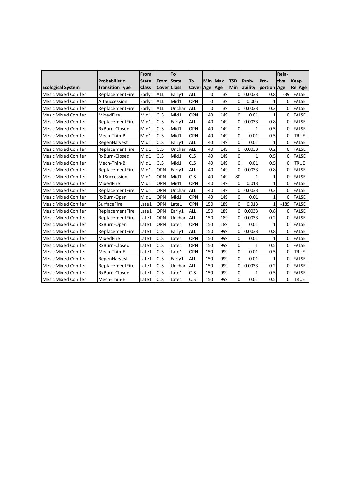|                            |                        | From         |                    | To           |            |     |         |                |              |                | Rela-          |                |
|----------------------------|------------------------|--------------|--------------------|--------------|------------|-----|---------|----------------|--------------|----------------|----------------|----------------|
|                            | <b>Probabilistic</b>   | <b>State</b> | From               | <b>State</b> | To         |     | Min Max | <b>TSD</b>     | Prob-        | Pro-           | tive           | Keep           |
| <b>Ecological System</b>   | <b>Transition Type</b> | <b>Class</b> | <b>Cover Class</b> |              | Cover Age  |     | Age     | <b>Min</b>     | ability      | portion Age    |                | <b>Rel Age</b> |
| <b>Mesic Mixed Conifer</b> | ReplacementFire        | Early1       | ALL                | Early1       | <b>ALL</b> | 0   | 39      | 0              | 0.0033       | 0.8            | $-39$          | <b>FALSE</b>   |
| <b>Mesic Mixed Conifer</b> | AltSuccession          | Early1       | ALL                | Mid1         | <b>OPN</b> | 0   | 39      | $\Omega$       | 0.005        | 1              | $\Omega$       | <b>FALSE</b>   |
| <b>Mesic Mixed Conifer</b> | ReplacementFire        | Early1       | ALL                | Unchar       | ALL        | 0   | 39      | 0              | 0.0033       | 0.2            | $\Omega$       | <b>FALSE</b>   |
| <b>Mesic Mixed Conifer</b> | MixedFire              | Mid1         | <b>CLS</b>         | Mid1         | OPN        | 40  | 149     | $\overline{0}$ | 0.01         | 1              | $\Omega$       | <b>FALSE</b>   |
| <b>Mesic Mixed Conifer</b> | ReplacementFire        | Mid1         | <b>CLS</b>         | Early1       | ALL        | 40  | 149     | $\mathbf 0$    | 0.0033       | 0.8            | $\Omega$       | <b>FALSE</b>   |
| <b>Mesic Mixed Conifer</b> | RxBurn-Closed          | Mid1         | <b>CLS</b>         | Mid1         | OPN        | 40  | 149     | $\overline{0}$ | $\mathbf{1}$ | 0.5            | $\Omega$       | <b>FALSE</b>   |
| <b>Mesic Mixed Conifer</b> | Mech-Thin-B            | Mid1         | <b>CLS</b>         | Mid1         | OPN        | 40  | 149     | $\mathbf 0$    | 0.01         | 0.5            | $\overline{0}$ | <b>TRUE</b>    |
| <b>Mesic Mixed Conifer</b> | RegenHarvest           | Mid1         | <b>CLS</b>         | Early1       | ALL        | 40  | 149     | $\overline{0}$ | 0.01         | $\mathbf{1}$   | $\Omega$       | <b>FALSE</b>   |
| <b>Mesic Mixed Conifer</b> | ReplacementFire        | Mid1         | <b>CLS</b>         | Unchar       | ALL        | 40  | 149     | $\mathbf 0$    | 0.0033       | 0.2            | $\Omega$       | <b>FALSE</b>   |
| <b>Mesic Mixed Conifer</b> | RxBurn-Closed          | Mid1         | <b>CLS</b>         | Mid1         | <b>CLS</b> | 40  | 149     | $\overline{0}$ | 1            | 0.5            | $\Omega$       | <b>FALSE</b>   |
| <b>Mesic Mixed Conifer</b> | Mech-Thin-B            | Mid1         | <b>CLS</b>         | Mid1         | <b>CLS</b> | 40  | 149     | $\Omega$       | 0.01         | 0.5            | $\Omega$       | <b>TRUE</b>    |
| <b>Mesic Mixed Conifer</b> | ReplacementFire        | Mid1         | OPN                | Early1       | <b>ALL</b> | 40  | 149     | $\overline{0}$ | 0.0033       | 0.8            | $\Omega$       | <b>FALSE</b>   |
| <b>Mesic Mixed Conifer</b> | AltSuccession          | Mid1         | OPN                | Mid1         | <b>CLS</b> | 40  | 149     | 80             |              | 1              | $\Omega$       | <b>FALSE</b>   |
| <b>Mesic Mixed Conifer</b> | MixedFire              | Mid1         | OPN                | Mid1         | OPN        | 40  | 149     | $\overline{0}$ | 0.013        | $\mathbf{1}$   | $\overline{0}$ | <b>FALSE</b>   |
| <b>Mesic Mixed Conifer</b> | ReplacementFire        | Mid1         | OPN                | Unchar       | <b>ALL</b> | 40  | 149     | $\Omega$       | 0.0033       | 0.2            | $\Omega$       | <b>FALSE</b>   |
| <b>Mesic Mixed Conifer</b> | RxBurn-Open            | Mid1         | OPN                | Mid1         | OPN        | 40  | 149     | $\overline{0}$ | 0.01         | $\mathbf{1}$   | $\Omega$       | <b>FALSE</b>   |
| <b>Mesic Mixed Conifer</b> | SurfaceFire            | Late1        | OPN                | Late1        | OPN        | 150 | 189     | $\Omega$       | 0.013        | 1              | $-189$         | <b>FALSE</b>   |
| <b>Mesic Mixed Conifer</b> | ReplacementFire        | Late1        | OPN                | Early1       | <b>ALL</b> | 150 | 189     | $\mathbf{0}$   | 0.0033       | 0.8            | $\Omega$       | <b>FALSE</b>   |
| <b>Mesic Mixed Conifer</b> | ReplacementFire        | Late1        | OPN                | Unchar       | ALL        | 150 | 189     | $\overline{0}$ | 0.0033       | 0.2            | $\Omega$       | <b>FALSE</b>   |
| <b>Mesic Mixed Conifer</b> | RxBurn-Open            | Late1        | OPN                | Late1        | OPN        | 150 | 189     | $\mathbf 0$    | 0.01         | 1              | $\Omega$       | <b>FALSE</b>   |
| <b>Mesic Mixed Conifer</b> | ReplacementFire        | Late1        | <b>CLS</b>         | Early1       | <b>ALL</b> | 150 | 999     | 0              | 0.0033       | 0.8            | $\overline{0}$ | <b>FALSE</b>   |
| <b>Mesic Mixed Conifer</b> | MixedFire              | Late1        | <b>CLS</b>         | Late1        | OPN        | 150 | 999     | $\mathbf 0$    | 0.01         | 1              | $\overline{0}$ | <b>FALSE</b>   |
| <b>Mesic Mixed Conifer</b> | RxBurn-Closed          | Late1        | <b>CLS</b>         | Late1        | OPN        | 150 | 999     | 0              |              | 0.5            | $\Omega$       | <b>FALSE</b>   |
| <b>Mesic Mixed Conifer</b> | Mech-Thin-E            | Late1        | <b>CLS</b>         | Late1        | OPN        | 150 | 999     | $\Omega$       | 0.01         | 0.5            | $\Omega$       | <b>TRUE</b>    |
| <b>Mesic Mixed Conifer</b> | RegenHarvest           | Late1        | <b>CLS</b>         | Early1       | ALL        | 150 | 999     | $\overline{0}$ | 0.01         | $\overline{1}$ | $\Omega$       | <b>FALSE</b>   |
| <b>Mesic Mixed Conifer</b> | ReplacementFire        | Late1        | <b>CLS</b>         | Unchar       | ALL        | 150 | 999     | 0              | 0.0033       | 0.2            | $\Omega$       | <b>FALSE</b>   |
| <b>Mesic Mixed Conifer</b> | RxBurn-Closed          | Late1        | <b>CLS</b>         | Late1        | <b>CLS</b> | 150 | 999     | $\overline{0}$ | 1            | 0.5            | $\overline{0}$ | <b>FALSE</b>   |
| <b>Mesic Mixed Conifer</b> | Mech-Thin-E            | Late1        | <b>CLS</b>         | Late1        | <b>CLS</b> | 150 | 999     | $\Omega$       | 0.01         | 0.5            | $\Omega$       | <b>TRUE</b>    |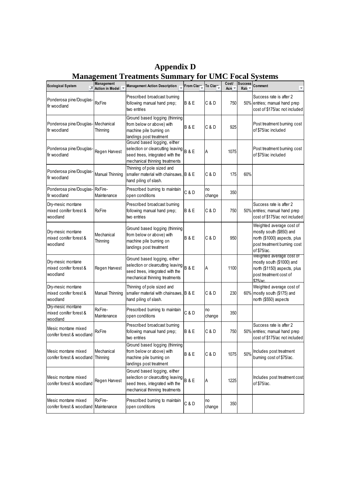| <b>Ecological System</b><br>"Т                               | Management<br><b>Action in Model</b> | <b>Management Action Description</b>                                                                                                         | From Clase     | To Clase     | Cost/<br>Acre $\overline{ }$ | <b>Success</b><br>Rati <sup>-</sup> | Comment<br>$\overline{\phantom{a}}$                                                                                                |  |
|--------------------------------------------------------------|--------------------------------------|----------------------------------------------------------------------------------------------------------------------------------------------|----------------|--------------|------------------------------|-------------------------------------|------------------------------------------------------------------------------------------------------------------------------------|--|
| Ponderosa pine/Douglas-<br>fir woodland                      | <b>RxFire</b>                        | Prescribed broadcast burning<br>following manual hand prep;<br>two entries                                                                   | <b>B&amp;E</b> | C & D        | 750                          |                                     | Success rate is after 2<br>50% entries; manual hand prep<br>cost of \$175/ac not included                                          |  |
| Ponderosa pine/Douglas- Mechanical<br>fir woodland           | Thinning                             | Ground based logging (thinning<br>from below or above) with<br>machine pile burning on<br>landings post treatment                            | <b>B&amp;E</b> | C & D        | 925                          |                                     | Post treatment burning cost<br>of \$75/ac included                                                                                 |  |
| Ponderosa pine/Douglas-<br>fir woodland                      | Regen Harvest                        | Ground based logging, either<br>selection or clearcutting leaving B & E<br>seed trees, integrated with the<br>mechanical thinning treatments |                | Α            | 1075                         |                                     | Post treatment burning cost<br>of \$75/ac included                                                                                 |  |
| Ponderosa pine/Douglas-<br>fir woodland                      | Manual Thinning                      | Thinning of pole sized and<br>smaller material with chainsaws.<br>hand piling of slash.                                                      | <b>B&amp;E</b> | C & D        | 175                          | 60%                                 |                                                                                                                                    |  |
| Ponderosa pine/Douglas-RxFire-<br>fir woodland               | Maintenance                          | Prescribed burning to maintain<br>open conditions                                                                                            | C & D          | no<br>change | 350                          |                                     |                                                                                                                                    |  |
| Dry-mesic montane<br>mixed conifer forest &<br>woodland      | <b>RxFire</b>                        | Prescribed broadcast burning<br>following manual hand prep;<br>two entries                                                                   | <b>B&amp;E</b> | C & D        | 750                          |                                     | Success rate is after 2<br>50% entries; manual hand prep<br>cost of \$175/ac not included                                          |  |
| Dry-mesic montane<br>mixed conifer forest &<br>woodland      | Mechanical<br>Thinning               | Ground based logging (thinning<br>from below or above) with<br>machine pile burning on<br>landings post treatment                            | <b>B&amp;E</b> | C & D        | 950                          |                                     | Weighted average cost of<br>mostly south (\$850) and<br>north (\$1000) aspects, plus<br>post treatment burning cost<br>of \$75/ac. |  |
| Dry-mesic montane<br>mixed conifer forest &<br>woodland      | Regen Harvest                        | Ground based logging, either<br>selection or clearcutting leaving B & E<br>seed trees, integrated with the<br>mechanical thinning treatments |                | Α            | 1100                         |                                     | vveignted average cost of<br>mostly south (\$1000) and<br>north (\$1150) aspects, plus<br>post treatment cost of<br>\$75/ac        |  |
| Dry-mesic montane<br>mixed conifer forest &<br>woodland      | Manual Thinning                      | Thinning of pole sized and<br>smaller material with chainsaws.<br>hand piling of slash.                                                      | <b>B&amp;E</b> | C & D        | 230                          |                                     | Weighted average cost of<br>60% mostly south (\$175) and<br>north (\$550) aspects                                                  |  |
| Dry-mesic montane<br>mixed conifer forest &<br>woodland      | RxFire-<br>Maintenance               | Prescribed burning to maintain<br>open conditions                                                                                            | C & D          | no<br>change | 350                          |                                     |                                                                                                                                    |  |
| Mesic montane mixed<br>conifer forest & woodland             | RxFire                               | Prescribed broadcast burning<br>following manual hand prep;<br>two entries                                                                   | <b>B&amp;E</b> | C & D        | 750                          |                                     | Success rate is after 2<br>50% entries; manual hand prep<br>cost of \$175/ac not included                                          |  |
| Mesic montane mixed<br>conifer forest & woodland Thinning    | Mechanical                           | Ground based logging (thinning<br>from below or above) with<br>machine pile burning on<br>landings post treatment                            | <b>B&amp;E</b> | C & D        | 1075                         | 50%                                 | Includes post treatment<br>burning cost of \$75/ac.                                                                                |  |
| Mesic montane mixed<br>conifer forest & woodland             | Regen Harvest                        | Ground based logging, either<br>selection or clearcutting leaving<br>seed trees, integrated with the<br>mechanical thinning treatments       | B&E            | A            | 1225                         |                                     | Includes post treatment cost<br>of \$75/ac.                                                                                        |  |
| Mesic montane mixed<br>conifer forest & woodland Maintenance | RxFire-                              | Prescribed burning to maintain<br>open conditions                                                                                            | C & D          | no<br>change | 350                          |                                     |                                                                                                                                    |  |

**Appendix D Management Treatments Summary for UMC Focal Systems**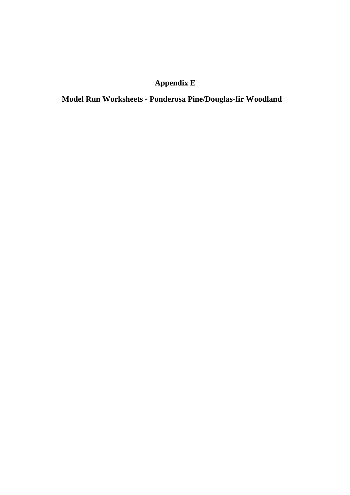# **Appendix E**

**Model Run Worksheets - Ponderosa Pine/Douglas-fir Woodland**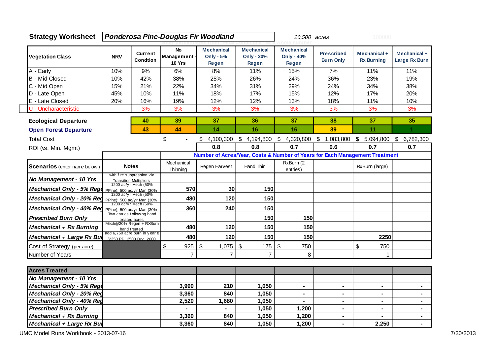| <b>Strategy Worksheet</b>           |            |                                                                        |                                     | Ponderosa Pine-Douglas Fir Woodland            |                                                 | 20,500 acres                                                                |                                       | 100000                            |                               |  |
|-------------------------------------|------------|------------------------------------------------------------------------|-------------------------------------|------------------------------------------------|-------------------------------------------------|-----------------------------------------------------------------------------|---------------------------------------|-----------------------------------|-------------------------------|--|
| <b>Vegetation Class</b>             | <b>NRV</b> | <b>Current</b><br><b>Condtion</b>                                      | <b>No</b><br>Management -<br>10 Yrs | <b>Mechanical</b><br><b>Only - 5%</b><br>Regen | <b>Mechanical</b><br><b>Only - 20%</b><br>Regen | <b>Mechanical</b><br>Only - 40%<br>Regen                                    | <b>Prescribed</b><br><b>Burn Only</b> | Mechanical +<br><b>Rx Burning</b> | Mechanical +<br>Large Rx Burn |  |
| A - Early                           | 10%        | 9%                                                                     | 6%                                  | 8%                                             | 11%                                             | 15%                                                                         | 7%                                    | 11%                               | 11%                           |  |
| B - Mid Closed                      | 10%        | 42%                                                                    | 38%                                 | 25%                                            | 26%                                             | 24%                                                                         | 36%                                   | 23%                               | 19%                           |  |
| C - Mid Open                        | 15%        | 21%                                                                    | 22%                                 | 34%                                            | 31%                                             | 29%                                                                         | 24%                                   | 34%                               | 38%                           |  |
| D - Late Open                       | 45%        | 10%                                                                    | 11%                                 | 18%                                            | 17%                                             | 15%                                                                         | 12%                                   | 17%                               | 20%                           |  |
| E - Late Closed                     | 20%        | 16%                                                                    | 19%                                 | 12%                                            | 12%                                             | 13%                                                                         | 18%                                   | 11%                               | 10%                           |  |
| U - Uncharacteristic                |            | 3%                                                                     | 3%                                  | 3%                                             | 3%                                              | 3%                                                                          | 3%                                    | 3%                                | 3%                            |  |
| <b>Ecological Departure</b>         |            | 40                                                                     | 39                                  | 37                                             | 36                                              | 37                                                                          | 38                                    | 37                                | 35                            |  |
| <b>Open Forest Departure</b>        |            | 43                                                                     | 44                                  | 14                                             | 16                                              | 16                                                                          | 39                                    | 11                                | 1                             |  |
| <b>Total Cost</b>                   |            |                                                                        | \$                                  | \$<br>4,100,300                                | \$<br>4,194,800                                 | \$<br>4,320,800                                                             | \$<br>1,083,800                       | \$<br>5,094,800                   | \$<br>6,782,300               |  |
| ROI (vs. Min. Mgmt)                 |            |                                                                        |                                     | 0.8                                            | 0.8                                             | 0.7                                                                         | 0.6                                   | 0.7                               | 0.7                           |  |
|                                     |            |                                                                        |                                     |                                                |                                                 | Number of Acres/Year, Costs & Number of Years for Each Management Treatment |                                       |                                   |                               |  |
| <b>Scenarios</b> (enter name below) |            | <b>Notes</b>                                                           | Mechanical<br>Thinning              | Regen Harvest                                  | Hand Thin                                       | RxBurn (2<br>entries)                                                       |                                       | RxBurn (large)                    |                               |  |
| No Management - 10 Yrs              |            | with fire suppression via<br><b>Transition Multipliers</b>             |                                     |                                                |                                                 |                                                                             |                                       |                                   |                               |  |
| Mechanical Only - 5% Rege           |            | 1200 ac/yr Mech (50%<br>PPine); 500 ac/y r Man (30%                    | 570                                 | 30                                             | 150                                             |                                                                             |                                       |                                   |                               |  |
| Mechanical Only - 20% Reg           |            | 1200 ac/yr Mech (50%<br>PPine); 500 ac/yr Man (30%                     | 480                                 | 120                                            | 150                                             |                                                                             |                                       |                                   |                               |  |
| Mechanical Only - 40% Reg           |            | 1200 ac/yr Mech (50%<br>PPine); 500 ac/y r Man (30%                    | 360                                 | 240                                            | 150                                             |                                                                             |                                       |                                   |                               |  |
| <b>Prescribed Burn Only</b>         |            | Two entries following hand<br>treated acres<br>Mech@20% Regen + RXBurn |                                     |                                                | 150                                             | 150                                                                         |                                       |                                   |                               |  |
| <b>Mechanical + Rx Burning</b>      |            | hand treated                                                           | 480                                 | 120                                            | 150                                             | 150                                                                         |                                       |                                   |                               |  |
| Mechanical + Large Rx Bur           |            | add 6,750 acre burn in year 8<br>(2250 PP, 2500 Drv, 2000              | 480                                 | 120                                            | 150                                             | 150                                                                         |                                       | 2250                              |                               |  |
| Cost of Strategy (per acre)         |            |                                                                        | $\$\$<br>925                        | $\boldsymbol{\mathsf{S}}$<br>1,075             | $\boldsymbol{\mathsf{S}}$<br>175                | $\sqrt{3}$<br>750                                                           |                                       | \$<br>750                         |                               |  |
| Number of Years                     |            |                                                                        | $\overline{7}$                      | $\overline{7}$                                 | $\overline{7}$                                  | 8                                                                           |                                       | 1                                 |                               |  |
| <b>Acres Treated</b>                |            |                                                                        |                                     |                                                |                                                 |                                                                             |                                       |                                   |                               |  |
| No Management - 10 Yrs              |            |                                                                        |                                     |                                                |                                                 |                                                                             |                                       |                                   |                               |  |
| Mechanical Only - 5% Rege           |            |                                                                        | 3,990                               | 210                                            | 1,050                                           | $\blacksquare$                                                              | $\blacksquare$                        | $\blacksquare$                    | $\blacksquare$                |  |
| <b>Mechanical Only - 20% Reg</b>    |            |                                                                        | 3,360                               | 840                                            | 1,050                                           | $\blacksquare$                                                              | $\blacksquare$                        | $\blacksquare$                    | ٠                             |  |
| <b>Mechanical Only - 40% Reg</b>    |            |                                                                        | 2,520                               | 1,680                                          | 1,050                                           |                                                                             | $\blacksquare$                        | ۰                                 | $\blacksquare$                |  |
| <b>Prescribed Burn Only</b>         |            |                                                                        |                                     |                                                | 1,050                                           | 1,200                                                                       | ۰                                     | ۰                                 | ÷,                            |  |
| Mechanical + Rx Burning             |            |                                                                        | 3,360                               | 840                                            | 1,050                                           | 1,200                                                                       | $\blacksquare$                        |                                   | ٠                             |  |
| Mechanical + Large Rx Bur           |            |                                                                        | 3,360                               | 840                                            | 1,050                                           | 1,200                                                                       | $\blacksquare$                        | 2,250                             | $\blacksquare$                |  |

UMC Model Runs Workbook - 2013-07-16 7/30/2013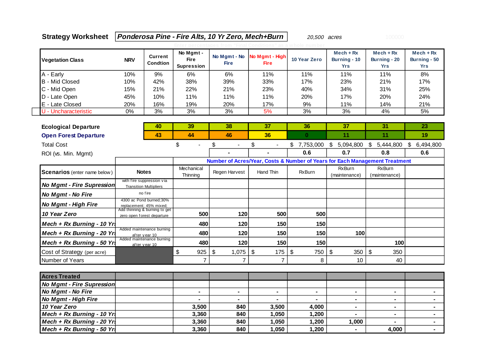## **Strategy Worksheet** *Ponderosa Pine - Fire Alts, 10 Yr Zero, Mech+Burn* **20,500 acres 100000**

| <b>Vegetation Class</b>             | <b>NRV</b>                    | Current<br><b>Condtion</b>                                | No Mgmt -<br><b>Fire</b><br><b>Supression</b> | No Mgmt - No<br><b>Fire</b>        | No Mgmt - High<br><b>Fire</b> | 10 Year Zero                     | $Mech + Rx$<br>Burning - 10<br><b>Yrs</b> | $Mech + Rx$<br>Burning - 20<br><b>Yrs</b>                                   | $Mech + Rx$<br>Burning - 50<br><b>Yrs</b> |
|-------------------------------------|-------------------------------|-----------------------------------------------------------|-----------------------------------------------|------------------------------------|-------------------------------|----------------------------------|-------------------------------------------|-----------------------------------------------------------------------------|-------------------------------------------|
| A - Early                           | 10%                           | 9%                                                        | 6%                                            | 6%                                 | 11%                           | 11%                              | 11%                                       | 11%                                                                         | 8%                                        |
| <b>B</b> - Mid Closed               | 10%                           | 42%                                                       | 38%                                           | 39%                                | 33%                           | 17%                              | 23%                                       | 21%                                                                         | 17%                                       |
| C - Mid Open                        | 15%                           | 21%                                                       | 22%                                           | 21%                                | 23%                           | 40%                              | 34%                                       | 31%                                                                         | 25%                                       |
| D - Late Open                       | 45%                           | 10%                                                       | 11%                                           | 11%                                | 11%                           | 20%                              | 17%                                       | 20%                                                                         | 24%                                       |
| E - Late Closed                     | 20%                           | 16%                                                       | 19%                                           | 20%                                | 17%                           | 9%                               | 11%                                       | 14%                                                                         | 21%                                       |
| U - Uncharacteristic                | 0%                            | 3%                                                        | 3%                                            | 3%                                 | 5%                            | 3%                               | 3%                                        | 4%                                                                          | 5%                                        |
|                                     |                               |                                                           |                                               |                                    |                               |                                  |                                           |                                                                             |                                           |
| <b>Ecological Departure</b>         |                               | 40                                                        | 39                                            | 38                                 | 37                            | 36                               | 37                                        | 31                                                                          | 23                                        |
| <b>Open Forest Departure</b>        |                               | 43                                                        | 44                                            | 46                                 | 36                            | $\mathbf{0}$                     | 11                                        | 11                                                                          | 19                                        |
| <b>Total Cost</b>                   |                               |                                                           | \$<br>$\overline{a}$                          | \$                                 | \$<br>$\overline{a}$          | \$<br>7,753,000                  | \$5,094,800                               | $\mathfrak{S}$<br>5,444,800                                                 | $\sqrt[6]{\frac{1}{2}}$<br>6,494,800      |
| ROI (vs. Min. Mgmt)                 |                               |                                                           |                                               |                                    |                               | 0.6                              | 0.7                                       | 0.8                                                                         | 0.6                                       |
|                                     |                               |                                                           |                                               |                                    |                               |                                  |                                           | Number of Acres/Year, Costs & Number of Years for Each Management Treatment |                                           |
| <b>Scenarios</b> (enter name below) | <b>Notes</b>                  |                                                           | Mechanical<br>Thinning                        | Regen Harvest                      | Hand Thin                     | <b>RxBurn</b>                    | <b>RxBurn</b><br>(maintenance)            | <b>RxBurn</b><br>(maintenance)                                              |                                           |
| <b>No Mgmt - Fire Supression</b>    | <b>Transition Multipliers</b> | with fire suppression via                                 |                                               |                                    |                               |                                  |                                           |                                                                             |                                           |
| No Mgmt - No Fire                   |                               | no fire                                                   |                                               |                                    |                               |                                  |                                           |                                                                             |                                           |
| No Mgmt - High Fire                 | replacement; 45% mixed;       | 4300 ac Pond burned; 30%<br>Add thinning & burning to get |                                               |                                    |                               |                                  |                                           |                                                                             |                                           |
| 10 Year Zero                        | zero open forest departure    |                                                           | 500                                           | 120                                | 500                           | 500                              |                                           |                                                                             |                                           |
| Mech + $Rx$ Burning - 10 Yrs        |                               |                                                           | 480                                           | 120                                | 150                           | 150                              |                                           |                                                                             |                                           |
| Mech + Rx Burning - 20 Yrs          |                               | Added maintenance burning<br>after year 10                | 480                                           | 120                                | 150                           | 150                              | 100                                       |                                                                             |                                           |
| Mech + Rx Burning - 50 Yrs          | after year 10                 | Added maintenance burning                                 | 480                                           | 120                                | 150                           | 150                              |                                           | 100                                                                         |                                           |
| Cost of Strategy (per acre)         |                               |                                                           | \$<br>925                                     | $\boldsymbol{\mathsf{S}}$<br>1,075 | $\sqrt[6]{3}$<br>175          | $\boldsymbol{\mathsf{S}}$<br>750 | $\sqrt[6]{\frac{1}{2}}$<br>350            | \$<br>350                                                                   |                                           |
| Number of Years                     |                               |                                                           | $\overline{7}$                                | $\overline{7}$                     | $\overline{7}$                | 8                                | 10                                        | 40                                                                          |                                           |
|                                     |                               |                                                           |                                               |                                    |                               |                                  |                                           |                                                                             |                                           |
| <b>Acres Treated</b>                |                               |                                                           |                                               |                                    |                               |                                  |                                           |                                                                             |                                           |
| <b>No Mgmt - Fire Supression</b>    |                               |                                                           |                                               |                                    |                               |                                  |                                           |                                                                             |                                           |
| No Mgmt - No Fire                   |                               |                                                           | $\blacksquare$                                | $\blacksquare$                     | $\blacksquare$                | $\blacksquare$                   | $\blacksquare$                            | $\blacksquare$                                                              | $\blacksquare$                            |
| No Mgmt - High Fire                 |                               |                                                           | $\blacksquare$                                |                                    | $\blacksquare$                |                                  |                                           | $\blacksquare$                                                              | $\blacksquare$                            |
| 10 Year Zero                        |                               |                                                           | 3,500                                         | 840                                | 3,500                         | 4,000                            | $\blacksquare$                            | $\blacksquare$                                                              | $\blacksquare$                            |
| Mech + $Rx$ Burning - 10 Yrs        |                               |                                                           | 3,360                                         | 840                                | 1,050                         | 1,200                            |                                           | $\blacksquare$                                                              | $\blacksquare$                            |
| Mech + Rx Burning - 20 Yr.          |                               |                                                           | 3,360                                         | 840                                | 1,050                         | 1,200                            | 1,000                                     |                                                                             | $\blacksquare$                            |
| Mech + Rx Burning - 50 Yrs          |                               |                                                           | 3,360                                         | 840                                | 1,050                         | 1,200                            |                                           | 4,000                                                                       |                                           |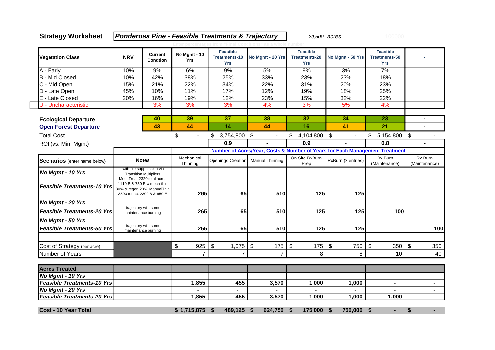**Strategy Worksheet Ponderosa Pine - Feasible Treatments & Trajectory** 20,500 acres

| <b>Vegetation Class</b>             | <b>NRV</b> | Current<br>Condtion                                                                                                     | No Mgmt - 10<br><b>Yrs</b>       | <b>Feasible</b><br><b>Treatments-10</b><br><b>Yrs</b> | No Mgmt - 20 Yrs       | <b>Feasible</b><br><b>Treatments-20</b><br><b>Yrs</b> | No Mgmt - 50 Yrs                                                            | <b>Feasible</b><br><b>Treatments-50</b><br><b>Yrs</b> |                          |
|-------------------------------------|------------|-------------------------------------------------------------------------------------------------------------------------|----------------------------------|-------------------------------------------------------|------------------------|-------------------------------------------------------|-----------------------------------------------------------------------------|-------------------------------------------------------|--------------------------|
| A - Early                           | 10%        | 9%                                                                                                                      | 6%                               | 9%                                                    | 5%                     | 9%                                                    | 3%                                                                          | 7%                                                    |                          |
| <b>B</b> - Mid Closed               | 10%        | 42%                                                                                                                     | 38%                              | 25%                                                   | 33%                    | 23%                                                   | 23%                                                                         | 18%                                                   |                          |
| C - Mid Open                        | 15%        | 21%                                                                                                                     | 22%                              | 34%                                                   | 22%                    | 31%                                                   | 20%                                                                         | 23%                                                   |                          |
| D - Late Open                       | 45%        | 10%                                                                                                                     | 11%                              | 17%                                                   | 12%                    | 19%                                                   | 18%                                                                         | 25%                                                   |                          |
| E - Late Closed                     | 20%        | 16%                                                                                                                     | 19%                              | 12%                                                   | 23%                    | 15%                                                   | 32%                                                                         | 22%                                                   |                          |
| U - Uncharacteristic                |            | 3%                                                                                                                      | 3%                               | 3%                                                    | 4%                     | 3%                                                    | 5%                                                                          | 4%                                                    |                          |
| <b>Ecological Departure</b>         |            | 40                                                                                                                      | 39                               | 37                                                    | 38                     | 32                                                    | 34                                                                          | 23                                                    | ٠                        |
| <b>Open Forest Departure</b>        |            | 43                                                                                                                      | 44                               | 14                                                    | 44                     | 16                                                    | 41                                                                          | 21                                                    | $\blacksquare$           |
| <b>Total Cost</b>                   |            |                                                                                                                         | \$<br>$\frac{1}{2}$              | 3,754,800 \$<br>\$                                    | $\blacksquare$         | \$<br>4,104,800                                       | $\sqrt[6]{3}$<br>$\blacksquare$                                             | 5,154,800 \$<br>\$                                    |                          |
| ROI (vs. Min. Mgmt)                 |            |                                                                                                                         |                                  | 0.9                                                   |                        | 0.9                                                   |                                                                             | 0.8                                                   | $\blacksquare$           |
|                                     |            |                                                                                                                         |                                  |                                                       |                        |                                                       | Number of Acres/Year, Costs & Number of Years for Each Management Treatment |                                                       |                          |
| <b>Scenarios</b> (enter name below) |            | <b>Notes</b>                                                                                                            | Mechanical<br>Thinning           | Openings Creation                                     | <b>Manual Thinning</b> | On Site RxBurn<br>Prep                                | RxBurn (2 entries)                                                          | Rx Burn<br>(Maintenance)                              | Rx Burn<br>(Maintenance) |
| No Mgmt - 10 Yrs                    |            | with fire suppression via<br><b>Transition Multipliers</b>                                                              |                                  |                                                       |                        |                                                       |                                                                             |                                                       |                          |
| <b>Feasible Treatments-10 Yrs</b>   |            | MechTreat 2320 total acres:<br>1110 B & 750 E w mech-thin<br>80% & regen 20%; ManualThin<br>3590 tot ac: 2300 B & 650 E | 265                              | 65                                                    | 510                    | 125                                                   | 125                                                                         |                                                       |                          |
| No Mgmt - 20 Yrs                    |            |                                                                                                                         |                                  |                                                       |                        |                                                       |                                                                             |                                                       |                          |
| <b>Feasible Treatments-20 Yrs</b>   |            | trajectory with some<br>maintenance burning                                                                             | 265                              | 65                                                    | 510                    | 125                                                   | 125                                                                         | 100                                                   |                          |
| No Mgmt - 50 Yrs                    |            |                                                                                                                         |                                  |                                                       |                        |                                                       |                                                                             |                                                       |                          |
| <b>Feasible Treatments-50 Yrs</b>   |            | trajectory with some<br>maintenance burning                                                                             | 265                              | 65                                                    | 510                    | 125                                                   | 125                                                                         |                                                       | 100                      |
| Cost of Strategy (per acre)         |            |                                                                                                                         | $\boldsymbol{\mathsf{S}}$<br>925 | \$<br>1,075                                           | \$<br>175              | $\frac{1}{2}$<br>175                                  | \$<br>750                                                                   | \$<br>350                                             | \$<br>350                |
| Number of Years                     |            |                                                                                                                         | $\overline{7}$                   | $\overline{7}$                                        | $\overline{7}$         | 8                                                     | 8                                                                           | 10                                                    | 40                       |
| <b>Acres Treated</b>                |            |                                                                                                                         |                                  |                                                       |                        |                                                       |                                                                             |                                                       |                          |
| No Mgmt - 10 Yrs                    |            |                                                                                                                         |                                  |                                                       |                        |                                                       |                                                                             |                                                       |                          |
| <b>Feasible Treatments-10 Yrs</b>   |            |                                                                                                                         | 1,855                            | 455                                                   | 3,570                  | 1,000                                                 | 1,000                                                                       | $\blacksquare$                                        | $\blacksquare$           |
| No Mgmt - 20 Yrs                    |            |                                                                                                                         |                                  |                                                       |                        |                                                       |                                                                             |                                                       | $\blacksquare$           |
| <b>Feasible Treatments-20 Yrs</b>   |            |                                                                                                                         | 1,855                            | 455                                                   | 3,570                  | 1,000                                                 | 1,000                                                                       | 1,000                                                 |                          |
| <b>Cost - 10 Year Total</b>         |            |                                                                                                                         | \$1,715,875                      | 489,125<br>\$                                         | 624,750<br>Ŝ.          | 175,000<br>-\$                                        | -\$<br>750,000                                                              | \$                                                    | \$                       |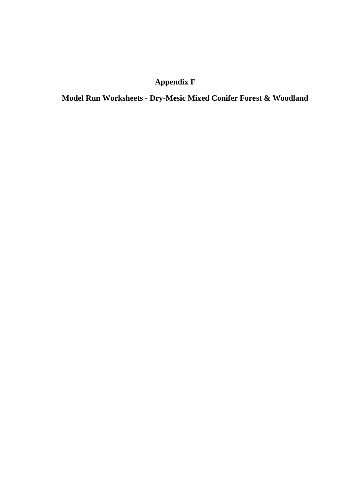## **Appendix F**

**Model Run Worksheets - Dry-Mesic Mixed Conifer Forest & Woodland**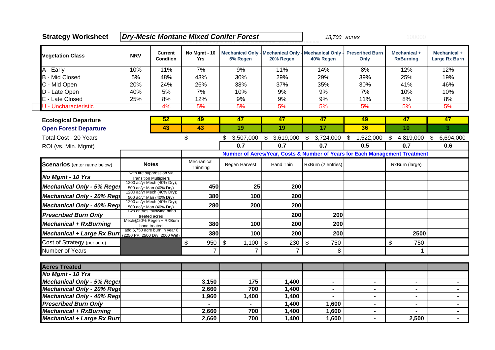| <b>Strategy Worksheet</b>           |            |                                                                |                                   | <b>Dry-Mesic Montane Mixed Conifer Forest</b> |                                       | 18,700 acres                         |                                                                             | 100000                           |                               |
|-------------------------------------|------------|----------------------------------------------------------------|-----------------------------------|-----------------------------------------------|---------------------------------------|--------------------------------------|-----------------------------------------------------------------------------|----------------------------------|-------------------------------|
| <b>Vegetation Class</b>             | <b>NRV</b> | <b>Current</b><br><b>Condtion</b>                              | <b>No Mgmt - 10</b><br><b>Yrs</b> | <b>Mechanical Only -</b><br>5% Regen          | <b>Mechanical Only -</b><br>20% Regen | <b>Mechanical Only</b><br>40% Regen  | <b>Prescribed Burn</b><br>Only                                              | Mechanical +<br><b>RxBurning</b> | Mechanical +<br>Large Rx Burn |
| A - Early                           | 10%        | 11%                                                            | 7%                                | 9%                                            | 11%                                   | 14%                                  | 8%                                                                          | 12%                              | 12%                           |
| <b>B</b> - Mid Closed               | 5%         | 48%                                                            | 43%                               | 30%                                           | 29%                                   | 29%                                  | 39%                                                                         | 25%                              | 19%                           |
| C - Mid Open                        | 20%        | 24%                                                            | 26%                               | 38%                                           | 37%                                   | 35%                                  | 30%                                                                         | 41%                              | 46%                           |
| D - Late Open                       | 40%        | 5%                                                             | 7%                                | 10%                                           | 9%                                    | 9%                                   | 7%                                                                          | 10%                              | 10%                           |
| E - Late Closed                     | 25%        | 8%                                                             | 12%                               | 9%                                            | 9%                                    | 9%                                   | 11%                                                                         | 8%                               | 8%                            |
| U - Uncharacteristic                |            | 4%                                                             | 5%                                | 5%                                            | 5%                                    | 5%                                   | 5%                                                                          | 5%                               | 5%                            |
| <b>Ecological Departure</b>         |            | 52                                                             | 49                                | 47                                            | 47                                    | 47                                   | 49                                                                          | 47                               | 47                            |
| <b>Open Forest Departure</b>        |            | 43                                                             | 43                                | 19                                            | 19                                    | 17                                   | 36                                                                          | 10                               | 3                             |
| <b>Total Cost - 20 Years</b>        |            |                                                                | \$<br>$\blacksquare$              | 3,507,000<br>\$                               | $\frac{1}{2}$<br>3,619,000            | $\sqrt[6]{\frac{1}{2}}$<br>3,724,000 | \$<br>1,522,000                                                             | \$.<br>4,819,000                 | 6,694,000<br>\$               |
| ROI (vs. Min. Mgmt)                 |            |                                                                |                                   | 0.7                                           | 0.7                                   | 0.7                                  | 0.5                                                                         | 0.7                              | 0.6                           |
|                                     |            |                                                                |                                   |                                               |                                       |                                      | Number of Acres/Year, Costs & Number of Years for Each Management Treatment |                                  |                               |
| <b>Scenarios</b> (enter name below) |            | <b>Notes</b>                                                   | Mechanical<br>Thinning            | Regen Harvest                                 | Hand Thin                             | RxBurn (2 entries)                   |                                                                             | RxBurn (large)                   |                               |
| No Mgmt - 10 Yrs                    |            | with fire suppression via<br><b>Transition Multipliers</b>     |                                   |                                               |                                       |                                      |                                                                             |                                  |                               |
| <b>Mechanical Only - 5% Reger</b>   |            | 1200 ac/yr Mech (40% Dry);<br>500 ac/yr Man (40% Dry)          | 450                               | 25                                            | 200                                   |                                      |                                                                             |                                  |                               |
| Mechanical Only - 20% Rege          |            | 1200 ac/yr Mech (40% Dry);<br>500 ac/yr Man (40% Dry)          | 380                               | 100                                           | 200                                   |                                      |                                                                             |                                  |                               |
| Mechanical Only - 40% Rege          |            | 1200 ac/yr Mech (40% Dry);<br>500 ac/yr Man (40% Dry)          | 280                               | 200                                           | 200                                   |                                      |                                                                             |                                  |                               |
| <b>Prescribed Burn Only</b>         |            | Two entries following hand<br>treated acres                    |                                   |                                               | 200                                   | 200                                  |                                                                             |                                  |                               |
| <b>Mechanical + RxBurning</b>       |            | Mech@20% Regen + RXBurn<br>hand treated                        | 380                               | 100                                           | 200                                   | 200                                  |                                                                             |                                  |                               |
| <b>Mechanical + Large Rx Burr</b>   |            | add 6,750 acre burn in year 8<br>(2250 PP. 2500 Drv. 2000 Wet) | 380                               | 100                                           | 200                                   | 200                                  |                                                                             | 2500                             |                               |
| Cost of Strategy (per acre)         |            |                                                                | \$<br>950                         | \$<br>1,100                                   | \$<br>230                             | \$<br>750                            |                                                                             | \$<br>750                        |                               |
| Number of Years                     |            |                                                                | $\overline{7}$                    | $\overline{7}$                                | $\overline{7}$                        | 8                                    |                                                                             | 1                                |                               |
| <b>Acres Treated</b>                |            |                                                                |                                   |                                               |                                       |                                      |                                                                             |                                  |                               |
| No Mgmt - 10 Yrs                    |            |                                                                |                                   |                                               |                                       |                                      |                                                                             |                                  |                               |
| <b>Mechanical Only - 5% Reger</b>   |            |                                                                | 3,150                             | 175                                           | 1,400                                 | $\blacksquare$                       | $\blacksquare$                                                              | $\blacksquare$                   | $\blacksquare$                |
| Mechanical Only - 20% Rege          |            |                                                                | 2,660                             | 700                                           | 1,400                                 | $\blacksquare$                       | $\blacksquare$                                                              | $\blacksquare$                   | $\blacksquare$                |
| Mechanical Only - 40% Rege          |            |                                                                | 1,960                             | 1,400                                         | 1,400                                 |                                      | $\blacksquare$                                                              | $\blacksquare$                   | $\blacksquare$                |
| <b>Prescribed Burn Only</b>         |            |                                                                |                                   |                                               | 1,400                                 | 1,600                                | $\blacksquare$                                                              | $\blacksquare$                   | $\blacksquare$                |
| <b>Mechanical + RxBurning</b>       |            |                                                                | 2,660                             | 700                                           | 1,400                                 | 1,600                                | $\blacksquare$                                                              | $\blacksquare$                   | $\blacksquare$                |
| Mechanical + Large Rx Burn          |            |                                                                | 2,660                             | 700                                           | 1,400                                 | 1,600                                | $\blacksquare$                                                              | 2,500                            |                               |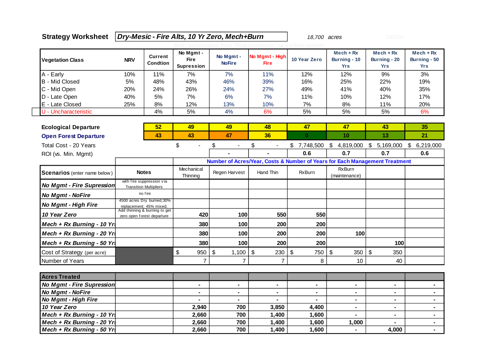## **Strategy Worksheet Dry-Mesic - Fire Alts, 10 Yr Zero, Mech+Burn** 18,700 acres

| <b>Vegetation Class</b>                       | <b>NRV</b> | <b>Current</b><br><b>Condtion</b>                                                      | No Mgmt -<br><b>Fire</b><br><b>Supression</b> | No Mgmt -<br><b>NoFire</b>       | No Mgmt - High<br><b>Fire</b>    | 10 Year Zero   | $Mech + Rx$<br>Burning - 10<br><b>Yrs</b> | $Mech + Rx$<br>Burning - 20<br><b>Yrs</b>                                   | $Mech + Rx$<br>Burning - 50<br><b>Yrs</b> |
|-----------------------------------------------|------------|----------------------------------------------------------------------------------------|-----------------------------------------------|----------------------------------|----------------------------------|----------------|-------------------------------------------|-----------------------------------------------------------------------------|-------------------------------------------|
| A - Early                                     | 10%        | 11%                                                                                    | 7%                                            | 7%                               | 11%                              | 12%            | 12%                                       | 9%                                                                          | 3%                                        |
| - Mid Closed<br>B                             | 5%         | 48%                                                                                    | 43%                                           | 46%                              | 39%                              | 16%            | 25%                                       | 22%                                                                         | 19%                                       |
| C - Mid Open                                  | 20%        | 24%                                                                                    | 26%                                           | 24%                              | 27%                              | 49%            | 41%                                       | 40%                                                                         | 35%                                       |
| D - Late Open                                 | 40%        | 5%                                                                                     | 7%                                            | 6%                               | 7%                               | 11%            | 10%                                       | 12%                                                                         | 17%                                       |
| E - Late Closed                               | 25%        | 8%                                                                                     | 12%                                           | 13%                              | 10%                              | 7%             | 8%                                        | 11%                                                                         | 20%                                       |
| U - Uncharacteristic                          |            | 4%                                                                                     | 5%                                            | 4%                               | 6%                               | 5%             | 5%                                        | 5%                                                                          | 6%                                        |
| <b>Ecological Departure</b>                   |            | 52                                                                                     | 49                                            | 49                               | 48                               | 47             | 47                                        | 43                                                                          | 35                                        |
| <b>Open Forest Departure</b>                  |            | 43                                                                                     | 43                                            | 47                               | 36                               | $\mathbf{0}$   | 10                                        | 13                                                                          | 21                                        |
| Total Cost - 20 Years                         |            |                                                                                        | \$<br>$\blacksquare$                          | \$<br>$\blacksquare$             | \$<br>$\overline{\phantom{a}}$   | \$7,748,500    |                                           | $$4,819,000$ $$5,169,000$                                                   | $\sqrt[6]{2}$<br>6,219,000                |
| ROI (vs. Min. Mgmt)                           |            |                                                                                        |                                               |                                  |                                  | 0.6            | 0.7                                       | 0.7                                                                         | 0.6                                       |
|                                               |            |                                                                                        |                                               |                                  |                                  |                |                                           | Number of Acres/Year, Costs & Number of Years for Each Management Treatment |                                           |
| <b>Scenarios</b> (enter name below)           |            | <b>Notes</b>                                                                           | Mechanical<br>Thinning                        | Regen Harvest                    | Hand Thin                        | <b>RxBurn</b>  | <b>RxBurn</b><br>(maintenance)            |                                                                             |                                           |
| <b>No Mgmt - Fire Supression</b>              |            | with fire suppression via<br><b>Transition Multipliers</b>                             |                                               |                                  |                                  |                |                                           |                                                                             |                                           |
| No Mgmt - NoFire                              |            | no fire                                                                                |                                               |                                  |                                  |                |                                           |                                                                             |                                           |
| <b>No Mgmt - High Fire</b>                    |            | 4500 acres Dry burned; 30%<br>replacement; 45% mixed;<br>Add thinning & burning to get |                                               |                                  |                                  |                |                                           |                                                                             |                                           |
| 10 Year Zero                                  |            | zero open forest departure                                                             | 420                                           | 100                              | 550                              | 550            |                                           |                                                                             |                                           |
| Mech + Rx Burning - 10 Yrs                    |            |                                                                                        | 380                                           | 100                              | 200                              | 200            |                                           |                                                                             |                                           |
| Mech + Rx Burning - 20 Yrs                    |            |                                                                                        | 380                                           | 100                              | 200                              | 200            | 100                                       |                                                                             |                                           |
| Mech + Rx Burning - 50 Yrs                    |            |                                                                                        | 380                                           | 100                              | 200                              | 200            |                                           | 100                                                                         |                                           |
| Cost of Strategy (per acre)                   |            |                                                                                        | \$<br>950                                     | \$<br>1,100                      | $\boldsymbol{\mathsf{S}}$<br>230 | \$<br>750      | \$<br>350                                 | \$<br>350                                                                   |                                           |
| Number of Years                               |            |                                                                                        | 7                                             | $\overline{7}$                   | $\overline{7}$                   | 8              | 10                                        | 40                                                                          |                                           |
|                                               |            |                                                                                        |                                               |                                  |                                  |                |                                           |                                                                             |                                           |
| <b>Acres Treated</b>                          |            |                                                                                        |                                               |                                  |                                  |                |                                           |                                                                             |                                           |
| No Mgmt - Fire Supression<br>No Mgmt - NoFire |            |                                                                                        | $\blacksquare$                                | $\blacksquare$<br>$\blacksquare$ | $\blacksquare$                   | $\blacksquare$ | ٠<br>۰                                    | $\blacksquare$<br>$\blacksquare$                                            | ۰                                         |
| No Mgmt - High Fire                           |            |                                                                                        |                                               |                                  |                                  |                | $\blacksquare$                            | $\blacksquare$                                                              | $\blacksquare$<br>$\blacksquare$          |
| 10 Year Zero                                  |            |                                                                                        | 2,940                                         | 700                              | 3,850                            | 4,400          | $\blacksquare$                            | $\blacksquare$                                                              | $\blacksquare$                            |
| Mech + Rx Burning - 10 Yrs                    |            |                                                                                        | 2,660                                         | 700                              | 1,400                            | 1,600          | ä,                                        | $\blacksquare$                                                              | $\blacksquare$                            |
| Mech + Rx Burning - 20 Yrs                    |            |                                                                                        | 2,660                                         | 700                              | 1,400                            | 1,600          | 1,000                                     | ÷.                                                                          | ٠                                         |
| Mech + Rx Burning - 50 Yrs                    |            |                                                                                        | 2,660                                         | 700                              | 1,400                            | 1,600          | $\blacksquare$                            | 4,000                                                                       | $\blacksquare$                            |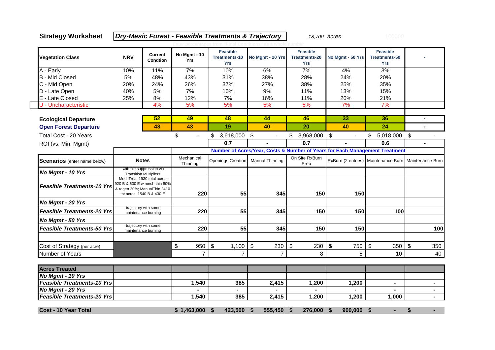**Strategy Worksheet Dry-Mesic Forest - Feasible Treatments & Trajectory** 18,700 acres

| <b>Vegetation Class</b>             | <b>NRV</b>                                                                                                                | No Mgmt - 10<br><b>Current</b><br>Condtion                 |                                  | <b>Feasible</b><br>Treatments-10<br><b>Yrs</b> | No Mgmt - 20 Yrs       | <b>Feasible</b><br><b>Treatments-20</b><br><b>Yrs</b> | No Mgmt - 50 Yrs    | <b>Feasible</b><br><b>Treatments-50</b><br><b>Yrs</b>    |                |  |
|-------------------------------------|---------------------------------------------------------------------------------------------------------------------------|------------------------------------------------------------|----------------------------------|------------------------------------------------|------------------------|-------------------------------------------------------|---------------------|----------------------------------------------------------|----------------|--|
| A - Early                           | 10%                                                                                                                       | 11%                                                        | 7%                               | 10%                                            | 6%                     | 7%                                                    | 4%                  | 3%                                                       |                |  |
| <b>B</b> - Mid Closed               | 5%                                                                                                                        | 48%                                                        | 43%                              | 31%                                            | 38%                    | 28%                                                   | 24%                 | 20%                                                      |                |  |
| C - Mid Open                        | 20%                                                                                                                       | 24%                                                        | 26%                              | 37%                                            | 27%                    | 38%                                                   | 25%                 | 35%                                                      |                |  |
| D - Late Open                       | 40%                                                                                                                       | 5%                                                         | 7%                               | 10%                                            | 9%                     | 11%                                                   | 13%                 | 15%                                                      |                |  |
| E - Late Closed                     | 25%                                                                                                                       | 8%                                                         | 12%                              | 7%                                             | 16%                    | 11%                                                   | 26%                 | 21%                                                      |                |  |
| U - Uncharacteristic                |                                                                                                                           | 4%                                                         | 5%                               | 5%                                             | 5%                     | 5%                                                    | 7%                  | 7%                                                       |                |  |
| <b>Ecological Departure</b>         |                                                                                                                           | 52                                                         | 49                               | 48                                             | 44                     | 46                                                    | $\overline{33}$     | 36                                                       |                |  |
| <b>Open Forest Departure</b>        |                                                                                                                           | 43                                                         | 43                               | 19                                             | 40                     | 20                                                    | 40                  | 24                                                       | $\mathbf{r}$   |  |
| Total Cost - 20 Years               |                                                                                                                           |                                                            | \$<br>$\blacksquare$             | $$3,618,000$ \$                                | $\blacksquare$         | $$3,968,000$ \$                                       | $\blacksquare$      | 5,018,000 \$<br>\$                                       |                |  |
| ROI (vs. Min. Mgmt)                 |                                                                                                                           |                                                            |                                  | 0.7                                            |                        | 0.7                                                   |                     | 0.6                                                      |                |  |
|                                     | Number of Acres/Year, Costs & Number of Years for Each Management Treatment                                               |                                                            |                                  |                                                |                        |                                                       |                     |                                                          |                |  |
| <b>Scenarios</b> (enter name below) | <b>Notes</b>                                                                                                              |                                                            | Mechanical<br>Thinning           | <b>Openings Creation</b>                       | <b>Manual Thinning</b> | On Site RxBurn<br>Prep                                |                     | RxBurn (2 entries)   Maintenance Burn   Maintenance Burn |                |  |
| No Mgmt - 10 Yrs                    |                                                                                                                           | with fire suppression via<br><b>Transition Multipliers</b> |                                  |                                                |                        |                                                       |                     |                                                          |                |  |
| <b>Feasible Treatments-10 Yrs</b>   | MechTreat 1930 total acres:<br>920 B & 630 E w mech-thin 80%<br>& regen 20%; ManualThin 2410<br>tot acres: 1540 B & 430 E |                                                            | 220                              | 55                                             | 345                    | 150                                                   | 150                 |                                                          |                |  |
| No Mgmt - 20 Yrs                    |                                                                                                                           |                                                            |                                  |                                                |                        |                                                       |                     |                                                          |                |  |
| <b>Feasible Treatments-20 Yrs</b>   |                                                                                                                           | trajectory with some<br>maintenance burning                | 220                              | 55                                             | 345                    | 150                                                   | 150                 | 100                                                      |                |  |
| No Mgmt - 50 Yrs                    |                                                                                                                           |                                                            |                                  |                                                |                        |                                                       |                     |                                                          |                |  |
| <b>Feasible Treatments-50 Yrs</b>   |                                                                                                                           | trajectory with some<br>maintenance burning                | 220                              | 55                                             | 345                    | 150                                                   | 150                 |                                                          | 100            |  |
| Cost of Strategy (per acre)         |                                                                                                                           |                                                            | $\boldsymbol{\mathsf{S}}$<br>950 | \$<br>1,100                                    | \$<br>230              | \$<br>230                                             | \$<br>750           | \$<br>350                                                | \$<br>350      |  |
| Number of Years                     |                                                                                                                           |                                                            | $\overline{7}$                   | $\overline{7}$                                 | $\overline{7}$         | 8                                                     | 8                   | 10                                                       | 40             |  |
| <b>Acres Treated</b>                |                                                                                                                           |                                                            |                                  |                                                |                        |                                                       |                     |                                                          |                |  |
| No Mgmt - 10 Yrs                    |                                                                                                                           |                                                            |                                  |                                                |                        |                                                       |                     |                                                          |                |  |
| <b>Feasible Treatments-10 Yrs</b>   |                                                                                                                           |                                                            | 1,540                            | 385                                            | 2,415                  | 1,200                                                 | 1,200               | $\blacksquare$                                           | $\blacksquare$ |  |
| No Mgmt - 20 Yrs                    |                                                                                                                           |                                                            | $\blacksquare$                   | $\blacksquare$                                 | ۰                      |                                                       |                     |                                                          | $\blacksquare$ |  |
| <b>Feasible Treatments-20 Yrs</b>   |                                                                                                                           |                                                            | 1,540                            | 385                                            | 2,415                  | 1,200                                                 | 1,200               | 1,000                                                    | $\blacksquare$ |  |
| <b>Cost - 10 Year Total</b>         |                                                                                                                           |                                                            | \$1,463,000                      | 423,500<br>\$                                  | 555,450<br>\$          | 276,000<br>\$                                         | $900,000$ \$<br>-\$ |                                                          | \$             |  |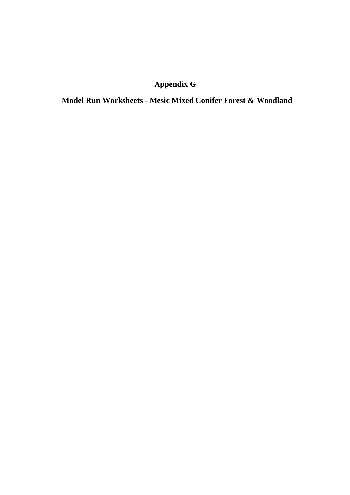## **Appendix G**

**Model Run Worksheets - Mesic Mixed Conifer Forest & Woodland**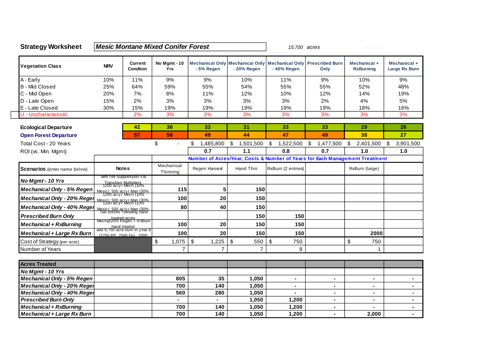| <b>Strategy Worksheet</b>           |              |                                                                                           | <b>Mesic Montane Mixed Conifer Forest</b> |                                    | 15,700 acres                     |                                                                                                     | 100000                                                                      |                                  |                               |  |
|-------------------------------------|--------------|-------------------------------------------------------------------------------------------|-------------------------------------------|------------------------------------|----------------------------------|-----------------------------------------------------------------------------------------------------|-----------------------------------------------------------------------------|----------------------------------|-------------------------------|--|
| <b>Vegetation Class</b>             | <b>NRV</b>   | <b>Current</b><br><b>Condtion</b>                                                         | No Mgmt - 10<br>Yrs                       | -5% Regen                          | - 20% Regen                      | Mechanical Only   Mechanical Only   Mechanical Only<br><b>Prescribed Burn</b><br>-40% Regen<br>Only |                                                                             | Mechanical +<br><b>RxBurning</b> | Mechanical +<br>Large Rx Burn |  |
| A - Early                           | 10%          | 11%                                                                                       | 9%                                        | 9%                                 | 10%                              | 11%                                                                                                 | 9%                                                                          | 10%                              | 9%                            |  |
| <b>B</b> - Mid Closed               | 25%          | 64%                                                                                       | 59%                                       | 55%                                | 54%                              | 55%                                                                                                 | 55%                                                                         | 52%                              | 48%                           |  |
| C - Mid Open                        | 20%          | 7%                                                                                        | 8%                                        | 11%                                | 12%                              | 10%                                                                                                 | 12%                                                                         | 14%                              | 19%                           |  |
| D - Late Open                       | 15%          | 2%                                                                                        | 3%                                        | 3%<br>3%                           |                                  | 3%                                                                                                  | 2%                                                                          | 4%                               | 5%                            |  |
| E - Late Closed                     | 30%          | 15%                                                                                       | 19%                                       | 19%                                | 19%                              | 19%                                                                                                 | 19%                                                                         | 18%                              | 16%                           |  |
| U - Uncharacteristic                |              | 2%                                                                                        | 3%                                        | 3%<br>3%                           |                                  | 3%                                                                                                  | 3%                                                                          | 3%                               | 3%                            |  |
| <b>Ecological Departure</b>         | 42           |                                                                                           | 36                                        | 33                                 | 31                               | 33                                                                                                  | 33                                                                          | 29                               | 26                            |  |
| <b>Open Forest Departure</b>        |              | 57                                                                                        | 56                                        | 49                                 | 44                               | 47                                                                                                  | 49                                                                          | 38                               | 27                            |  |
| Total Cost - 20 Years               |              |                                                                                           | \$<br>$\overline{a}$                      | \$<br>1,485,800                    | \$<br>1,501,500                  | \$<br>1,522,500                                                                                     | \$<br>1,477,500                                                             | \$<br>2,401,500                  | 3,901,500<br>\$               |  |
| ROI (vs. Min. Mgmt)                 |              |                                                                                           |                                           | 0.7                                | 1.1                              | 0.8                                                                                                 | 0.7                                                                         | 1.0                              | 1.0                           |  |
|                                     |              |                                                                                           |                                           |                                    |                                  |                                                                                                     | Number of Acres/Year, Costs & Number of Years for Each Management Treatment |                                  |                               |  |
| <b>Scenarios</b> (enter name below) | <b>Notes</b> |                                                                                           | Mechanical<br>Thinning                    | Regen Harvest                      | Hand Thin                        | RxBum (2 entries)                                                                                   |                                                                             | RxBurn (large)                   |                               |  |
| No Mgmt - 10 Yrs                    |              | with fire suppression via<br>Transition Multipliers<br>1200 ac/yr Mech (10%               |                                           |                                    |                                  |                                                                                                     |                                                                             |                                  |                               |  |
| <b>Mechanical Only - 5% Regen</b>   |              | Mesic): 500 ac/y r Man (30%)<br>1200 ac/y r Mech (10%                                     | 115                                       | 5                                  | 150                              |                                                                                                     |                                                                             |                                  |                               |  |
| Mechanical Only - 20% Reger         |              | Mesic): 500 ac/yr Man (30%<br>1200 ac/yr Mech (10%                                        | 100                                       | 20                                 | 150                              |                                                                                                     |                                                                             |                                  |                               |  |
| Mechanical Only - 40% Reger         |              | Mesic): 500 ac/yr Man (30%)<br>Two entries following hand                                 | 80                                        | 40                                 | 150                              |                                                                                                     |                                                                             |                                  |                               |  |
| <b>Prescribed Burn Only</b>         |              |                                                                                           |                                           |                                    | 150                              | 150                                                                                                 |                                                                             |                                  |                               |  |
| <b>Mechanical + RxBurning</b>       |              | treated acres<br>Mech@20% Regen + RXBurn<br>hand treated<br>add 6,750 acre burn in year 8 | 100                                       | 20                                 | 150                              | 150                                                                                                 |                                                                             |                                  |                               |  |
| <b>Mechanical + Large Rx Burn</b>   |              | (2250 PP 2500 Drv 2000                                                                    | 100                                       | 20                                 | 150                              | 150                                                                                                 |                                                                             | 2000                             |                               |  |
| Cost of Strategy (per acre)         |              |                                                                                           | \$<br>1,075                               | $\boldsymbol{\mathsf{S}}$<br>1,225 | $\boldsymbol{\mathsf{S}}$<br>550 | \$<br>750                                                                                           |                                                                             | \$<br>750                        |                               |  |
| Number of Years                     |              |                                                                                           | $\overline{7}$                            | $\overline{7}$                     | $\overline{7}$                   | 8                                                                                                   |                                                                             | 1                                |                               |  |
| <b>Acres Treated</b>                |              |                                                                                           |                                           |                                    |                                  |                                                                                                     |                                                                             |                                  |                               |  |
| No Mgmt - 10 Yrs                    |              |                                                                                           |                                           |                                    |                                  |                                                                                                     |                                                                             |                                  |                               |  |
| <b>Mechanical Only - 5% Regen</b>   |              |                                                                                           | 805                                       | 35                                 | 1,050                            | $\blacksquare$                                                                                      | ۰                                                                           | $\blacksquare$                   | $\blacksquare$                |  |
| Mechanical Only - 20% Reger         |              |                                                                                           | 700                                       | 140                                | 1,050                            |                                                                                                     | $\blacksquare$                                                              | $\blacksquare$                   |                               |  |
| Mechanical Only - 40% Reger         |              |                                                                                           | 560                                       | 280                                | 1,050                            |                                                                                                     | Ξ.                                                                          | $\blacksquare$                   | $\blacksquare$                |  |
| <b>Prescribed Burn Only</b>         |              |                                                                                           | $\blacksquare$                            |                                    | 1,050                            | 1,200                                                                                               | Ξ.                                                                          | $\blacksquare$                   | $\overline{\phantom{0}}$      |  |
| <b>Mechanical + RxBurning</b>       |              |                                                                                           | 700                                       | 140                                | 1,050                            | 1,200                                                                                               | $\blacksquare$                                                              |                                  | $\blacksquare$                |  |
| <b>Mechanical + Large Rx Burn</b>   |              |                                                                                           | 700                                       | 140                                | 1,050                            | 1,200                                                                                               |                                                                             | 2,000                            |                               |  |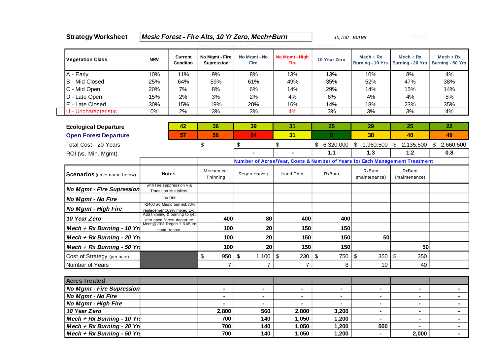| <b>Strategy Worksheet</b>           |                                                                             |                                                             |                                     | Mesic Forest - Fire Alts, 10 Yr Zero, Mech+Burn | 15,700 acres                  |                       | 100000                  |                                                    |                                        |  |  |
|-------------------------------------|-----------------------------------------------------------------------------|-------------------------------------------------------------|-------------------------------------|-------------------------------------------------|-------------------------------|-----------------------|-------------------------|----------------------------------------------------|----------------------------------------|--|--|
|                                     |                                                                             |                                                             |                                     |                                                 |                               |                       |                         |                                                    |                                        |  |  |
| <b>Vegetation Class</b>             | <b>NRV</b>                                                                  | <b>Current</b><br>Condtion                                  | No Mgmt - Fire<br><b>Supression</b> | No Mgmt - No<br><b>Fire</b>                     | No Mgmt - High<br><b>Fire</b> | 10 Year Zero          | $Mech + Rx$             | $Mech + Rx$<br>Burning - 10 Yrs   Burning - 20 Yrs | $Mech + Rx$<br><b>Burning - 50 Yrs</b> |  |  |
| A - Early                           | 10%                                                                         | 11%                                                         | 9%                                  | 8%                                              | 13%                           | 13%                   | 10%                     | 8%                                                 | 4%                                     |  |  |
| <b>B</b> - Mid Closed               | 25%                                                                         | 64%                                                         | 59%                                 | 61%                                             | 49%                           | 35%                   | 52%                     | 47%                                                | 38%                                    |  |  |
| C - Mid Open                        | 20%                                                                         | 7%                                                          | 8%                                  | 6%                                              | 14%                           | 29%                   | 14%                     | 15%                                                | 14%                                    |  |  |
| D - Late Open                       | 15%                                                                         | 2%                                                          | 3%                                  | 2%                                              | 4%                            | 6%                    | 4%                      | 4%                                                 | 5%                                     |  |  |
| E - Late Closed                     | 30%                                                                         | 15%                                                         | 19%                                 | 20%                                             | 16%                           | 14%                   | 18%                     | 23%                                                | 35%                                    |  |  |
| U - Uncharacteristic                | $0\%$                                                                       | 2%                                                          | 3%                                  | 3%                                              | 4%                            | 3%                    | 3%                      | 3%                                                 | 4%                                     |  |  |
|                                     |                                                                             |                                                             |                                     |                                                 |                               |                       |                         |                                                    |                                        |  |  |
| <b>Ecological Departure</b>         |                                                                             | 42                                                          | 36                                  | 39                                              | 31                            | 25                    | 29                      | 25                                                 | 22                                     |  |  |
| <b>Open Forest Departure</b>        |                                                                             | 57                                                          | 56                                  | 64                                              | 31                            | $\mathbf{0}$          | 38                      | 40                                                 | 49                                     |  |  |
| Total Cost - 20 Years               |                                                                             |                                                             | \$                                  | \$<br>$\blacksquare$                            | \$<br>$\blacksquare$          | \$6,320,000           | \$1,960,500             | \$2,135,500                                        | \$2,660,500                            |  |  |
| ROI (vs. Min. Mgmt)                 |                                                                             |                                                             |                                     |                                                 |                               | 1.1                   | 1.3                     | 1.2                                                | 0.8                                    |  |  |
|                                     | Number of Acres/Year, Costs & Number of Years for Each Management Treatment |                                                             |                                     |                                                 |                               |                       |                         |                                                    |                                        |  |  |
| <b>Scenarios</b> (enter name below) | <b>Notes</b>                                                                |                                                             | Mechanical<br>Thinning              | Regen Harvest                                   | Hand Thin                     | <b>RxBurn</b>         | RxBurn<br>(maintenance) | RxBurn<br>(maintenance)                            |                                        |  |  |
| <b>No Mgmt - Fire Supression</b>    | with fire suppression via<br><b>Transition Multipliers</b>                  |                                                             |                                     |                                                 |                               |                       |                         |                                                    |                                        |  |  |
| No Mgmt - No Fire                   | no fire                                                                     |                                                             |                                     |                                                 |                               |                       |                         |                                                    |                                        |  |  |
| No Mgmt - High Fire                 |                                                                             | ~2400 ac Mesic burned;30%<br>replacement;69% mixed;1%       |                                     |                                                 |                               |                       |                         |                                                    |                                        |  |  |
| 10 Year Zero                        |                                                                             | Add thinning & burning to get<br>zero open forest departure |                                     | 80                                              | 400                           | 400                   |                         |                                                    |                                        |  |  |
| Mech + Rx Burning - 10 Yrs          |                                                                             | Mech@20% Regen + RXBurn<br>hand treated                     |                                     | 20                                              | 150                           | 150                   |                         |                                                    |                                        |  |  |
| Mech + Rx Burning - 20 Yrs          |                                                                             |                                                             | 100                                 | 20                                              | 150                           | 150                   | 50                      |                                                    |                                        |  |  |
| Mech + $Rx$ Burning - 50 Yr.        |                                                                             |                                                             | 100                                 | 20                                              | 150                           | 150                   |                         | 50                                                 |                                        |  |  |
| Cost of Strategy (per acre)         |                                                                             |                                                             | $\$\$<br>950                        | \$<br>1,100                                     | $\mathfrak{F}$<br>230         | $\mathfrak{P}$<br>750 | \$<br>350               | \$<br>350                                          |                                        |  |  |
| Number of Years                     |                                                                             |                                                             | $\overline{7}$                      | $\overline{7}$                                  | $\overline{7}$                | 8                     | 10                      | 40                                                 |                                        |  |  |
|                                     |                                                                             |                                                             |                                     |                                                 |                               |                       |                         |                                                    |                                        |  |  |
| <b>Acres Treated</b>                |                                                                             |                                                             |                                     |                                                 |                               |                       |                         |                                                    |                                        |  |  |
| <b>No Mgmt - Fire Supression</b>    |                                                                             |                                                             | $\blacksquare$                      | $\blacksquare$                                  | $\blacksquare$                | $\blacksquare$        | ۰                       | $\blacksquare$                                     | $\blacksquare$                         |  |  |
| No Mgmt - No Fire                   |                                                                             |                                                             |                                     | $\blacksquare$                                  |                               |                       | $\blacksquare$          |                                                    | $\blacksquare$                         |  |  |
| No Mgmt - High Fire                 |                                                                             |                                                             | $\blacksquare$                      | $\blacksquare$                                  | $\blacksquare$                | $\blacksquare$        | $\blacksquare$          | $\blacksquare$                                     | $\blacksquare$                         |  |  |
| 10 Year Zero                        |                                                                             |                                                             | 2,800                               | 560                                             | 2,800                         | 3,200                 | $\blacksquare$          | $\blacksquare$                                     | $\blacksquare$                         |  |  |
| Mech + $Rx$ Burning - 10 Yr.        |                                                                             |                                                             | 700                                 | 140                                             | 1,050                         | 1,200                 | ۰                       |                                                    | ۰.                                     |  |  |
| Mech + Rx Burning - 20 Yrs          |                                                                             |                                                             | 700                                 | 140                                             | 1,050                         | 1,200                 | 500                     | $\blacksquare$                                     | $\blacksquare$                         |  |  |
| Mech + $Rx$ Burning - 50 Yrs        |                                                                             |                                                             | 700                                 | 140                                             | 1,050                         | 1,200                 | $\blacksquare$          | 2,000                                              | $\blacksquare$                         |  |  |